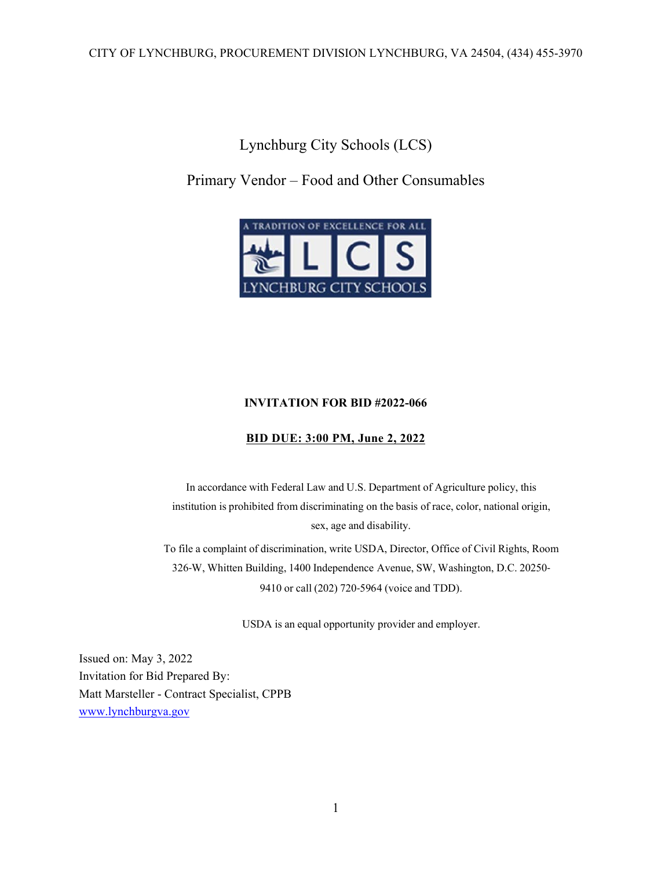Lynchburg City Schools (LCS)

## Primary Vendor – Food and Other Consumables



## **INVITATION FOR BID #2022-066**

## **BID DUE: 3:00 PM, June 2, 2022**

In accordance with Federal Law and U.S. Department of Agriculture policy, this institution is prohibited from discriminating on the basis of race, color, national origin, sex, age and disability.

To file a complaint of discrimination, write USDA, Director, Office of Civil Rights, Room 326‐W, Whitten Building, 1400 Independence Avenue, SW, Washington, D.C. 20250‐ 9410 or call (202) 720-5964 (voice and TDD).

USDA is an equal opportunity provider and employer.

Issued on: May 3, 2022 Invitation for Bid Prepared By: Matt Marsteller - Contract Specialist, CPPB www.lynchburgva.gov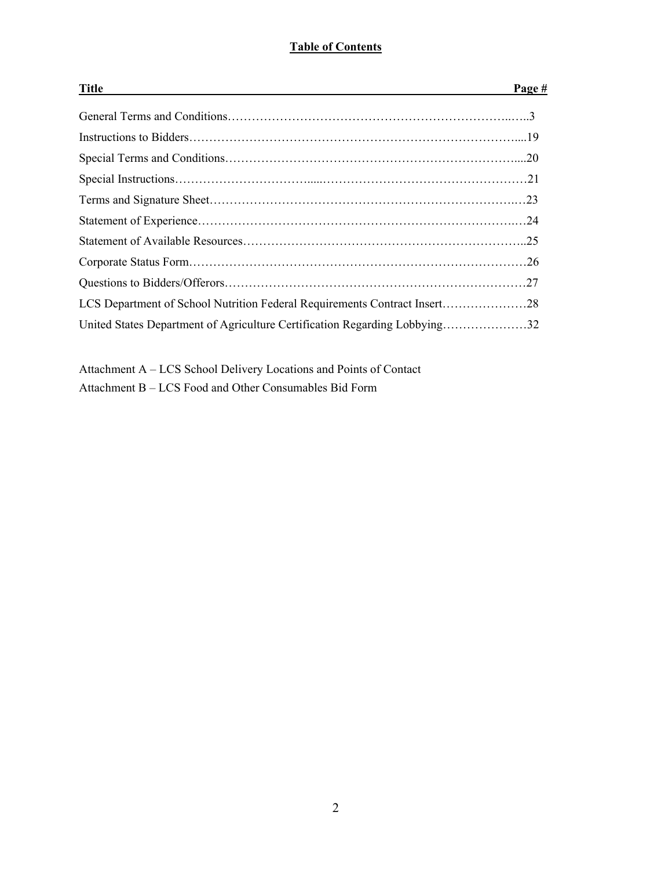## **Table of Contents**

| <b>Title</b>                                                               | Page # |
|----------------------------------------------------------------------------|--------|
|                                                                            |        |
|                                                                            |        |
|                                                                            |        |
|                                                                            |        |
|                                                                            |        |
|                                                                            |        |
|                                                                            |        |
|                                                                            |        |
|                                                                            |        |
| LCS Department of School Nutrition Federal Requirements Contract Insert28  |        |
| United States Department of Agriculture Certification Regarding Lobbying32 |        |

Attachment A – LCS School Delivery Locations and Points of Contact

Attachment B – LCS Food and Other Consumables Bid Form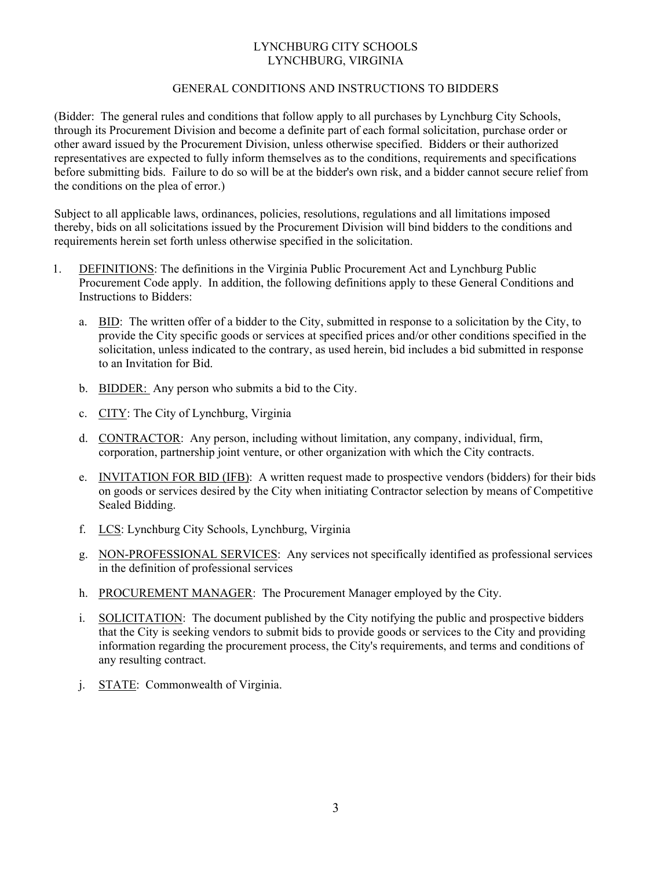## LYNCHBURG CITY SCHOOLS LYNCHBURG, VIRGINIA

## GENERAL CONDITIONS AND INSTRUCTIONS TO BIDDERS

(Bidder: The general rules and conditions that follow apply to all purchases by Lynchburg City Schools, through its Procurement Division and become a definite part of each formal solicitation, purchase order or other award issued by the Procurement Division, unless otherwise specified. Bidders or their authorized representatives are expected to fully inform themselves as to the conditions, requirements and specifications before submitting bids. Failure to do so will be at the bidder's own risk, and a bidder cannot secure relief from the conditions on the plea of error.)

Subject to all applicable laws, ordinances, policies, resolutions, regulations and all limitations imposed thereby, bids on all solicitations issued by the Procurement Division will bind bidders to the conditions and requirements herein set forth unless otherwise specified in the solicitation.

- 1. DEFINITIONS: The definitions in the Virginia Public Procurement Act and Lynchburg Public Procurement Code apply. In addition, the following definitions apply to these General Conditions and Instructions to Bidders:
	- a. BID: The written offer of a bidder to the City, submitted in response to a solicitation by the City, to provide the City specific goods or services at specified prices and/or other conditions specified in the solicitation, unless indicated to the contrary, as used herein, bid includes a bid submitted in response to an Invitation for Bid.
	- b. BIDDER: Any person who submits a bid to the City.
	- c. CITY: The City of Lynchburg, Virginia
	- d. CONTRACTOR: Any person, including without limitation, any company, individual, firm, corporation, partnership joint venture, or other organization with which the City contracts.
	- e. INVITATION FOR BID (IFB): A written request made to prospective vendors (bidders) for their bids on goods or services desired by the City when initiating Contractor selection by means of Competitive Sealed Bidding.
	- f. LCS: Lynchburg City Schools, Lynchburg, Virginia
	- g. NON-PROFESSIONAL SERVICES: Any services not specifically identified as professional services in the definition of professional services
	- h. PROCUREMENT MANAGER: The Procurement Manager employed by the City.
	- i. SOLICITATION: The document published by the City notifying the public and prospective bidders that the City is seeking vendors to submit bids to provide goods or services to the City and providing information regarding the procurement process, the City's requirements, and terms and conditions of any resulting contract.
	- j. STATE: Commonwealth of Virginia.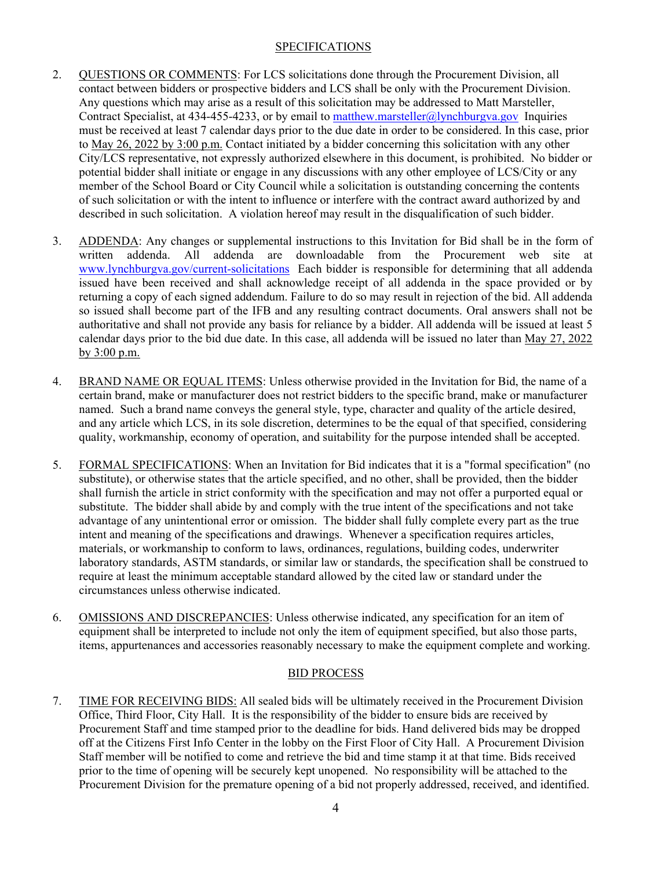## SPECIFICATIONS

- 2. QUESTIONS OR COMMENTS: For LCS solicitations done through the Procurement Division, all contact between bidders or prospective bidders and LCS shall be only with the Procurement Division. Any questions which may arise as a result of this solicitation may be addressed to Matt Marsteller, Contract Specialist, at 434-455-4233, or by email to matthew.marsteller@lynchburgva.gov Inquiries must be received at least 7 calendar days prior to the due date in order to be considered. In this case, prior to May 26, 2022 by 3:00 p.m. Contact initiated by a bidder concerning this solicitation with any other City/LCS representative, not expressly authorized elsewhere in this document, is prohibited. No bidder or potential bidder shall initiate or engage in any discussions with any other employee of LCS/City or any member of the School Board or City Council while a solicitation is outstanding concerning the contents of such solicitation or with the intent to influence or interfere with the contract award authorized by and described in such solicitation. A violation hereof may result in the disqualification of such bidder.
- 3. ADDENDA: Any changes or supplemental instructions to this Invitation for Bid shall be in the form of written addenda. All addenda are downloadable from the Procurement web site at www.lynchburgva.gov/current-solicitations Each bidder is responsible for determining that all addenda issued have been received and shall acknowledge receipt of all addenda in the space provided or by returning a copy of each signed addendum. Failure to do so may result in rejection of the bid. All addenda so issued shall become part of the IFB and any resulting contract documents. Oral answers shall not be authoritative and shall not provide any basis for reliance by a bidder. All addenda will be issued at least 5 calendar days prior to the bid due date. In this case, all addenda will be issued no later than May 27, 2022 by 3:00 p.m.
- 4. BRAND NAME OR EQUAL ITEMS: Unless otherwise provided in the Invitation for Bid, the name of a certain brand, make or manufacturer does not restrict bidders to the specific brand, make or manufacturer named. Such a brand name conveys the general style, type, character and quality of the article desired, and any article which LCS, in its sole discretion, determines to be the equal of that specified, considering quality, workmanship, economy of operation, and suitability for the purpose intended shall be accepted.
- 5. FORMAL SPECIFICATIONS: When an Invitation for Bid indicates that it is a "formal specification" (no substitute), or otherwise states that the article specified, and no other, shall be provided, then the bidder shall furnish the article in strict conformity with the specification and may not offer a purported equal or substitute. The bidder shall abide by and comply with the true intent of the specifications and not take advantage of any unintentional error or omission. The bidder shall fully complete every part as the true intent and meaning of the specifications and drawings. Whenever a specification requires articles, materials, or workmanship to conform to laws, ordinances, regulations, building codes, underwriter laboratory standards, ASTM standards, or similar law or standards, the specification shall be construed to require at least the minimum acceptable standard allowed by the cited law or standard under the circumstances unless otherwise indicated.
- 6. OMISSIONS AND DISCREPANCIES: Unless otherwise indicated, any specification for an item of equipment shall be interpreted to include not only the item of equipment specified, but also those parts, items, appurtenances and accessories reasonably necessary to make the equipment complete and working.

## BID PROCESS

7. TIME FOR RECEIVING BIDS: All sealed bids will be ultimately received in the Procurement Division Office, Third Floor, City Hall. It is the responsibility of the bidder to ensure bids are received by Procurement Staff and time stamped prior to the deadline for bids. Hand delivered bids may be dropped off at the Citizens First Info Center in the lobby on the First Floor of City Hall. A Procurement Division Staff member will be notified to come and retrieve the bid and time stamp it at that time. Bids received prior to the time of opening will be securely kept unopened. No responsibility will be attached to the Procurement Division for the premature opening of a bid not properly addressed, received, and identified.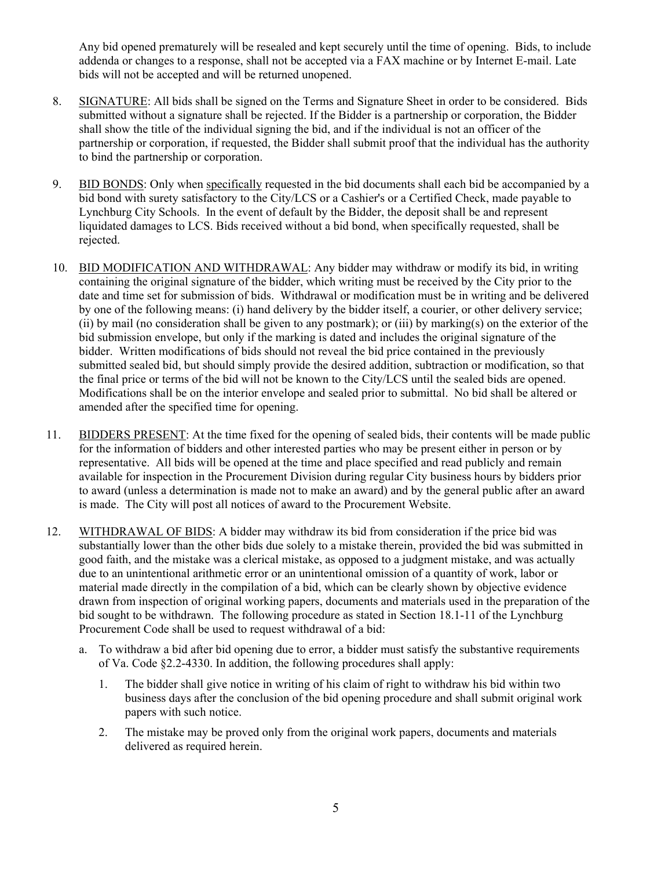Any bid opened prematurely will be resealed and kept securely until the time of opening. Bids, to include addenda or changes to a response, shall not be accepted via a FAX machine or by Internet E-mail. Late bids will not be accepted and will be returned unopened.

- 8. SIGNATURE: All bids shall be signed on the Terms and Signature Sheet in order to be considered. Bids submitted without a signature shall be rejected. If the Bidder is a partnership or corporation, the Bidder shall show the title of the individual signing the bid, and if the individual is not an officer of the partnership or corporation, if requested, the Bidder shall submit proof that the individual has the authority to bind the partnership or corporation.
- 9. BID BONDS: Only when specifically requested in the bid documents shall each bid be accompanied by a bid bond with surety satisfactory to the City/LCS or a Cashier's or a Certified Check, made payable to Lynchburg City Schools. In the event of default by the Bidder, the deposit shall be and represent liquidated damages to LCS. Bids received without a bid bond, when specifically requested, shall be rejected.
- 10. BID MODIFICATION AND WITHDRAWAL: Any bidder may withdraw or modify its bid, in writing containing the original signature of the bidder, which writing must be received by the City prior to the date and time set for submission of bids. Withdrawal or modification must be in writing and be delivered by one of the following means: (i) hand delivery by the bidder itself, a courier, or other delivery service; (ii) by mail (no consideration shall be given to any postmark); or (iii) by marking(s) on the exterior of the bid submission envelope, but only if the marking is dated and includes the original signature of the bidder. Written modifications of bids should not reveal the bid price contained in the previously submitted sealed bid, but should simply provide the desired addition, subtraction or modification, so that the final price or terms of the bid will not be known to the City/LCS until the sealed bids are opened. Modifications shall be on the interior envelope and sealed prior to submittal. No bid shall be altered or amended after the specified time for opening.
- 11. BIDDERS PRESENT: At the time fixed for the opening of sealed bids, their contents will be made public for the information of bidders and other interested parties who may be present either in person or by representative. All bids will be opened at the time and place specified and read publicly and remain available for inspection in the Procurement Division during regular City business hours by bidders prior to award (unless a determination is made not to make an award) and by the general public after an award is made. The City will post all notices of award to the Procurement Website.
- 12. WITHDRAWAL OF BIDS: A bidder may withdraw its bid from consideration if the price bid was substantially lower than the other bids due solely to a mistake therein, provided the bid was submitted in good faith, and the mistake was a clerical mistake, as opposed to a judgment mistake, and was actually due to an unintentional arithmetic error or an unintentional omission of a quantity of work, labor or material made directly in the compilation of a bid, which can be clearly shown by objective evidence drawn from inspection of original working papers, documents and materials used in the preparation of the bid sought to be withdrawn. The following procedure as stated in Section 18.1-11 of the Lynchburg Procurement Code shall be used to request withdrawal of a bid:
	- a. To withdraw a bid after bid opening due to error, a bidder must satisfy the substantive requirements of Va. Code §2.2-4330. In addition, the following procedures shall apply:
		- 1. The bidder shall give notice in writing of his claim of right to withdraw his bid within two business days after the conclusion of the bid opening procedure and shall submit original work papers with such notice.
		- 2. The mistake may be proved only from the original work papers, documents and materials delivered as required herein.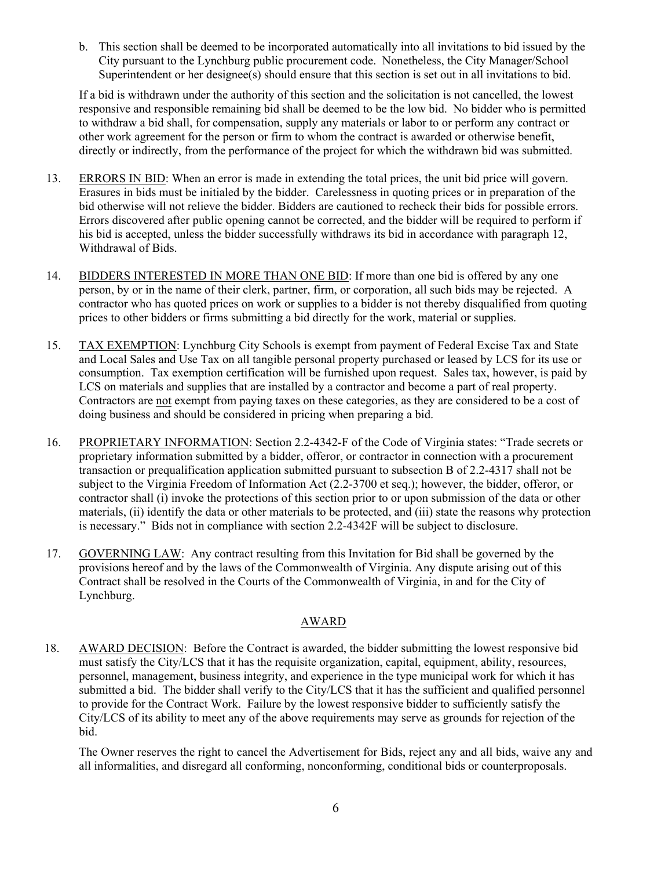b. This section shall be deemed to be incorporated automatically into all invitations to bid issued by the City pursuant to the Lynchburg public procurement code. Nonetheless, the City Manager/School Superintendent or her designee(s) should ensure that this section is set out in all invitations to bid.

If a bid is withdrawn under the authority of this section and the solicitation is not cancelled, the lowest responsive and responsible remaining bid shall be deemed to be the low bid. No bidder who is permitted to withdraw a bid shall, for compensation, supply any materials or labor to or perform any contract or other work agreement for the person or firm to whom the contract is awarded or otherwise benefit, directly or indirectly, from the performance of the project for which the withdrawn bid was submitted.

- 13. ERRORS IN BID: When an error is made in extending the total prices, the unit bid price will govern. Erasures in bids must be initialed by the bidder. Carelessness in quoting prices or in preparation of the bid otherwise will not relieve the bidder. Bidders are cautioned to recheck their bids for possible errors. Errors discovered after public opening cannot be corrected, and the bidder will be required to perform if his bid is accepted, unless the bidder successfully withdraws its bid in accordance with paragraph 12, Withdrawal of Bids.
- 14. BIDDERS INTERESTED IN MORE THAN ONE BID: If more than one bid is offered by any one person, by or in the name of their clerk, partner, firm, or corporation, all such bids may be rejected. A contractor who has quoted prices on work or supplies to a bidder is not thereby disqualified from quoting prices to other bidders or firms submitting a bid directly for the work, material or supplies.
- 15. TAX EXEMPTION: Lynchburg City Schools is exempt from payment of Federal Excise Tax and State and Local Sales and Use Tax on all tangible personal property purchased or leased by LCS for its use or consumption. Tax exemption certification will be furnished upon request. Sales tax, however, is paid by LCS on materials and supplies that are installed by a contractor and become a part of real property. Contractors are not exempt from paying taxes on these categories, as they are considered to be a cost of doing business and should be considered in pricing when preparing a bid.
- 16. PROPRIETARY INFORMATION: Section 2.2-4342-F of the Code of Virginia states: "Trade secrets or proprietary information submitted by a bidder, offeror, or contractor in connection with a procurement transaction or prequalification application submitted pursuant to subsection B of 2.2-4317 shall not be subject to the Virginia Freedom of Information Act (2.2-3700 et seq.); however, the bidder, offeror, or contractor shall (i) invoke the protections of this section prior to or upon submission of the data or other materials, (ii) identify the data or other materials to be protected, and (iii) state the reasons why protection is necessary." Bids not in compliance with section 2.2-4342F will be subject to disclosure.
- 17. GOVERNING LAW: Any contract resulting from this Invitation for Bid shall be governed by the provisions hereof and by the laws of the Commonwealth of Virginia. Any dispute arising out of this Contract shall be resolved in the Courts of the Commonwealth of Virginia, in and for the City of Lynchburg.

## AWARD

18. AWARD DECISION: Before the Contract is awarded, the bidder submitting the lowest responsive bid must satisfy the City/LCS that it has the requisite organization, capital, equipment, ability, resources, personnel, management, business integrity, and experience in the type municipal work for which it has submitted a bid. The bidder shall verify to the City/LCS that it has the sufficient and qualified personnel to provide for the Contract Work. Failure by the lowest responsive bidder to sufficiently satisfy the City/LCS of its ability to meet any of the above requirements may serve as grounds for rejection of the bid.

The Owner reserves the right to cancel the Advertisement for Bids, reject any and all bids, waive any and all informalities, and disregard all conforming, nonconforming, conditional bids or counterproposals.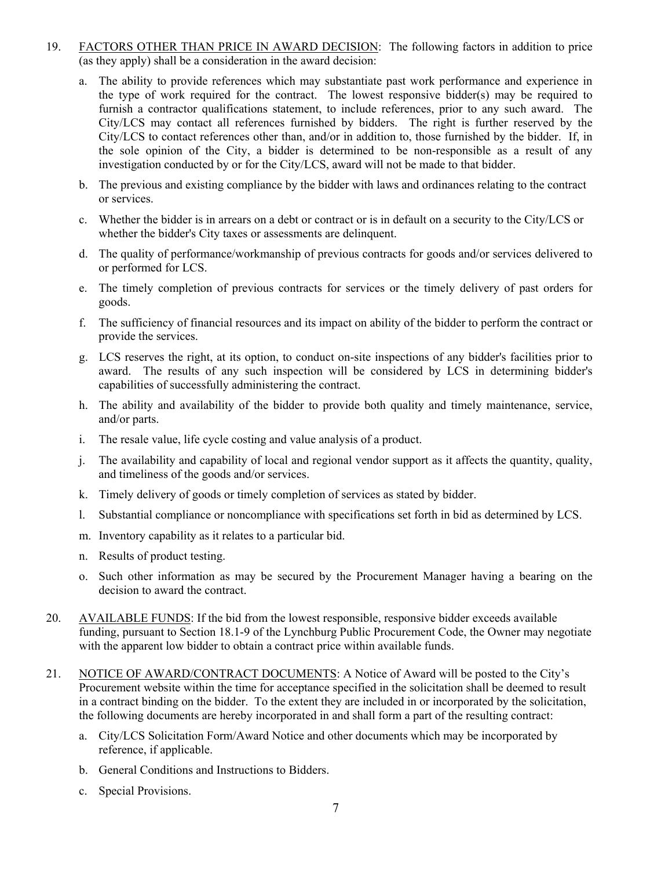- 19. FACTORS OTHER THAN PRICE IN AWARD DECISION: The following factors in addition to price (as they apply) shall be a consideration in the award decision:
	- a. The ability to provide references which may substantiate past work performance and experience in the type of work required for the contract. The lowest responsive bidder(s) may be required to furnish a contractor qualifications statement, to include references, prior to any such award. The City/LCS may contact all references furnished by bidders. The right is further reserved by the City/LCS to contact references other than, and/or in addition to, those furnished by the bidder. If, in the sole opinion of the City, a bidder is determined to be non-responsible as a result of any investigation conducted by or for the City/LCS, award will not be made to that bidder.
	- b. The previous and existing compliance by the bidder with laws and ordinances relating to the contract or services.
	- c. Whether the bidder is in arrears on a debt or contract or is in default on a security to the City/LCS or whether the bidder's City taxes or assessments are delinquent.
	- d. The quality of performance/workmanship of previous contracts for goods and/or services delivered to or performed for LCS.
	- e. The timely completion of previous contracts for services or the timely delivery of past orders for goods.
	- f. The sufficiency of financial resources and its impact on ability of the bidder to perform the contract or provide the services.
	- g. LCS reserves the right, at its option, to conduct on-site inspections of any bidder's facilities prior to award. The results of any such inspection will be considered by LCS in determining bidder's capabilities of successfully administering the contract.
	- h. The ability and availability of the bidder to provide both quality and timely maintenance, service, and/or parts.
	- i. The resale value, life cycle costing and value analysis of a product.
	- j. The availability and capability of local and regional vendor support as it affects the quantity, quality, and timeliness of the goods and/or services.
	- k. Timely delivery of goods or timely completion of services as stated by bidder.
	- l. Substantial compliance or noncompliance with specifications set forth in bid as determined by LCS.
	- m. Inventory capability as it relates to a particular bid.
	- n. Results of product testing.
	- o. Such other information as may be secured by the Procurement Manager having a bearing on the decision to award the contract.
- 20. AVAILABLE FUNDS: If the bid from the lowest responsible, responsive bidder exceeds available funding, pursuant to Section 18.1-9 of the Lynchburg Public Procurement Code, the Owner may negotiate with the apparent low bidder to obtain a contract price within available funds.
- 21. NOTICE OF AWARD/CONTRACT DOCUMENTS: A Notice of Award will be posted to the City's Procurement website within the time for acceptance specified in the solicitation shall be deemed to result in a contract binding on the bidder. To the extent they are included in or incorporated by the solicitation, the following documents are hereby incorporated in and shall form a part of the resulting contract:
	- a. City/LCS Solicitation Form/Award Notice and other documents which may be incorporated by reference, if applicable.
	- b. General Conditions and Instructions to Bidders.
	- c. Special Provisions.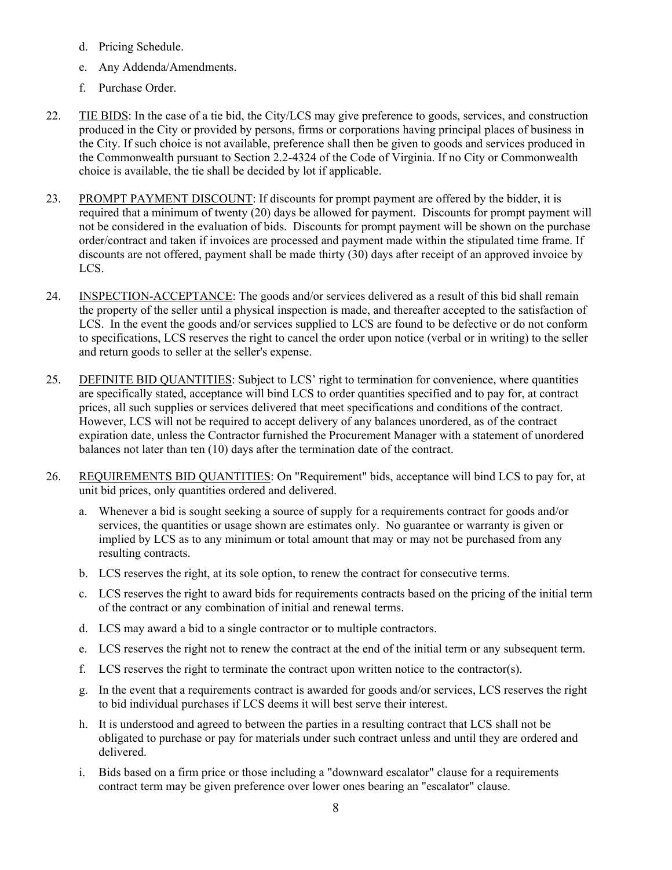- d. Pricing Schedule.
- e. Any Addenda/Amendments.
- f. Purchase Order.
- 22. TIE BIDS: In the case of a tie bid, the City/LCS may give preference to goods, services, and construction produced in the City or provided by persons, firms or corporations having principal places of business in the City. If such choice is not available, preference shall then be given to goods and services produced in the Commonwealth pursuant to Section 2.2-4324 of the Code of Virginia. If no City or Commonwealth choice is available, the tie shall be decided by lot if applicable.
- 23. PROMPT PAYMENT DISCOUNT: If discounts for prompt payment are offered by the bidder, it is required that a minimum of twenty (20) days be allowed for payment. Discounts for prompt payment will not be considered in the evaluation of bids. Discounts for prompt payment will be shown on the purchase order/contract and taken if invoices are processed and payment made within the stipulated time frame. If discounts are not offered, payment shall be made thirty (30) days after receipt of an approved invoice by LCS.
- 24. INSPECTION-ACCEPTANCE: The goods and/or services delivered as a result of this bid shall remain the property of the seller until a physical inspection is made, and thereafter accepted to the satisfaction of LCS. In the event the goods and/or services supplied to LCS are found to be defective or do not conform to specifications, LCS reserves the right to cancel the order upon notice (verbal or in writing) to the seller and return goods to seller at the seller's expense.
- 25. DEFINITE BID QUANTITIES: Subject to LCS' right to termination for convenience, where quantities are specifically stated, acceptance will bind LCS to order quantities specified and to pay for, at contract prices, all such supplies or services delivered that meet specifications and conditions of the contract. However, LCS will not be required to accept delivery of any balances unordered, as of the contract expiration date, unless the Contractor furnished the Procurement Manager with a statement of unordered balances not later than ten (10) days after the termination date of the contract.
- 26. REQUIREMENTS BID QUANTITIES: On "Requirement" bids, acceptance will bind LCS to pay for, at unit bid prices, only quantities ordered and delivered.
	- a. Whenever a bid is sought seeking a source of supply for a requirements contract for goods and/or services, the quantities or usage shown are estimates only. No guarantee or warranty is given or implied by LCS as to any minimum or total amount that may or may not be purchased from any resulting contracts.
	- b. LCS reserves the right, at its sole option, to renew the contract for consecutive terms.
	- c. LCS reserves the right to award bids for requirements contracts based on the pricing of the initial term of the contract or any combination of initial and renewal terms.
	- d. LCS may award a bid to a single contractor or to multiple contractors.
	- e. LCS reserves the right not to renew the contract at the end of the initial term or any subsequent term.
	- f. LCS reserves the right to terminate the contract upon written notice to the contractor(s).
	- g. In the event that a requirements contract is awarded for goods and/or services, LCS reserves the right to bid individual purchases if LCS deems it will best serve their interest.
	- h. It is understood and agreed to between the parties in a resulting contract that LCS shall not be obligated to purchase or pay for materials under such contract unless and until they are ordered and delivered.
	- i. Bids based on a firm price or those including a "downward escalator" clause for a requirements contract term may be given preference over lower ones bearing an "escalator" clause.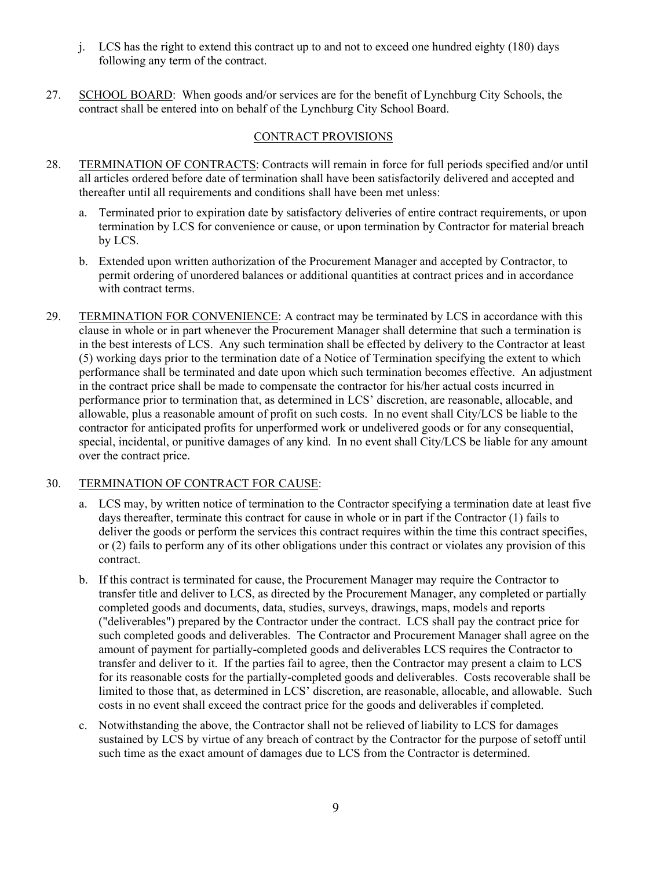- j. LCS has the right to extend this contract up to and not to exceed one hundred eighty (180) days following any term of the contract.
- 27. SCHOOL BOARD: When goods and/or services are for the benefit of Lynchburg City Schools, the contract shall be entered into on behalf of the Lynchburg City School Board.

## CONTRACT PROVISIONS

- 28. TERMINATION OF CONTRACTS: Contracts will remain in force for full periods specified and/or until all articles ordered before date of termination shall have been satisfactorily delivered and accepted and thereafter until all requirements and conditions shall have been met unless:
	- a. Terminated prior to expiration date by satisfactory deliveries of entire contract requirements, or upon termination by LCS for convenience or cause, or upon termination by Contractor for material breach by LCS.
	- b. Extended upon written authorization of the Procurement Manager and accepted by Contractor, to permit ordering of unordered balances or additional quantities at contract prices and in accordance with contract terms.
- 29. TERMINATION FOR CONVENIENCE: A contract may be terminated by LCS in accordance with this clause in whole or in part whenever the Procurement Manager shall determine that such a termination is in the best interests of LCS. Any such termination shall be effected by delivery to the Contractor at least (5) working days prior to the termination date of a Notice of Termination specifying the extent to which performance shall be terminated and date upon which such termination becomes effective. An adjustment in the contract price shall be made to compensate the contractor for his/her actual costs incurred in performance prior to termination that, as determined in LCS' discretion, are reasonable, allocable, and allowable, plus a reasonable amount of profit on such costs. In no event shall City/LCS be liable to the contractor for anticipated profits for unperformed work or undelivered goods or for any consequential, special, incidental, or punitive damages of any kind. In no event shall City/LCS be liable for any amount over the contract price.

## 30. TERMINATION OF CONTRACT FOR CAUSE:

- a. LCS may, by written notice of termination to the Contractor specifying a termination date at least five days thereafter, terminate this contract for cause in whole or in part if the Contractor (1) fails to deliver the goods or perform the services this contract requires within the time this contract specifies, or (2) fails to perform any of its other obligations under this contract or violates any provision of this contract.
- b. If this contract is terminated for cause, the Procurement Manager may require the Contractor to transfer title and deliver to LCS, as directed by the Procurement Manager, any completed or partially completed goods and documents, data, studies, surveys, drawings, maps, models and reports ("deliverables") prepared by the Contractor under the contract. LCS shall pay the contract price for such completed goods and deliverables. The Contractor and Procurement Manager shall agree on the amount of payment for partially-completed goods and deliverables LCS requires the Contractor to transfer and deliver to it. If the parties fail to agree, then the Contractor may present a claim to LCS for its reasonable costs for the partially-completed goods and deliverables. Costs recoverable shall be limited to those that, as determined in LCS' discretion, are reasonable, allocable, and allowable. Such costs in no event shall exceed the contract price for the goods and deliverables if completed.
- c. Notwithstanding the above, the Contractor shall not be relieved of liability to LCS for damages sustained by LCS by virtue of any breach of contract by the Contractor for the purpose of setoff until such time as the exact amount of damages due to LCS from the Contractor is determined.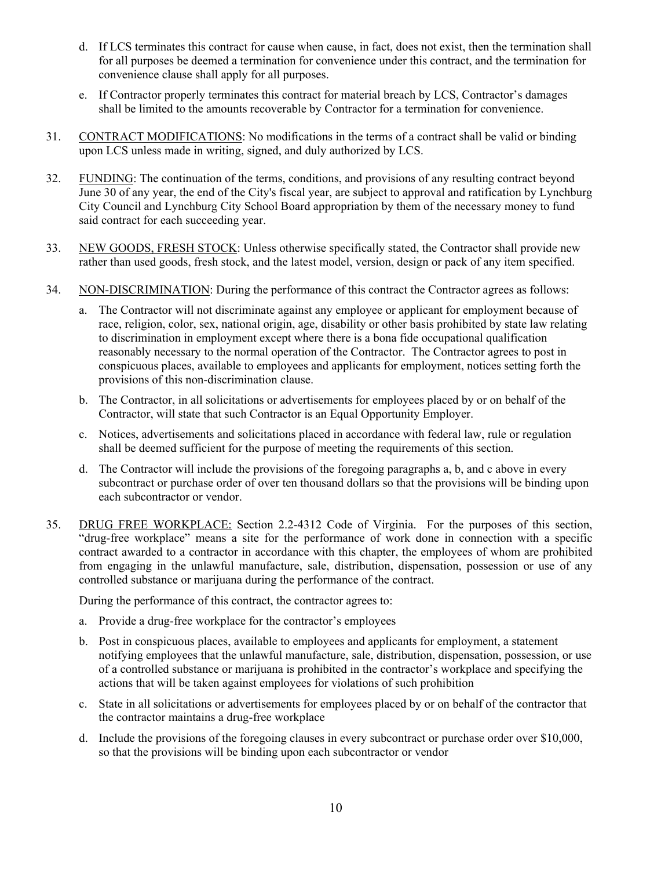- d. If LCS terminates this contract for cause when cause, in fact, does not exist, then the termination shall for all purposes be deemed a termination for convenience under this contract, and the termination for convenience clause shall apply for all purposes.
- e. If Contractor properly terminates this contract for material breach by LCS, Contractor's damages shall be limited to the amounts recoverable by Contractor for a termination for convenience.
- 31. CONTRACT MODIFICATIONS: No modifications in the terms of a contract shall be valid or binding upon LCS unless made in writing, signed, and duly authorized by LCS.
- 32. FUNDING: The continuation of the terms, conditions, and provisions of any resulting contract beyond June 30 of any year, the end of the City's fiscal year, are subject to approval and ratification by Lynchburg City Council and Lynchburg City School Board appropriation by them of the necessary money to fund said contract for each succeeding year.
- 33. NEW GOODS, FRESH STOCK: Unless otherwise specifically stated, the Contractor shall provide new rather than used goods, fresh stock, and the latest model, version, design or pack of any item specified.
- 34. NON-DISCRIMINATION: During the performance of this contract the Contractor agrees as follows:
	- a. The Contractor will not discriminate against any employee or applicant for employment because of race, religion, color, sex, national origin, age, disability or other basis prohibited by state law relating to discrimination in employment except where there is a bona fide occupational qualification reasonably necessary to the normal operation of the Contractor. The Contractor agrees to post in conspicuous places, available to employees and applicants for employment, notices setting forth the provisions of this non-discrimination clause.
	- b. The Contractor, in all solicitations or advertisements for employees placed by or on behalf of the Contractor, will state that such Contractor is an Equal Opportunity Employer.
	- c. Notices, advertisements and solicitations placed in accordance with federal law, rule or regulation shall be deemed sufficient for the purpose of meeting the requirements of this section.
	- d. The Contractor will include the provisions of the foregoing paragraphs a, b, and c above in every subcontract or purchase order of over ten thousand dollars so that the provisions will be binding upon each subcontractor or vendor.
- 35. DRUG FREE WORKPLACE: Section 2.2-4312 Code of Virginia. For the purposes of this section, "drug-free workplace" means a site for the performance of work done in connection with a specific contract awarded to a contractor in accordance with this chapter, the employees of whom are prohibited from engaging in the unlawful manufacture, sale, distribution, dispensation, possession or use of any controlled substance or marijuana during the performance of the contract.

During the performance of this contract, the contractor agrees to:

- a. Provide a drug-free workplace for the contractor's employees
- b. Post in conspicuous places, available to employees and applicants for employment, a statement notifying employees that the unlawful manufacture, sale, distribution, dispensation, possession, or use of a controlled substance or marijuana is prohibited in the contractor's workplace and specifying the actions that will be taken against employees for violations of such prohibition
- c. State in all solicitations or advertisements for employees placed by or on behalf of the contractor that the contractor maintains a drug-free workplace
- d. Include the provisions of the foregoing clauses in every subcontract or purchase order over \$10,000, so that the provisions will be binding upon each subcontractor or vendor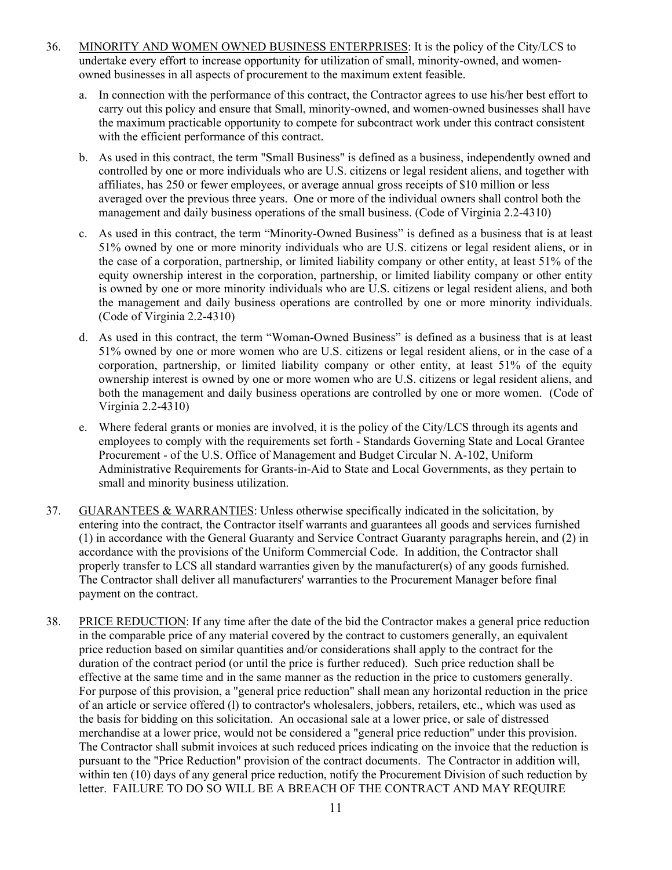- 36. MINORITY AND WOMEN OWNED BUSINESS ENTERPRISES: It is the policy of the City/LCS to undertake every effort to increase opportunity for utilization of small, minority-owned, and womenowned businesses in all aspects of procurement to the maximum extent feasible.
	- a. In connection with the performance of this contract, the Contractor agrees to use his/her best effort to carry out this policy and ensure that Small, minority-owned, and women-owned businesses shall have the maximum practicable opportunity to compete for subcontract work under this contract consistent with the efficient performance of this contract.
	- b. As used in this contract, the term "Small Business" is defined as a business, independently owned and controlled by one or more individuals who are U.S. citizens or legal resident aliens, and together with affiliates, has 250 or fewer employees, or average annual gross receipts of \$10 million or less averaged over the previous three years. One or more of the individual owners shall control both the management and daily business operations of the small business. (Code of Virginia 2.2-4310)
	- c. As used in this contract, the term "Minority-Owned Business" is defined as a business that is at least 51% owned by one or more minority individuals who are U.S. citizens or legal resident aliens, or in the case of a corporation, partnership, or limited liability company or other entity, at least 51% of the equity ownership interest in the corporation, partnership, or limited liability company or other entity is owned by one or more minority individuals who are U.S. citizens or legal resident aliens, and both the management and daily business operations are controlled by one or more minority individuals. (Code of Virginia 2.2-4310)
	- d. As used in this contract, the term "Woman-Owned Business" is defined as a business that is at least 51% owned by one or more women who are U.S. citizens or legal resident aliens, or in the case of a corporation, partnership, or limited liability company or other entity, at least 51% of the equity ownership interest is owned by one or more women who are U.S. citizens or legal resident aliens, and both the management and daily business operations are controlled by one or more women. (Code of Virginia 2.2-4310)
	- e. Where federal grants or monies are involved, it is the policy of the City/LCS through its agents and employees to comply with the requirements set forth - Standards Governing State and Local Grantee Procurement - of the U.S. Office of Management and Budget Circular N. A-102, Uniform Administrative Requirements for Grants-in-Aid to State and Local Governments, as they pertain to small and minority business utilization.
- 37. GUARANTEES & WARRANTIES: Unless otherwise specifically indicated in the solicitation, by entering into the contract, the Contractor itself warrants and guarantees all goods and services furnished (1) in accordance with the General Guaranty and Service Contract Guaranty paragraphs herein, and (2) in accordance with the provisions of the Uniform Commercial Code. In addition, the Contractor shall properly transfer to LCS all standard warranties given by the manufacturer(s) of any goods furnished. The Contractor shall deliver all manufacturers' warranties to the Procurement Manager before final payment on the contract.
- 38. PRICE REDUCTION: If any time after the date of the bid the Contractor makes a general price reduction in the comparable price of any material covered by the contract to customers generally, an equivalent price reduction based on similar quantities and/or considerations shall apply to the contract for the duration of the contract period (or until the price is further reduced). Such price reduction shall be effective at the same time and in the same manner as the reduction in the price to customers generally. For purpose of this provision, a "general price reduction" shall mean any horizontal reduction in the price of an article or service offered (l) to contractor's wholesalers, jobbers, retailers, etc., which was used as the basis for bidding on this solicitation. An occasional sale at a lower price, or sale of distressed merchandise at a lower price, would not be considered a "general price reduction" under this provision. The Contractor shall submit invoices at such reduced prices indicating on the invoice that the reduction is pursuant to the "Price Reduction" provision of the contract documents. The Contractor in addition will, within ten (10) days of any general price reduction, notify the Procurement Division of such reduction by letter. FAILURE TO DO SO WILL BE A BREACH OF THE CONTRACT AND MAY REQUIRE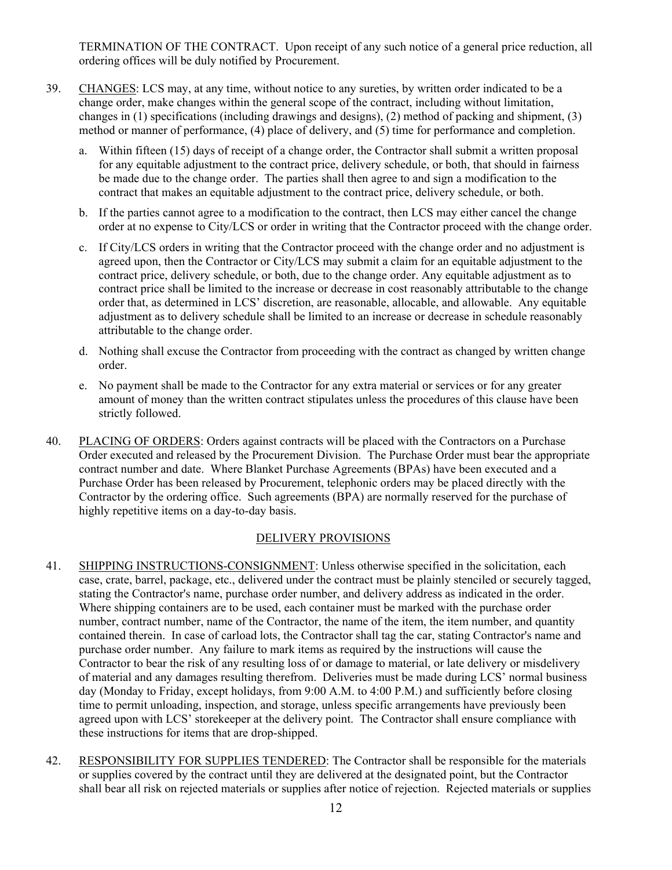TERMINATION OF THE CONTRACT. Upon receipt of any such notice of a general price reduction, all ordering offices will be duly notified by Procurement.

- 39. CHANGES: LCS may, at any time, without notice to any sureties, by written order indicated to be a change order, make changes within the general scope of the contract, including without limitation, changes in (1) specifications (including drawings and designs), (2) method of packing and shipment, (3) method or manner of performance, (4) place of delivery, and (5) time for performance and completion.
	- a. Within fifteen (15) days of receipt of a change order, the Contractor shall submit a written proposal for any equitable adjustment to the contract price, delivery schedule, or both, that should in fairness be made due to the change order. The parties shall then agree to and sign a modification to the contract that makes an equitable adjustment to the contract price, delivery schedule, or both.
	- b. If the parties cannot agree to a modification to the contract, then LCS may either cancel the change order at no expense to City/LCS or order in writing that the Contractor proceed with the change order.
	- c. If City/LCS orders in writing that the Contractor proceed with the change order and no adjustment is agreed upon, then the Contractor or City/LCS may submit a claim for an equitable adjustment to the contract price, delivery schedule, or both, due to the change order. Any equitable adjustment as to contract price shall be limited to the increase or decrease in cost reasonably attributable to the change order that, as determined in LCS' discretion, are reasonable, allocable, and allowable. Any equitable adjustment as to delivery schedule shall be limited to an increase or decrease in schedule reasonably attributable to the change order.
	- d. Nothing shall excuse the Contractor from proceeding with the contract as changed by written change order.
	- e. No payment shall be made to the Contractor for any extra material or services or for any greater amount of money than the written contract stipulates unless the procedures of this clause have been strictly followed.
- 40. PLACING OF ORDERS: Orders against contracts will be placed with the Contractors on a Purchase Order executed and released by the Procurement Division. The Purchase Order must bear the appropriate contract number and date. Where Blanket Purchase Agreements (BPAs) have been executed and a Purchase Order has been released by Procurement, telephonic orders may be placed directly with the Contractor by the ordering office. Such agreements (BPA) are normally reserved for the purchase of highly repetitive items on a day-to-day basis.

## DELIVERY PROVISIONS

- 41. SHIPPING INSTRUCTIONS-CONSIGNMENT: Unless otherwise specified in the solicitation, each case, crate, barrel, package, etc., delivered under the contract must be plainly stenciled or securely tagged, stating the Contractor's name, purchase order number, and delivery address as indicated in the order. Where shipping containers are to be used, each container must be marked with the purchase order number, contract number, name of the Contractor, the name of the item, the item number, and quantity contained therein. In case of carload lots, the Contractor shall tag the car, stating Contractor's name and purchase order number. Any failure to mark items as required by the instructions will cause the Contractor to bear the risk of any resulting loss of or damage to material, or late delivery or misdelivery of material and any damages resulting therefrom. Deliveries must be made during LCS' normal business day (Monday to Friday, except holidays, from 9:00 A.M. to 4:00 P.M.) and sufficiently before closing time to permit unloading, inspection, and storage, unless specific arrangements have previously been agreed upon with LCS' storekeeper at the delivery point. The Contractor shall ensure compliance with these instructions for items that are drop-shipped.
- 42. RESPONSIBILITY FOR SUPPLIES TENDERED: The Contractor shall be responsible for the materials or supplies covered by the contract until they are delivered at the designated point, but the Contractor shall bear all risk on rejected materials or supplies after notice of rejection. Rejected materials or supplies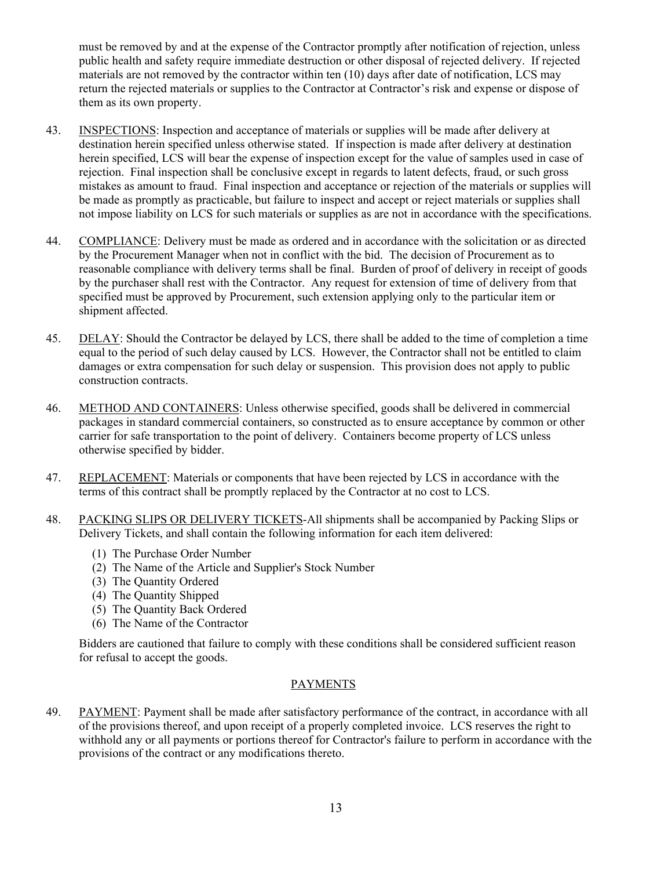must be removed by and at the expense of the Contractor promptly after notification of rejection, unless public health and safety require immediate destruction or other disposal of rejected delivery. If rejected materials are not removed by the contractor within ten (10) days after date of notification, LCS may return the rejected materials or supplies to the Contractor at Contractor's risk and expense or dispose of them as its own property.

- 43. INSPECTIONS: Inspection and acceptance of materials or supplies will be made after delivery at destination herein specified unless otherwise stated. If inspection is made after delivery at destination herein specified, LCS will bear the expense of inspection except for the value of samples used in case of rejection. Final inspection shall be conclusive except in regards to latent defects, fraud, or such gross mistakes as amount to fraud. Final inspection and acceptance or rejection of the materials or supplies will be made as promptly as practicable, but failure to inspect and accept or reject materials or supplies shall not impose liability on LCS for such materials or supplies as are not in accordance with the specifications.
- 44. COMPLIANCE: Delivery must be made as ordered and in accordance with the solicitation or as directed by the Procurement Manager when not in conflict with the bid. The decision of Procurement as to reasonable compliance with delivery terms shall be final. Burden of proof of delivery in receipt of goods by the purchaser shall rest with the Contractor. Any request for extension of time of delivery from that specified must be approved by Procurement, such extension applying only to the particular item or shipment affected.
- 45. DELAY: Should the Contractor be delayed by LCS, there shall be added to the time of completion a time equal to the period of such delay caused by LCS. However, the Contractor shall not be entitled to claim damages or extra compensation for such delay or suspension. This provision does not apply to public construction contracts.
- 46. METHOD AND CONTAINERS: Unless otherwise specified, goods shall be delivered in commercial packages in standard commercial containers, so constructed as to ensure acceptance by common or other carrier for safe transportation to the point of delivery. Containers become property of LCS unless otherwise specified by bidder.
- 47. REPLACEMENT: Materials or components that have been rejected by LCS in accordance with the terms of this contract shall be promptly replaced by the Contractor at no cost to LCS.
- 48. PACKING SLIPS OR DELIVERY TICKETS-All shipments shall be accompanied by Packing Slips or Delivery Tickets, and shall contain the following information for each item delivered:
	- (1) The Purchase Order Number
	- (2) The Name of the Article and Supplier's Stock Number
	- (3) The Quantity Ordered
	- (4) The Quantity Shipped
	- (5) The Quantity Back Ordered
	- (6) The Name of the Contractor

Bidders are cautioned that failure to comply with these conditions shall be considered sufficient reason for refusal to accept the goods.

## PAYMENTS

49. PAYMENT: Payment shall be made after satisfactory performance of the contract, in accordance with all of the provisions thereof, and upon receipt of a properly completed invoice. LCS reserves the right to withhold any or all payments or portions thereof for Contractor's failure to perform in accordance with the provisions of the contract or any modifications thereto.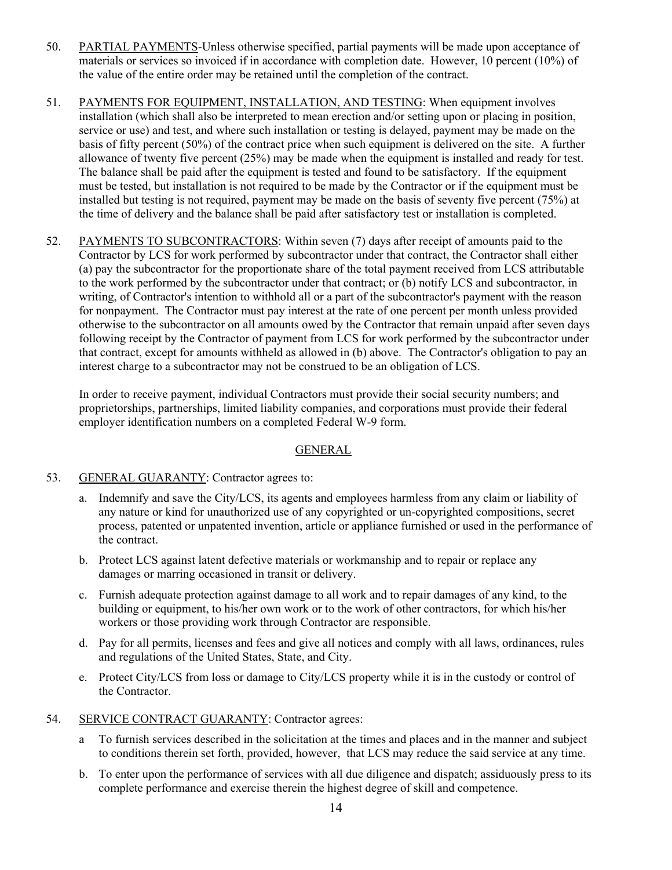- 50. PARTIAL PAYMENTS-Unless otherwise specified, partial payments will be made upon acceptance of materials or services so invoiced if in accordance with completion date. However, 10 percent (10%) of the value of the entire order may be retained until the completion of the contract.
- 51. PAYMENTS FOR EQUIPMENT, INSTALLATION, AND TESTING: When equipment involves installation (which shall also be interpreted to mean erection and/or setting upon or placing in position, service or use) and test, and where such installation or testing is delayed, payment may be made on the basis of fifty percent (50%) of the contract price when such equipment is delivered on the site. A further allowance of twenty five percent (25%) may be made when the equipment is installed and ready for test. The balance shall be paid after the equipment is tested and found to be satisfactory. If the equipment must be tested, but installation is not required to be made by the Contractor or if the equipment must be installed but testing is not required, payment may be made on the basis of seventy five percent (75%) at the time of delivery and the balance shall be paid after satisfactory test or installation is completed.
- 52. PAYMENTS TO SUBCONTRACTORS: Within seven (7) days after receipt of amounts paid to the Contractor by LCS for work performed by subcontractor under that contract, the Contractor shall either (a) pay the subcontractor for the proportionate share of the total payment received from LCS attributable to the work performed by the subcontractor under that contract; or (b) notify LCS and subcontractor, in writing, of Contractor's intention to withhold all or a part of the subcontractor's payment with the reason for nonpayment. The Contractor must pay interest at the rate of one percent per month unless provided otherwise to the subcontractor on all amounts owed by the Contractor that remain unpaid after seven days following receipt by the Contractor of payment from LCS for work performed by the subcontractor under that contract, except for amounts withheld as allowed in (b) above. The Contractor's obligation to pay an interest charge to a subcontractor may not be construed to be an obligation of LCS.

 In order to receive payment, individual Contractors must provide their social security numbers; and proprietorships, partnerships, limited liability companies, and corporations must provide their federal employer identification numbers on a completed Federal W-9 form.

## GENERAL

## 53. GENERAL GUARANTY: Contractor agrees to:

- a. Indemnify and save the City/LCS, its agents and employees harmless from any claim or liability of any nature or kind for unauthorized use of any copyrighted or un-copyrighted compositions, secret process, patented or unpatented invention, article or appliance furnished or used in the performance of the contract.
- b. Protect LCS against latent defective materials or workmanship and to repair or replace any damages or marring occasioned in transit or delivery.
- c. Furnish adequate protection against damage to all work and to repair damages of any kind, to the building or equipment, to his/her own work or to the work of other contractors, for which his/her workers or those providing work through Contractor are responsible.
- d. Pay for all permits, licenses and fees and give all notices and comply with all laws, ordinances, rules and regulations of the United States, State, and City.
- e. Protect City/LCS from loss or damage to City/LCS property while it is in the custody or control of the Contractor.
- 54. SERVICE CONTRACT GUARANTY: Contractor agrees:
	- a To furnish services described in the solicitation at the times and places and in the manner and subject to conditions therein set forth, provided, however, that LCS may reduce the said service at any time.
	- b. To enter upon the performance of services with all due diligence and dispatch; assiduously press to its complete performance and exercise therein the highest degree of skill and competence.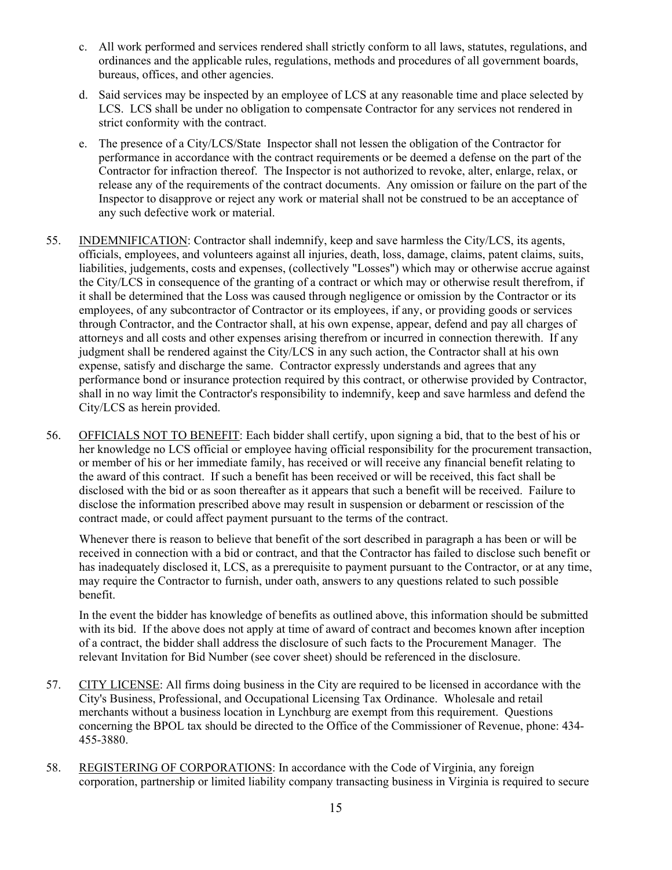- c. All work performed and services rendered shall strictly conform to all laws, statutes, regulations, and ordinances and the applicable rules, regulations, methods and procedures of all government boards, bureaus, offices, and other agencies.
- d. Said services may be inspected by an employee of LCS at any reasonable time and place selected by LCS. LCS shall be under no obligation to compensate Contractor for any services not rendered in strict conformity with the contract.
- e. The presence of a City/LCS/State Inspector shall not lessen the obligation of the Contractor for performance in accordance with the contract requirements or be deemed a defense on the part of the Contractor for infraction thereof. The Inspector is not authorized to revoke, alter, enlarge, relax, or release any of the requirements of the contract documents. Any omission or failure on the part of the Inspector to disapprove or reject any work or material shall not be construed to be an acceptance of any such defective work or material.
- 55. INDEMNIFICATION: Contractor shall indemnify, keep and save harmless the City/LCS, its agents, officials, employees, and volunteers against all injuries, death, loss, damage, claims, patent claims, suits, liabilities, judgements, costs and expenses, (collectively "Losses") which may or otherwise accrue against the City/LCS in consequence of the granting of a contract or which may or otherwise result therefrom, if it shall be determined that the Loss was caused through negligence or omission by the Contractor or its employees, of any subcontractor of Contractor or its employees, if any, or providing goods or services through Contractor, and the Contractor shall, at his own expense, appear, defend and pay all charges of attorneys and all costs and other expenses arising therefrom or incurred in connection therewith. If any judgment shall be rendered against the City/LCS in any such action, the Contractor shall at his own expense, satisfy and discharge the same. Contractor expressly understands and agrees that any performance bond or insurance protection required by this contract, or otherwise provided by Contractor, shall in no way limit the Contractor's responsibility to indemnify, keep and save harmless and defend the City/LCS as herein provided.
- 56. OFFICIALS NOT TO BENEFIT: Each bidder shall certify, upon signing a bid, that to the best of his or her knowledge no LCS official or employee having official responsibility for the procurement transaction, or member of his or her immediate family, has received or will receive any financial benefit relating to the award of this contract. If such a benefit has been received or will be received, this fact shall be disclosed with the bid or as soon thereafter as it appears that such a benefit will be received. Failure to disclose the information prescribed above may result in suspension or debarment or rescission of the contract made, or could affect payment pursuant to the terms of the contract.

Whenever there is reason to believe that benefit of the sort described in paragraph a has been or will be received in connection with a bid or contract, and that the Contractor has failed to disclose such benefit or has inadequately disclosed it, LCS, as a prerequisite to payment pursuant to the Contractor, or at any time, may require the Contractor to furnish, under oath, answers to any questions related to such possible benefit.

In the event the bidder has knowledge of benefits as outlined above, this information should be submitted with its bid. If the above does not apply at time of award of contract and becomes known after inception of a contract, the bidder shall address the disclosure of such facts to the Procurement Manager. The relevant Invitation for Bid Number (see cover sheet) should be referenced in the disclosure.

- 57. CITY LICENSE: All firms doing business in the City are required to be licensed in accordance with the City's Business, Professional, and Occupational Licensing Tax Ordinance. Wholesale and retail merchants without a business location in Lynchburg are exempt from this requirement. Questions concerning the BPOL tax should be directed to the Office of the Commissioner of Revenue, phone: 434- 455-3880.
- 58. REGISTERING OF CORPORATIONS: In accordance with the Code of Virginia, any foreign corporation, partnership or limited liability company transacting business in Virginia is required to secure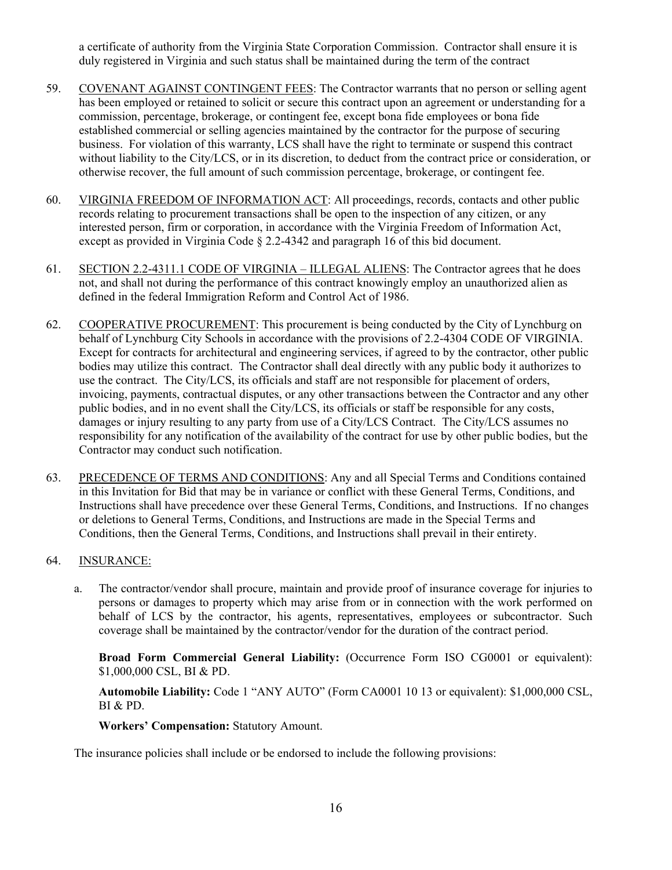a certificate of authority from the Virginia State Corporation Commission. Contractor shall ensure it is duly registered in Virginia and such status shall be maintained during the term of the contract

- 59. COVENANT AGAINST CONTINGENT FEES: The Contractor warrants that no person or selling agent has been employed or retained to solicit or secure this contract upon an agreement or understanding for a commission, percentage, brokerage, or contingent fee, except bona fide employees or bona fide established commercial or selling agencies maintained by the contractor for the purpose of securing business. For violation of this warranty, LCS shall have the right to terminate or suspend this contract without liability to the City/LCS, or in its discretion, to deduct from the contract price or consideration, or otherwise recover, the full amount of such commission percentage, brokerage, or contingent fee.
- 60. VIRGINIA FREEDOM OF INFORMATION ACT: All proceedings, records, contacts and other public records relating to procurement transactions shall be open to the inspection of any citizen, or any interested person, firm or corporation, in accordance with the Virginia Freedom of Information Act, except as provided in Virginia Code § 2.2-4342 and paragraph 16 of this bid document.
- 61. SECTION 2.2-4311.1 CODE OF VIRGINIA ILLEGAL ALIENS: The Contractor agrees that he does not, and shall not during the performance of this contract knowingly employ an unauthorized alien as defined in the federal Immigration Reform and Control Act of 1986.
- 62. COOPERATIVE PROCUREMENT: This procurement is being conducted by the City of Lynchburg on behalf of Lynchburg City Schools in accordance with the provisions of 2.2-4304 CODE OF VIRGINIA. Except for contracts for architectural and engineering services, if agreed to by the contractor, other public bodies may utilize this contract. The Contractor shall deal directly with any public body it authorizes to use the contract. The City/LCS, its officials and staff are not responsible for placement of orders, invoicing, payments, contractual disputes, or any other transactions between the Contractor and any other public bodies, and in no event shall the City/LCS, its officials or staff be responsible for any costs, damages or injury resulting to any party from use of a City/LCS Contract. The City/LCS assumes no responsibility for any notification of the availability of the contract for use by other public bodies, but the Contractor may conduct such notification.
- 63. PRECEDENCE OF TERMS AND CONDITIONS: Any and all Special Terms and Conditions contained in this Invitation for Bid that may be in variance or conflict with these General Terms, Conditions, and Instructions shall have precedence over these General Terms, Conditions, and Instructions. If no changes or deletions to General Terms, Conditions, and Instructions are made in the Special Terms and Conditions, then the General Terms, Conditions, and Instructions shall prevail in their entirety.

## 64. INSURANCE:

a. The contractor/vendor shall procure, maintain and provide proof of insurance coverage for injuries to persons or damages to property which may arise from or in connection with the work performed on behalf of LCS by the contractor, his agents, representatives, employees or subcontractor. Such coverage shall be maintained by the contractor/vendor for the duration of the contract period.

**Broad Form Commercial General Liability:** (Occurrence Form ISO CG0001 or equivalent): \$1,000,000 CSL, BI & PD.

**Automobile Liability:** Code 1 "ANY AUTO" (Form CA0001 10 13 or equivalent): \$1,000,000 CSL, BI & PD.

**Workers' Compensation:** Statutory Amount.

The insurance policies shall include or be endorsed to include the following provisions: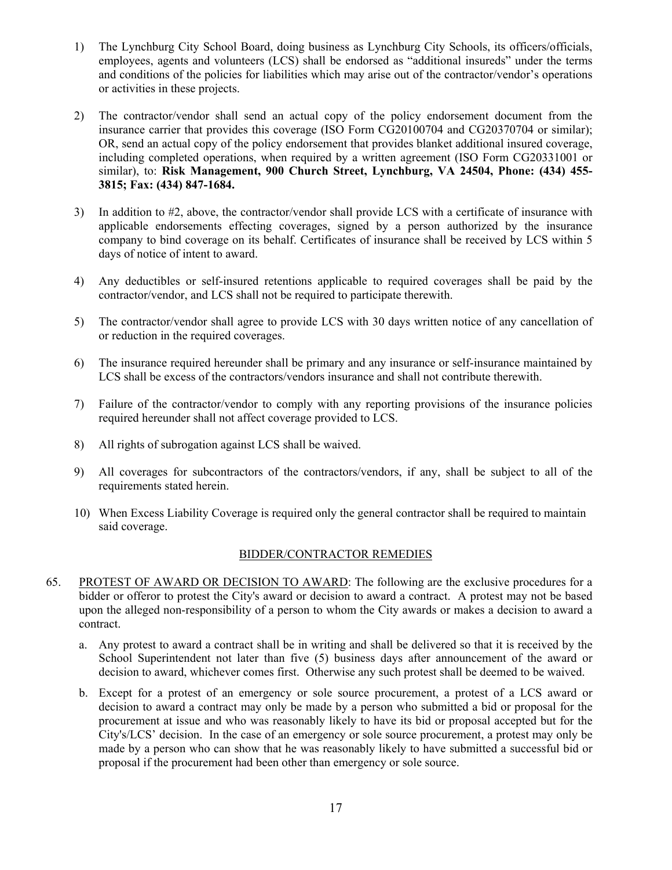- 1) The Lynchburg City School Board, doing business as Lynchburg City Schools, its officers/officials, employees, agents and volunteers (LCS) shall be endorsed as "additional insureds" under the terms and conditions of the policies for liabilities which may arise out of the contractor/vendor's operations or activities in these projects.
- 2) The contractor/vendor shall send an actual copy of the policy endorsement document from the insurance carrier that provides this coverage (ISO Form CG20100704 and CG20370704 or similar); OR, send an actual copy of the policy endorsement that provides blanket additional insured coverage, including completed operations, when required by a written agreement (ISO Form CG20331001 or similar), to: **Risk Management, 900 Church Street, Lynchburg, VA 24504, Phone: (434) 455- 3815; Fax: (434) 847-1684.**
- 3) In addition to #2, above, the contractor/vendor shall provide LCS with a certificate of insurance with applicable endorsements effecting coverages, signed by a person authorized by the insurance company to bind coverage on its behalf. Certificates of insurance shall be received by LCS within 5 days of notice of intent to award.
- 4) Any deductibles or self-insured retentions applicable to required coverages shall be paid by the contractor/vendor, and LCS shall not be required to participate therewith.
- 5) The contractor/vendor shall agree to provide LCS with 30 days written notice of any cancellation of or reduction in the required coverages.
- 6) The insurance required hereunder shall be primary and any insurance or self-insurance maintained by LCS shall be excess of the contractors/vendors insurance and shall not contribute therewith.
- 7) Failure of the contractor/vendor to comply with any reporting provisions of the insurance policies required hereunder shall not affect coverage provided to LCS.
- 8) All rights of subrogation against LCS shall be waived.
- 9) All coverages for subcontractors of the contractors/vendors, if any, shall be subject to all of the requirements stated herein.
- 10) When Excess Liability Coverage is required only the general contractor shall be required to maintain said coverage.

#### BIDDER/CONTRACTOR REMEDIES

- 65. PROTEST OF AWARD OR DECISION TO AWARD: The following are the exclusive procedures for a bidder or offeror to protest the City's award or decision to award a contract. A protest may not be based upon the alleged non-responsibility of a person to whom the City awards or makes a decision to award a contract.
	- a. Any protest to award a contract shall be in writing and shall be delivered so that it is received by the School Superintendent not later than five (5) business days after announcement of the award or decision to award, whichever comes first. Otherwise any such protest shall be deemed to be waived.
	- b. Except for a protest of an emergency or sole source procurement, a protest of a LCS award or decision to award a contract may only be made by a person who submitted a bid or proposal for the procurement at issue and who was reasonably likely to have its bid or proposal accepted but for the City's/LCS' decision. In the case of an emergency or sole source procurement, a protest may only be made by a person who can show that he was reasonably likely to have submitted a successful bid or proposal if the procurement had been other than emergency or sole source.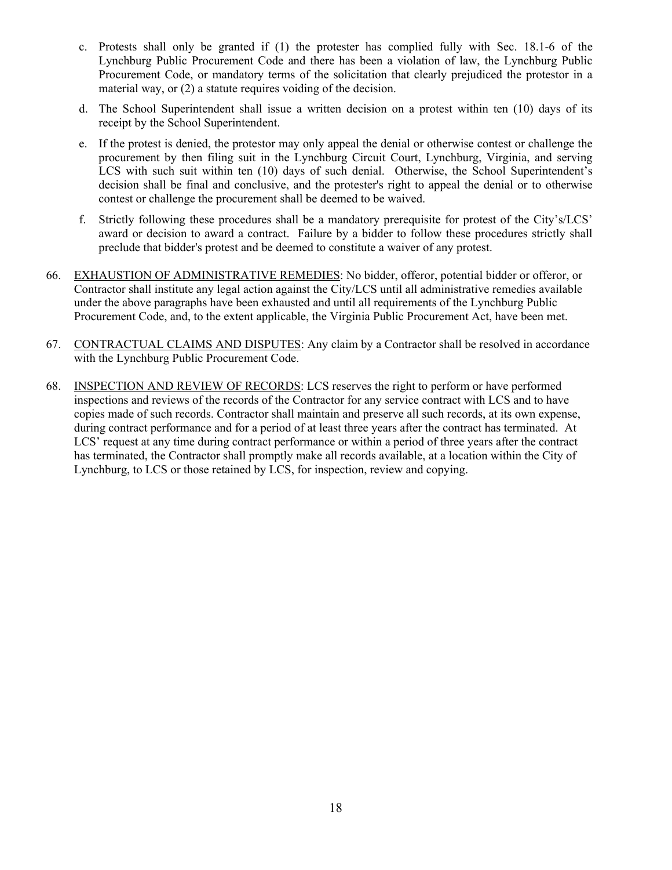- c. Protests shall only be granted if (1) the protester has complied fully with Sec. 18.1-6 of the Lynchburg Public Procurement Code and there has been a violation of law, the Lynchburg Public Procurement Code, or mandatory terms of the solicitation that clearly prejudiced the protestor in a material way, or (2) a statute requires voiding of the decision.
- d. The School Superintendent shall issue a written decision on a protest within ten (10) days of its receipt by the School Superintendent.
- e. If the protest is denied, the protestor may only appeal the denial or otherwise contest or challenge the procurement by then filing suit in the Lynchburg Circuit Court, Lynchburg, Virginia, and serving LCS with such suit within ten (10) days of such denial. Otherwise, the School Superintendent's decision shall be final and conclusive, and the protester's right to appeal the denial or to otherwise contest or challenge the procurement shall be deemed to be waived.
- f. Strictly following these procedures shall be a mandatory prerequisite for protest of the City's/LCS' award or decision to award a contract. Failure by a bidder to follow these procedures strictly shall preclude that bidder's protest and be deemed to constitute a waiver of any protest.
- 66. EXHAUSTION OF ADMINISTRATIVE REMEDIES: No bidder, offeror, potential bidder or offeror, or Contractor shall institute any legal action against the City/LCS until all administrative remedies available under the above paragraphs have been exhausted and until all requirements of the Lynchburg Public Procurement Code, and, to the extent applicable, the Virginia Public Procurement Act, have been met.
- 67. CONTRACTUAL CLAIMS AND DISPUTES: Any claim by a Contractor shall be resolved in accordance with the Lynchburg Public Procurement Code.
- 68. INSPECTION AND REVIEW OF RECORDS: LCS reserves the right to perform or have performed inspections and reviews of the records of the Contractor for any service contract with LCS and to have copies made of such records. Contractor shall maintain and preserve all such records, at its own expense, during contract performance and for a period of at least three years after the contract has terminated. At LCS' request at any time during contract performance or within a period of three years after the contract has terminated, the Contractor shall promptly make all records available, at a location within the City of Lynchburg, to LCS or those retained by LCS, for inspection, review and copying.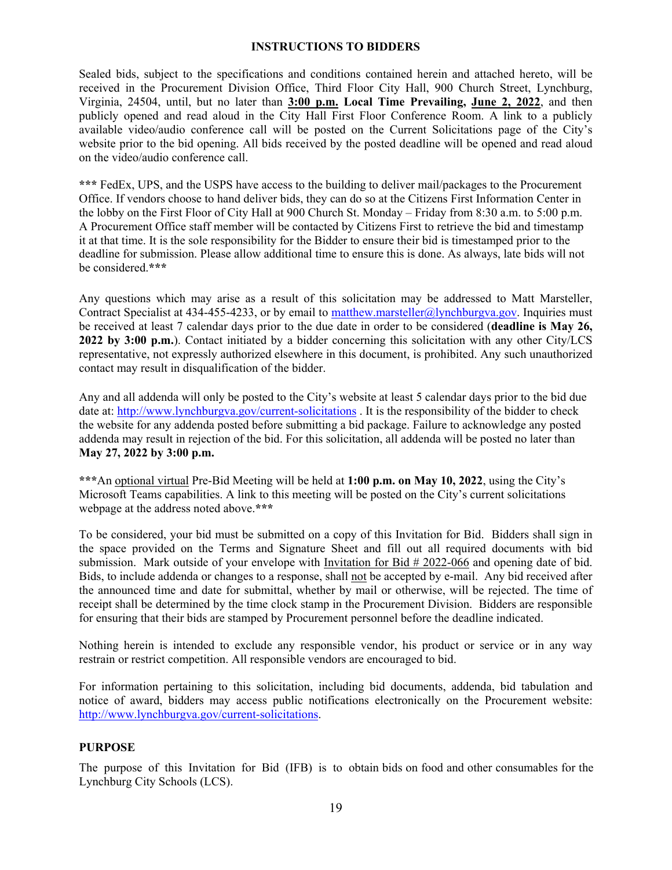## **INSTRUCTIONS TO BIDDERS**

Sealed bids, subject to the specifications and conditions contained herein and attached hereto, will be received in the Procurement Division Office, Third Floor City Hall, 900 Church Street, Lynchburg, Virginia, 24504, until, but no later than **3:00 p.m. Local Time Prevailing, June 2, 2022**, and then publicly opened and read aloud in the City Hall First Floor Conference Room. A link to a publicly available video/audio conference call will be posted on the Current Solicitations page of the City's website prior to the bid opening. All bids received by the posted deadline will be opened and read aloud on the video/audio conference call.

**\*\*\*** FedEx, UPS, and the USPS have access to the building to deliver mail/packages to the Procurement Office. If vendors choose to hand deliver bids, they can do so at the Citizens First Information Center in the lobby on the First Floor of City Hall at 900 Church St. Monday – Friday from 8:30 a.m. to 5:00 p.m. A Procurement Office staff member will be contacted by Citizens First to retrieve the bid and timestamp it at that time. It is the sole responsibility for the Bidder to ensure their bid is timestamped prior to the deadline for submission. Please allow additional time to ensure this is done. As always, late bids will not be considered.**\*\*\*** 

Any questions which may arise as a result of this solicitation may be addressed to Matt Marsteller, Contract Specialist at 434-455-4233, or by email to matthew.marsteller@lynchburgva.gov. Inquiries must be received at least 7 calendar days prior to the due date in order to be considered (**deadline is May 26, 2022 by 3:00 p.m.**). Contact initiated by a bidder concerning this solicitation with any other City/LCS representative, not expressly authorized elsewhere in this document, is prohibited. Any such unauthorized contact may result in disqualification of the bidder.

Any and all addenda will only be posted to the City's website at least 5 calendar days prior to the bid due date at: http://www.lynchburgva.gov/current-solicitations. It is the responsibility of the bidder to check the website for any addenda posted before submitting a bid package. Failure to acknowledge any posted addenda may result in rejection of the bid. For this solicitation, all addenda will be posted no later than **May 27, 2022 by 3:00 p.m.** 

**\*\*\***An optional virtual Pre-Bid Meeting will be held at **1:00 p.m. on May 10, 2022**, using the City's Microsoft Teams capabilities. A link to this meeting will be posted on the City's current solicitations webpage at the address noted above.**\*\*\***

To be considered, your bid must be submitted on a copy of this Invitation for Bid. Bidders shall sign in the space provided on the Terms and Signature Sheet and fill out all required documents with bid submission. Mark outside of your envelope with Invitation for Bid # 2022-066 and opening date of bid. Bids, to include addenda or changes to a response, shall not be accepted by e-mail. Any bid received after the announced time and date for submittal, whether by mail or otherwise, will be rejected. The time of receipt shall be determined by the time clock stamp in the Procurement Division. Bidders are responsible for ensuring that their bids are stamped by Procurement personnel before the deadline indicated.

Nothing herein is intended to exclude any responsible vendor, his product or service or in any way restrain or restrict competition. All responsible vendors are encouraged to bid.

For information pertaining to this solicitation, including bid documents, addenda, bid tabulation and notice of award, bidders may access public notifications electronically on the Procurement website: http://www.lynchburgva.gov/current-solicitations.

## **PURPOSE**

The purpose of this Invitation for Bid (IFB) is to obtain bids on food and other consumables for the Lynchburg City Schools (LCS).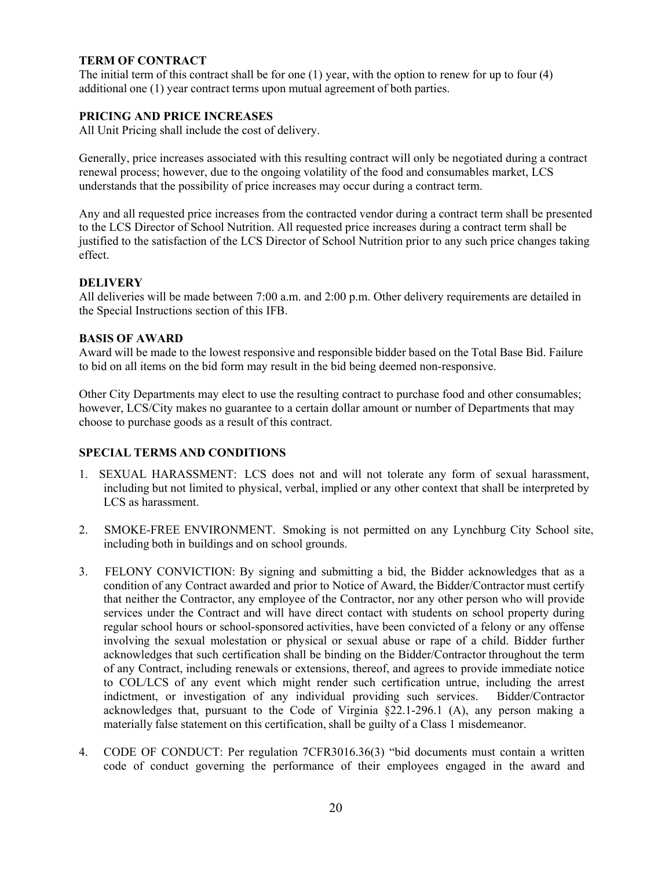## **TERM OF CONTRACT**

The initial term of this contract shall be for one (1) year, with the option to renew for up to four (4) additional one (1) year contract terms upon mutual agreement of both parties.

## **PRICING AND PRICE INCREASES**

All Unit Pricing shall include the cost of delivery.

Generally, price increases associated with this resulting contract will only be negotiated during a contract renewal process; however, due to the ongoing volatility of the food and consumables market, LCS understands that the possibility of price increases may occur during a contract term.

Any and all requested price increases from the contracted vendor during a contract term shall be presented to the LCS Director of School Nutrition. All requested price increases during a contract term shall be justified to the satisfaction of the LCS Director of School Nutrition prior to any such price changes taking effect.

#### **DELIVERY**

All deliveries will be made between 7:00 a.m. and 2:00 p.m. Other delivery requirements are detailed in the Special Instructions section of this IFB.

## **BASIS OF AWARD**

Award will be made to the lowest responsive and responsible bidder based on the Total Base Bid. Failure to bid on all items on the bid form may result in the bid being deemed non-responsive.

Other City Departments may elect to use the resulting contract to purchase food and other consumables; however, LCS/City makes no guarantee to a certain dollar amount or number of Departments that may choose to purchase goods as a result of this contract.

## **SPECIAL TERMS AND CONDITIONS**

- 1. SEXUAL HARASSMENT: LCS does not and will not tolerate any form of sexual harassment, including but not limited to physical, verbal, implied or any other context that shall be interpreted by LCS as harassment.
- 2. SMOKE-FREE ENVIRONMENT. Smoking is not permitted on any Lynchburg City School site, including both in buildings and on school grounds.
- 3. FELONY CONVICTION: By signing and submitting a bid, the Bidder acknowledges that as a condition of any Contract awarded and prior to Notice of Award, the Bidder/Contractor must certify that neither the Contractor, any employee of the Contractor, nor any other person who will provide services under the Contract and will have direct contact with students on school property during regular school hours or school-sponsored activities, have been convicted of a felony or any offense involving the sexual molestation or physical or sexual abuse or rape of a child. Bidder further acknowledges that such certification shall be binding on the Bidder/Contractor throughout the term of any Contract, including renewals or extensions, thereof, and agrees to provide immediate notice to COL/LCS of any event which might render such certification untrue, including the arrest indictment, or investigation of any individual providing such services. Bidder/Contractor acknowledges that, pursuant to the Code of Virginia §22.1-296.1 (A), any person making a materially false statement on this certification, shall be guilty of a Class 1 misdemeanor.
- 4. CODE OF CONDUCT: Per regulation 7CFR3016.36(3) "bid documents must contain a written code of conduct governing the performance of their employees engaged in the award and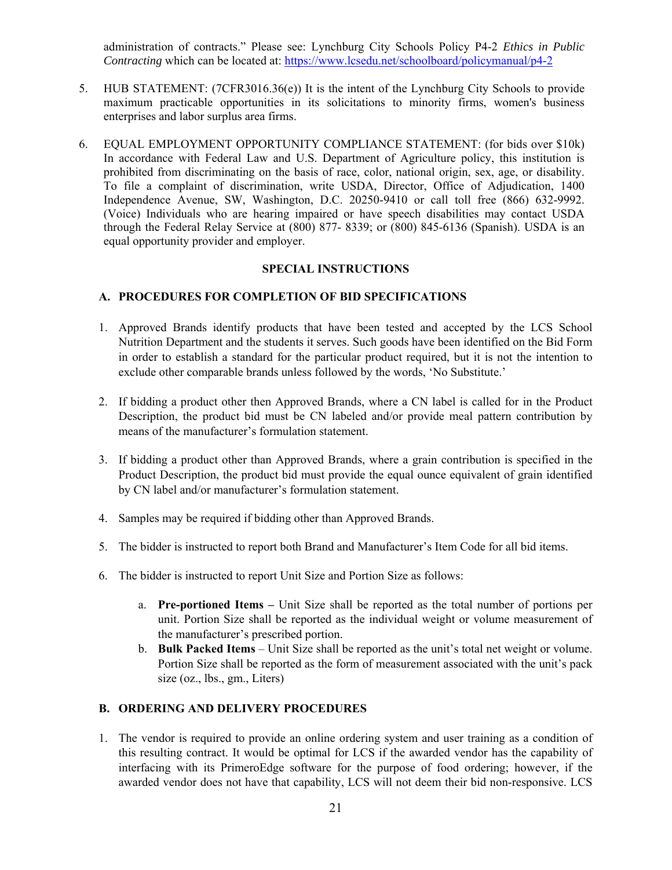administration of contracts." Please see: Lynchburg City Schools Policy P4-2 *Ethics in Public Contracting* which can be located at: https://www.lcsedu.net/schoolboard/policymanual/p4-2

- 5. HUB STATEMENT: (7CFR3016.36(e)) It is the intent of the Lynchburg City Schools to provide maximum practicable opportunities in its solicitations to minority firms, women's business enterprises and labor surplus area firms.
- 6. EQUAL EMPLOYMENT OPPORTUNITY COMPLIANCE STATEMENT: (for bids over \$10k) In accordance with Federal Law and U.S. Department of Agriculture policy, this institution is prohibited from discriminating on the basis of race, color, national origin, sex, age, or disability. To file a complaint of discrimination, write USDA, Director, Office of Adjudication, 1400 Independence Avenue, SW, Washington, D.C. 20250-9410 or call toll free (866) 632-9992. (Voice) Individuals who are hearing impaired or have speech disabilities may contact USDA through the Federal Relay Service at (800) 877- 8339; or (800) 845-6136 (Spanish). USDA is an equal opportunity provider and employer.

#### **SPECIAL INSTRUCTIONS**

#### **A. PROCEDURES FOR COMPLETION OF BID SPECIFICATIONS**

- 1. Approved Brands identify products that have been tested and accepted by the LCS School Nutrition Department and the students it serves. Such goods have been identified on the Bid Form in order to establish a standard for the particular product required, but it is not the intention to exclude other comparable brands unless followed by the words, 'No Substitute.'
- 2. If bidding a product other then Approved Brands, where a CN label is called for in the Product Description, the product bid must be CN labeled and/or provide meal pattern contribution by means of the manufacturer's formulation statement.
- 3. If bidding a product other than Approved Brands, where a grain contribution is specified in the Product Description, the product bid must provide the equal ounce equivalent of grain identified by CN label and/or manufacturer's formulation statement.
- 4. Samples may be required if bidding other than Approved Brands.
- 5. The bidder is instructed to report both Brand and Manufacturer's Item Code for all bid items.
- 6. The bidder is instructed to report Unit Size and Portion Size as follows:
	- a. **Pre-portioned Items** Unit Size shall be reported as the total number of portions per unit. Portion Size shall be reported as the individual weight or volume measurement of the manufacturer's prescribed portion.
	- b. **Bulk Packed Items** Unit Size shall be reported as the unit's total net weight or volume. Portion Size shall be reported as the form of measurement associated with the unit's pack size (oz., lbs., gm., Liters)

## **B. ORDERING AND DELIVERY PROCEDURES**

1. The vendor is required to provide an online ordering system and user training as a condition of this resulting contract. It would be optimal for LCS if the awarded vendor has the capability of interfacing with its PrimeroEdge software for the purpose of food ordering; however, if the awarded vendor does not have that capability, LCS will not deem their bid non-responsive. LCS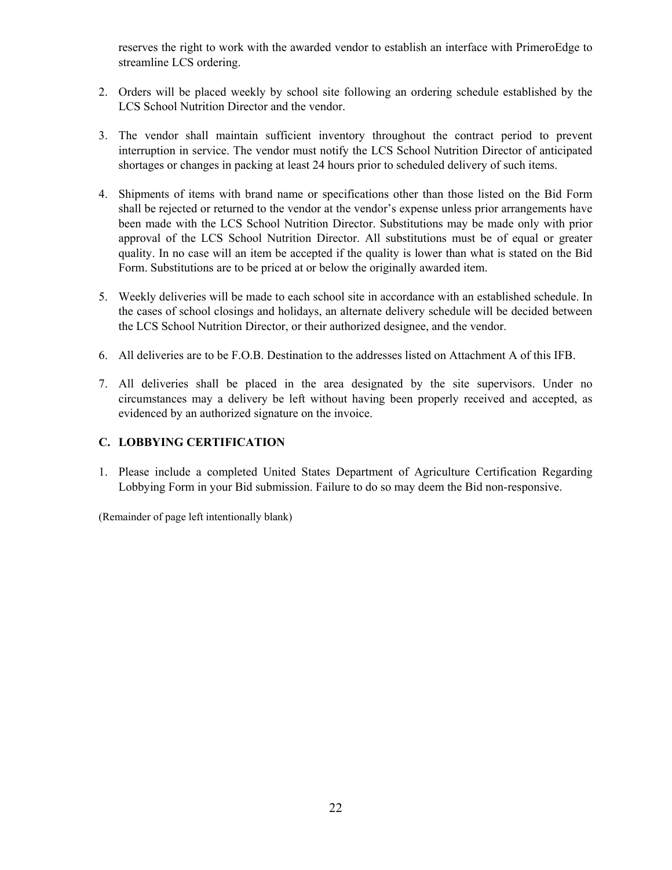reserves the right to work with the awarded vendor to establish an interface with PrimeroEdge to streamline LCS ordering.

- 2. Orders will be placed weekly by school site following an ordering schedule established by the LCS School Nutrition Director and the vendor.
- 3. The vendor shall maintain sufficient inventory throughout the contract period to prevent interruption in service. The vendor must notify the LCS School Nutrition Director of anticipated shortages or changes in packing at least 24 hours prior to scheduled delivery of such items.
- 4. Shipments of items with brand name or specifications other than those listed on the Bid Form shall be rejected or returned to the vendor at the vendor's expense unless prior arrangements have been made with the LCS School Nutrition Director. Substitutions may be made only with prior approval of the LCS School Nutrition Director. All substitutions must be of equal or greater quality. In no case will an item be accepted if the quality is lower than what is stated on the Bid Form. Substitutions are to be priced at or below the originally awarded item.
- 5. Weekly deliveries will be made to each school site in accordance with an established schedule. In the cases of school closings and holidays, an alternate delivery schedule will be decided between the LCS School Nutrition Director, or their authorized designee, and the vendor.
- 6. All deliveries are to be F.O.B. Destination to the addresses listed on Attachment A of this IFB.
- 7. All deliveries shall be placed in the area designated by the site supervisors. Under no circumstances may a delivery be left without having been properly received and accepted, as evidenced by an authorized signature on the invoice.

## **C. LOBBYING CERTIFICATION**

1. Please include a completed United States Department of Agriculture Certification Regarding Lobbying Form in your Bid submission. Failure to do so may deem the Bid non-responsive.

(Remainder of page left intentionally blank)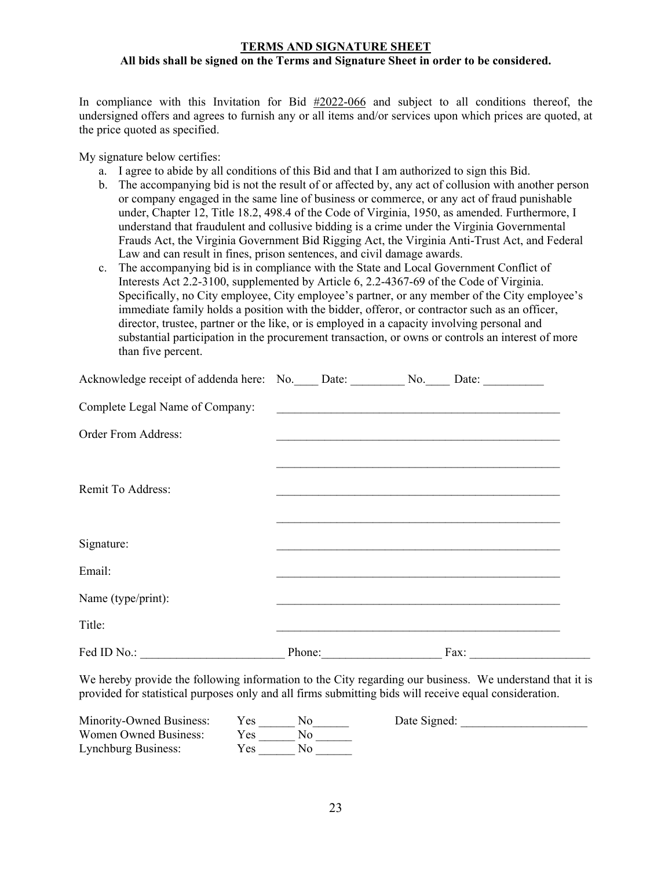#### **TERMS AND SIGNATURE SHEET All bids shall be signed on the Terms and Signature Sheet in order to be considered.**

In compliance with this Invitation for Bid #2022-066 and subject to all conditions thereof, the undersigned offers and agrees to furnish any or all items and/or services upon which prices are quoted, at the price quoted as specified.

My signature below certifies:

- a. I agree to abide by all conditions of this Bid and that I am authorized to sign this Bid.
- b. The accompanying bid is not the result of or affected by, any act of collusion with another person or company engaged in the same line of business or commerce, or any act of fraud punishable under, Chapter 12, Title 18.2, 498.4 of the Code of Virginia, 1950, as amended. Furthermore, I understand that fraudulent and collusive bidding is a crime under the Virginia Governmental Frauds Act, the Virginia Government Bid Rigging Act, the Virginia Anti-Trust Act, and Federal Law and can result in fines, prison sentences, and civil damage awards.
- c. The accompanying bid is in compliance with the State and Local Government Conflict of Interests Act 2.2-3100, supplemented by Article 6, 2.2-4367-69 of the Code of Virginia. Specifically, no City employee, City employee's partner, or any member of the City employee's immediate family holds a position with the bidder, offeror, or contractor such as an officer, director, trustee, partner or the like, or is employed in a capacity involving personal and substantial participation in the procurement transaction, or owns or controls an interest of more than five percent.

| Acknowledge receipt of addenda here: No. Date: No. No. |        | Date:                                                                    |  |
|--------------------------------------------------------|--------|--------------------------------------------------------------------------|--|
| Complete Legal Name of Company:                        |        | <u> 2000 - Jan Barnett, mars ann an t-Amerikaansk ferskeid (f. 1958)</u> |  |
| <b>Order From Address:</b>                             |        |                                                                          |  |
|                                                        |        |                                                                          |  |
| Remit To Address:                                      |        |                                                                          |  |
|                                                        |        |                                                                          |  |
| Signature:                                             |        |                                                                          |  |
| Email:                                                 |        |                                                                          |  |
| Name (type/print):                                     |        |                                                                          |  |
| Title:                                                 |        |                                                                          |  |
| Fed ID No.:                                            | Phone: | Fax:                                                                     |  |

We hereby provide the following information to the City regarding our business. We understand that it is provided for statistical purposes only and all firms submitting bids will receive equal consideration.

| Minority-Owned Business: | Y es | Date Signed: |
|--------------------------|------|--------------|
| Women Owned Business:    | Yes  |              |
| Lynchburg Business:      | r es |              |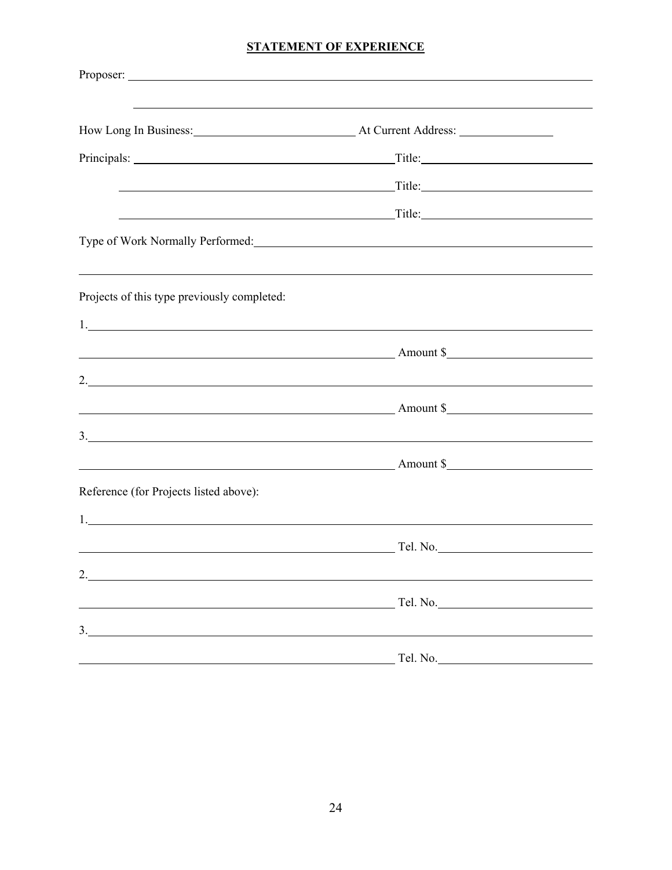## **STATEMENT OF EXPERIENCE**

|                                                                                                                                                                                                                                                                                                                        | ,我们也不会有什么。""我们的人,我们也不会有什么?""我们的人,我们也不会有什么?""我们的人,我们也不会有什么?""我们的人,我们也不会有什么?""我们的人                                                                                                                                                     |  |
|------------------------------------------------------------------------------------------------------------------------------------------------------------------------------------------------------------------------------------------------------------------------------------------------------------------------|--------------------------------------------------------------------------------------------------------------------------------------------------------------------------------------------------------------------------------------|--|
| How Long In Business: At Current Address: Manual At Current Address:                                                                                                                                                                                                                                                   |                                                                                                                                                                                                                                      |  |
|                                                                                                                                                                                                                                                                                                                        |                                                                                                                                                                                                                                      |  |
|                                                                                                                                                                                                                                                                                                                        | <u>Title: Title:</u> Title: Title: Title: Title: Title: Title: Title: Title: Title: Title: Title: Title: Title: Title: Title: Title: Title: Title: Title: Title: Title: Title: Title: Title: Title: Title: Title: Title: Title: Tit  |  |
|                                                                                                                                                                                                                                                                                                                        | <u>and the set of the set of the set of the set of the set of the set of the set of the set of the set of the set of the set of the set of the set of the set of the set of the set of the set of the set of the set of the set </u> |  |
|                                                                                                                                                                                                                                                                                                                        |                                                                                                                                                                                                                                      |  |
| Projects of this type previously completed:                                                                                                                                                                                                                                                                            |                                                                                                                                                                                                                                      |  |
| 1.<br>Amount \$                                                                                                                                                                                                                                                                                                        |                                                                                                                                                                                                                                      |  |
| 2. $\blacksquare$                                                                                                                                                                                                                                                                                                      |                                                                                                                                                                                                                                      |  |
| $\sim$ Amount \$                                                                                                                                                                                                                                                                                                       |                                                                                                                                                                                                                                      |  |
| $3.$ $\frac{1}{2}$ $\frac{1}{2}$ $\frac{1}{2}$ $\frac{1}{2}$ $\frac{1}{2}$ $\frac{1}{2}$ $\frac{1}{2}$ $\frac{1}{2}$ $\frac{1}{2}$ $\frac{1}{2}$ $\frac{1}{2}$ $\frac{1}{2}$ $\frac{1}{2}$ $\frac{1}{2}$ $\frac{1}{2}$ $\frac{1}{2}$ $\frac{1}{2}$ $\frac{1}{2}$ $\frac{1}{2}$ $\frac{1}{2}$ $\frac{1}{2}$ $\frac{1}{$ |                                                                                                                                                                                                                                      |  |
| $\sim$ Amount \$                                                                                                                                                                                                                                                                                                       |                                                                                                                                                                                                                                      |  |
| Reference (for Projects listed above):                                                                                                                                                                                                                                                                                 |                                                                                                                                                                                                                                      |  |
|                                                                                                                                                                                                                                                                                                                        |                                                                                                                                                                                                                                      |  |
| <u>Example 2001 and 2001 and 2001 and 2001 and 2001 and 2001 and 2001 and 2001 and 2001 and 2001 and 2001 and 200</u>                                                                                                                                                                                                  |                                                                                                                                                                                                                                      |  |
| 2.                                                                                                                                                                                                                                                                                                                     |                                                                                                                                                                                                                                      |  |
|                                                                                                                                                                                                                                                                                                                        |                                                                                                                                                                                                                                      |  |
| 3.                                                                                                                                                                                                                                                                                                                     |                                                                                                                                                                                                                                      |  |
|                                                                                                                                                                                                                                                                                                                        | Tel. No.                                                                                                                                                                                                                             |  |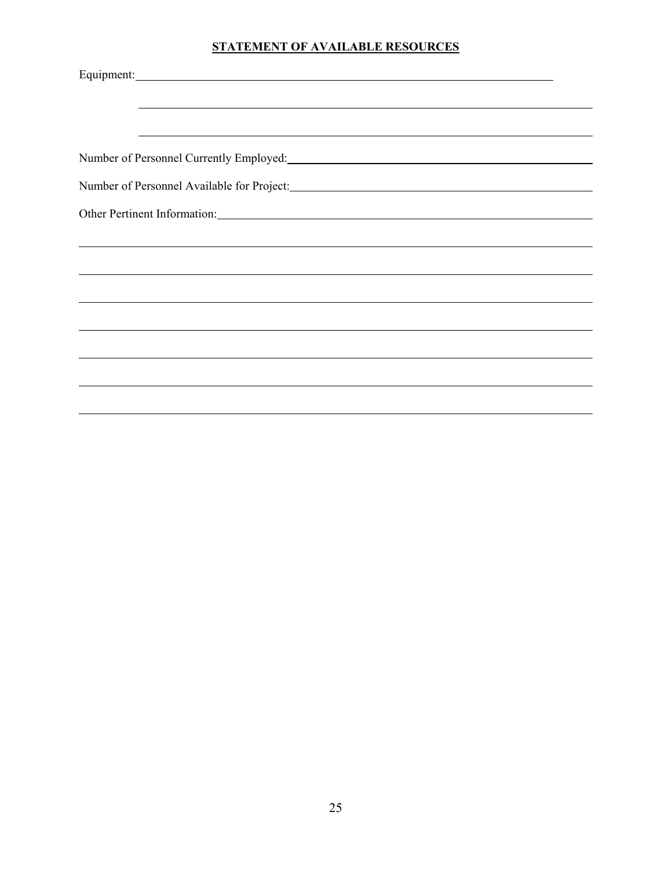## **STATEMENT OF AVAILABLE RESOURCES**

| <u> 1989 - Johann Harry Harry Harry Harry Harry Harry Harry Harry Harry Harry Harry Harry Harry Harry Harry Harry</u> |
|-----------------------------------------------------------------------------------------------------------------------|
| Number of Personnel Currently Employed: Manual Currently Employed:                                                    |
|                                                                                                                       |
| Other Pertinent Information: Manual Contract of the Pertinent Information:                                            |
|                                                                                                                       |
|                                                                                                                       |
|                                                                                                                       |
|                                                                                                                       |
|                                                                                                                       |
|                                                                                                                       |
|                                                                                                                       |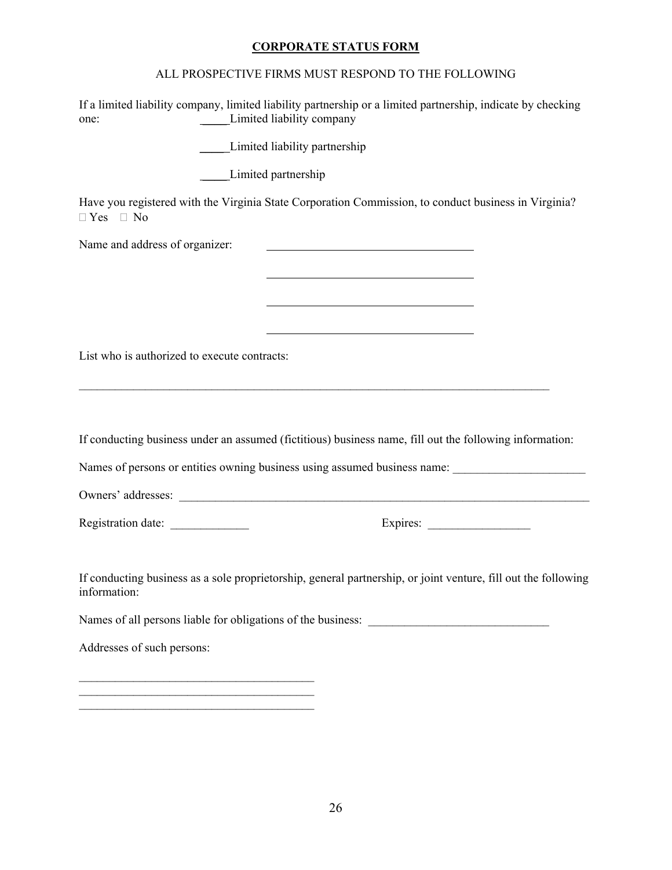## **CORPORATE STATUS FORM**

## ALL PROSPECTIVE FIRMS MUST RESPOND TO THE FOLLOWING

| one:                                         | If a limited liability company, limited liability partnership or a limited partnership, indicate by checking<br>Limited liability company |
|----------------------------------------------|-------------------------------------------------------------------------------------------------------------------------------------------|
|                                              | Limited liability partnership                                                                                                             |
|                                              | Limited partnership                                                                                                                       |
| $\Box$ Yes $\Box$ No                         | Have you registered with the Virginia State Corporation Commission, to conduct business in Virginia?                                      |
| Name and address of organizer:               |                                                                                                                                           |
|                                              |                                                                                                                                           |
|                                              |                                                                                                                                           |
|                                              |                                                                                                                                           |
| List who is authorized to execute contracts: |                                                                                                                                           |
|                                              |                                                                                                                                           |
|                                              |                                                                                                                                           |
|                                              | If conducting business under an assumed (fictitious) business name, fill out the following information:                                   |
|                                              | Names of persons or entities owning business using assumed business name: _________________________                                       |
|                                              |                                                                                                                                           |
| Registration date:                           |                                                                                                                                           |
| information:                                 | If conducting business as a sole proprietorship, general partnership, or joint venture, fill out the following                            |
|                                              |                                                                                                                                           |
| Addresses of such persons:                   |                                                                                                                                           |
|                                              |                                                                                                                                           |
|                                              |                                                                                                                                           |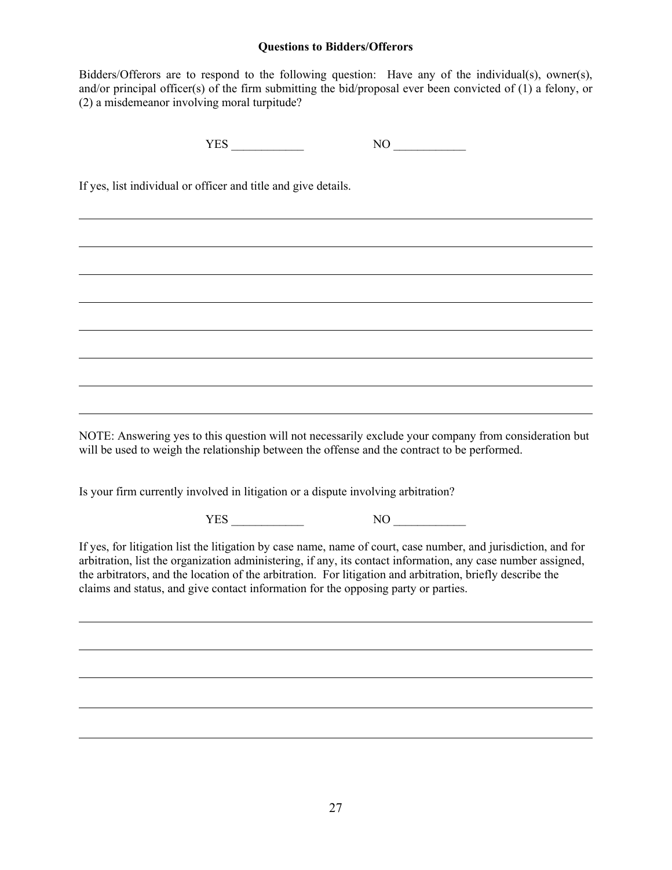#### **Questions to Bidders/Offerors**

Bidders/Offerors are to respond to the following question: Have any of the individual(s), owner(s), and/or principal officer(s) of the firm submitting the bid/proposal ever been convicted of (1) a felony, or (2) a misdemeanor involving moral turpitude?

 $YES$  NO  $\qquad$ 

If yes, list individual or officer and title and give details.

 $\overline{a}$ 

l

l

l

NOTE: Answering yes to this question will not necessarily exclude your company from consideration but will be used to weigh the relationship between the offense and the contract to be performed.

<u> 1989 - Johann Stoff, deutscher Stoffen und der Stoffen und der Stoffen und der Stoffen und der Stoffen und der</u>

Is your firm currently involved in litigation or a dispute involving arbitration?

YES \_\_\_\_\_\_\_\_\_\_\_\_ NO \_\_\_\_\_\_\_\_\_\_\_\_

If yes, for litigation list the litigation by case name, name of court, case number, and jurisdiction, and for arbitration, list the organization administering, if any, its contact information, any case number assigned, the arbitrators, and the location of the arbitration. For litigation and arbitration, briefly describe the claims and status, and give contact information for the opposing party or parties.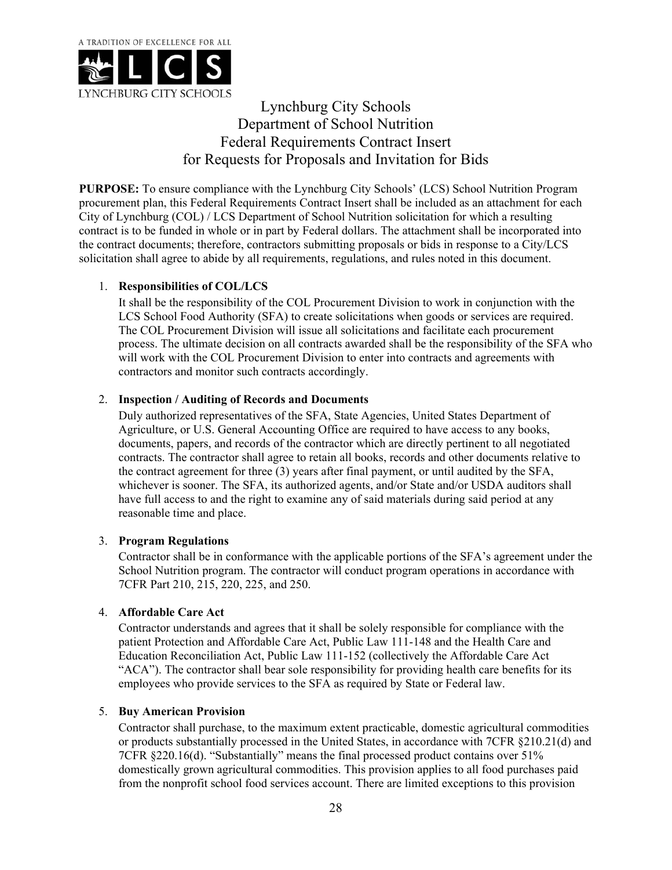

Lynchburg City Schools Department of School Nutrition Federal Requirements Contract Insert for Requests for Proposals and Invitation for Bids

**PURPOSE:** To ensure compliance with the Lynchburg City Schools' (LCS) School Nutrition Program procurement plan, this Federal Requirements Contract Insert shall be included as an attachment for each City of Lynchburg (COL) / LCS Department of School Nutrition solicitation for which a resulting contract is to be funded in whole or in part by Federal dollars. The attachment shall be incorporated into the contract documents; therefore, contractors submitting proposals or bids in response to a City/LCS solicitation shall agree to abide by all requirements, regulations, and rules noted in this document.

## 1. **Responsibilities of COL/LCS**

It shall be the responsibility of the COL Procurement Division to work in conjunction with the LCS School Food Authority (SFA) to create solicitations when goods or services are required. The COL Procurement Division will issue all solicitations and facilitate each procurement process. The ultimate decision on all contracts awarded shall be the responsibility of the SFA who will work with the COL Procurement Division to enter into contracts and agreements with contractors and monitor such contracts accordingly.

## 2. **Inspection / Auditing of Records and Documents**

Duly authorized representatives of the SFA, State Agencies, United States Department of Agriculture, or U.S. General Accounting Office are required to have access to any books, documents, papers, and records of the contractor which are directly pertinent to all negotiated contracts. The contractor shall agree to retain all books, records and other documents relative to the contract agreement for three (3) years after final payment, or until audited by the SFA, whichever is sooner. The SFA, its authorized agents, and/or State and/or USDA auditors shall have full access to and the right to examine any of said materials during said period at any reasonable time and place.

## 3. **Program Regulations**

Contractor shall be in conformance with the applicable portions of the SFA's agreement under the School Nutrition program. The contractor will conduct program operations in accordance with 7CFR Part 210, 215, 220, 225, and 250.

## 4. **Affordable Care Act**

Contractor understands and agrees that it shall be solely responsible for compliance with the patient Protection and Affordable Care Act, Public Law 111-148 and the Health Care and Education Reconciliation Act, Public Law 111-152 (collectively the Affordable Care Act "ACA"). The contractor shall bear sole responsibility for providing health care benefits for its employees who provide services to the SFA as required by State or Federal law.

## 5. **Buy American Provision**

Contractor shall purchase, to the maximum extent practicable, domestic agricultural commodities or products substantially processed in the United States, in accordance with 7CFR §210.21(d) and 7CFR §220.16(d). "Substantially" means the final processed product contains over 51% domestically grown agricultural commodities. This provision applies to all food purchases paid from the nonprofit school food services account. There are limited exceptions to this provision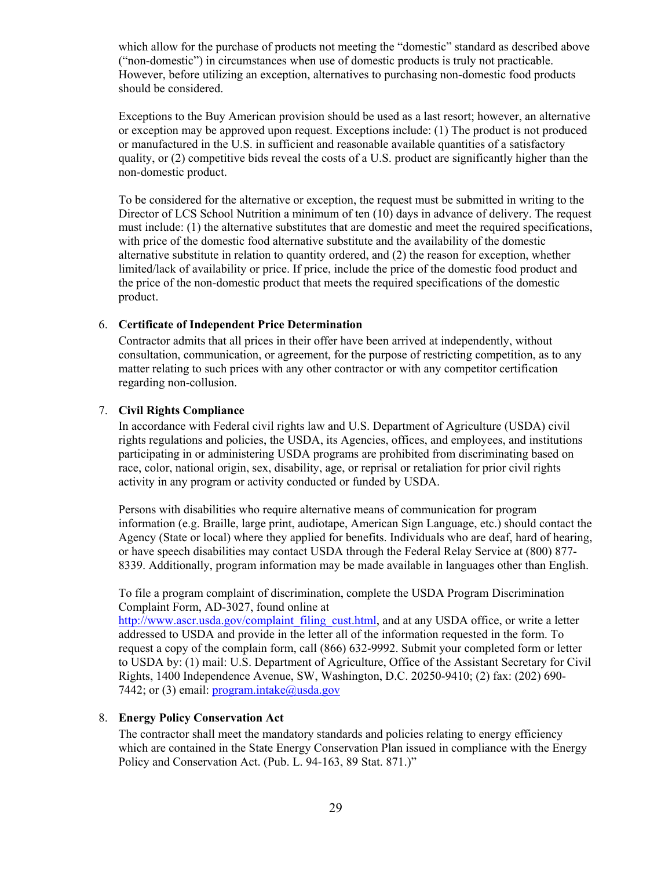which allow for the purchase of products not meeting the "domestic" standard as described above ("non-domestic") in circumstances when use of domestic products is truly not practicable. However, before utilizing an exception, alternatives to purchasing non-domestic food products should be considered.

Exceptions to the Buy American provision should be used as a last resort; however, an alternative or exception may be approved upon request. Exceptions include: (1) The product is not produced or manufactured in the U.S. in sufficient and reasonable available quantities of a satisfactory quality, or (2) competitive bids reveal the costs of a U.S. product are significantly higher than the non-domestic product.

To be considered for the alternative or exception, the request must be submitted in writing to the Director of LCS School Nutrition a minimum of ten (10) days in advance of delivery. The request must include: (1) the alternative substitutes that are domestic and meet the required specifications, with price of the domestic food alternative substitute and the availability of the domestic alternative substitute in relation to quantity ordered, and (2) the reason for exception, whether limited/lack of availability or price. If price, include the price of the domestic food product and the price of the non-domestic product that meets the required specifications of the domestic product.

#### 6. **Certificate of Independent Price Determination**

Contractor admits that all prices in their offer have been arrived at independently, without consultation, communication, or agreement, for the purpose of restricting competition, as to any matter relating to such prices with any other contractor or with any competitor certification regarding non-collusion.

## 7. **Civil Rights Compliance**

In accordance with Federal civil rights law and U.S. Department of Agriculture (USDA) civil rights regulations and policies, the USDA, its Agencies, offices, and employees, and institutions participating in or administering USDA programs are prohibited from discriminating based on race, color, national origin, sex, disability, age, or reprisal or retaliation for prior civil rights activity in any program or activity conducted or funded by USDA.

Persons with disabilities who require alternative means of communication for program information (e.g. Braille, large print, audiotape, American Sign Language, etc.) should contact the Agency (State or local) where they applied for benefits. Individuals who are deaf, hard of hearing, or have speech disabilities may contact USDA through the Federal Relay Service at (800) 877- 8339. Additionally, program information may be made available in languages other than English.

To file a program complaint of discrimination, complete the USDA Program Discrimination Complaint Form, AD-3027, found online at

http://www.ascr.usda.gov/complaint\_filing\_cust.html, and at any USDA office, or write a letter addressed to USDA and provide in the letter all of the information requested in the form. To request a copy of the complain form, call (866) 632-9992. Submit your completed form or letter to USDA by: (1) mail: U.S. Department of Agriculture, Office of the Assistant Secretary for Civil Rights, 1400 Independence Avenue, SW, Washington, D.C. 20250-9410; (2) fax: (202) 690- 7442; or (3) email:  $program.intake@usda.gov$ 

#### 8. **Energy Policy Conservation Act**

The contractor shall meet the mandatory standards and policies relating to energy efficiency which are contained in the State Energy Conservation Plan issued in compliance with the Energy Policy and Conservation Act. (Pub. L. 94-163, 89 Stat. 871.)"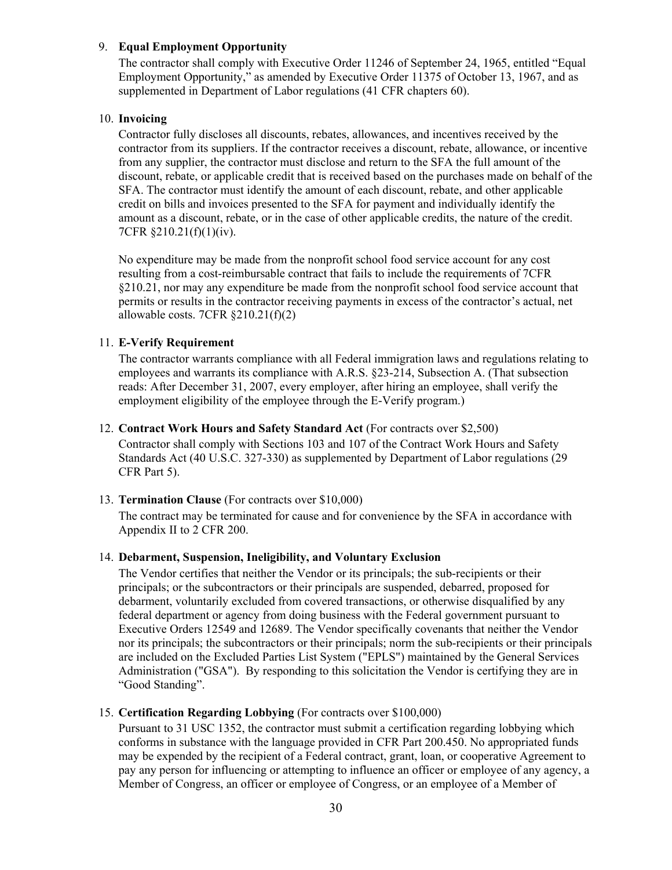#### 9. **Equal Employment Opportunity**

The contractor shall comply with Executive Order 11246 of September 24, 1965, entitled "Equal Employment Opportunity," as amended by Executive Order 11375 of October 13, 1967, and as supplemented in Department of Labor regulations (41 CFR chapters 60).

## 10. **Invoicing**

Contractor fully discloses all discounts, rebates, allowances, and incentives received by the contractor from its suppliers. If the contractor receives a discount, rebate, allowance, or incentive from any supplier, the contractor must disclose and return to the SFA the full amount of the discount, rebate, or applicable credit that is received based on the purchases made on behalf of the SFA. The contractor must identify the amount of each discount, rebate, and other applicable credit on bills and invoices presented to the SFA for payment and individually identify the amount as a discount, rebate, or in the case of other applicable credits, the nature of the credit. 7CFR §210.21(f)(1)(iv).

No expenditure may be made from the nonprofit school food service account for any cost resulting from a cost-reimbursable contract that fails to include the requirements of 7CFR §210.21, nor may any expenditure be made from the nonprofit school food service account that permits or results in the contractor receiving payments in excess of the contractor's actual, net allowable costs. 7CFR  $\S210.21(f)(2)$ 

#### 11. **E-Verify Requirement**

The contractor warrants compliance with all Federal immigration laws and regulations relating to employees and warrants its compliance with A.R.S. §23-214, Subsection A. (That subsection reads: After December 31, 2007, every employer, after hiring an employee, shall verify the employment eligibility of the employee through the E-Verify program.)

#### 12. **Contract Work Hours and Safety Standard Act** (For contracts over \$2,500)

Contractor shall comply with Sections 103 and 107 of the Contract Work Hours and Safety Standards Act (40 U.S.C. 327-330) as supplemented by Department of Labor regulations (29 CFR Part 5).

## 13. **Termination Clause** (For contracts over \$10,000)

The contract may be terminated for cause and for convenience by the SFA in accordance with Appendix II to 2 CFR 200.

## 14. **Debarment, Suspension, Ineligibility, and Voluntary Exclusion**

The Vendor certifies that neither the Vendor or its principals; the sub-recipients or their principals; or the subcontractors or their principals are suspended, debarred, proposed for debarment, voluntarily excluded from covered transactions, or otherwise disqualified by any federal department or agency from doing business with the Federal government pursuant to Executive Orders 12549 and 12689. The Vendor specifically covenants that neither the Vendor nor its principals; the subcontractors or their principals; norm the sub-recipients or their principals are included on the Excluded Parties List System ("EPLS") maintained by the General Services Administration ("GSA"). By responding to this solicitation the Vendor is certifying they are in "Good Standing".

## 15. **Certification Regarding Lobbying** (For contracts over \$100,000)

Pursuant to 31 USC 1352, the contractor must submit a certification regarding lobbying which conforms in substance with the language provided in CFR Part 200.450. No appropriated funds may be expended by the recipient of a Federal contract, grant, loan, or cooperative Agreement to pay any person for influencing or attempting to influence an officer or employee of any agency, a Member of Congress, an officer or employee of Congress, or an employee of a Member of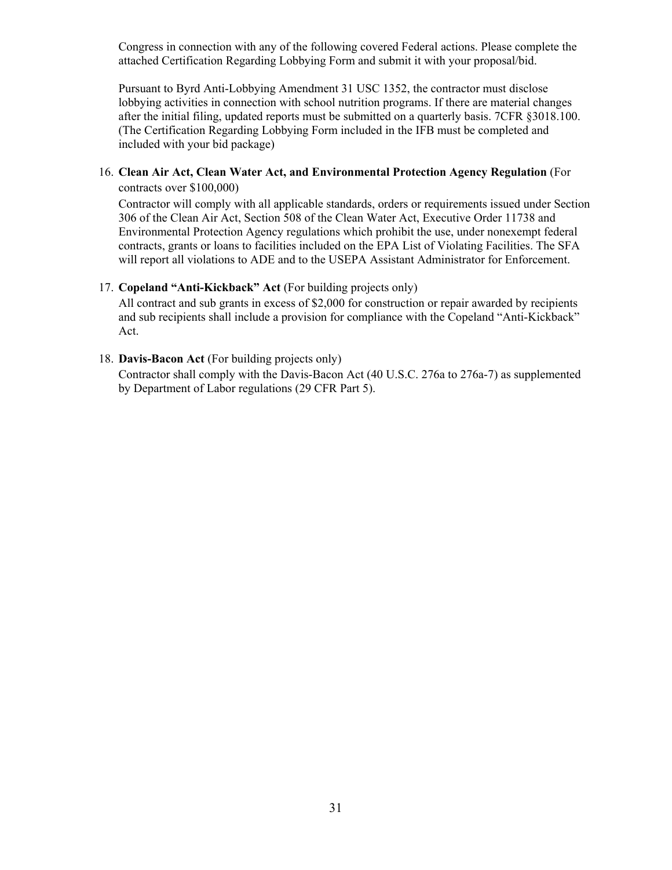Congress in connection with any of the following covered Federal actions. Please complete the attached Certification Regarding Lobbying Form and submit it with your proposal/bid.

Pursuant to Byrd Anti-Lobbying Amendment 31 USC 1352, the contractor must disclose lobbying activities in connection with school nutrition programs. If there are material changes after the initial filing, updated reports must be submitted on a quarterly basis. 7CFR §3018.100. (The Certification Regarding Lobbying Form included in the IFB must be completed and included with your bid package)

# 16. **Clean Air Act, Clean Water Act, and Environmental Protection Agency Regulation** (For

contracts over \$100,000)

Contractor will comply with all applicable standards, orders or requirements issued under Section 306 of the Clean Air Act, Section 508 of the Clean Water Act, Executive Order 11738 and Environmental Protection Agency regulations which prohibit the use, under nonexempt federal contracts, grants or loans to facilities included on the EPA List of Violating Facilities. The SFA will report all violations to ADE and to the USEPA Assistant Administrator for Enforcement.

## 17. **Copeland "Anti-Kickback" Act** (For building projects only)

All contract and sub grants in excess of \$2,000 for construction or repair awarded by recipients and sub recipients shall include a provision for compliance with the Copeland "Anti-Kickback" Act.

## 18. **Davis-Bacon Act** (For building projects only)

Contractor shall comply with the Davis-Bacon Act (40 U.S.C. 276a to 276a-7) as supplemented by Department of Labor regulations (29 CFR Part 5).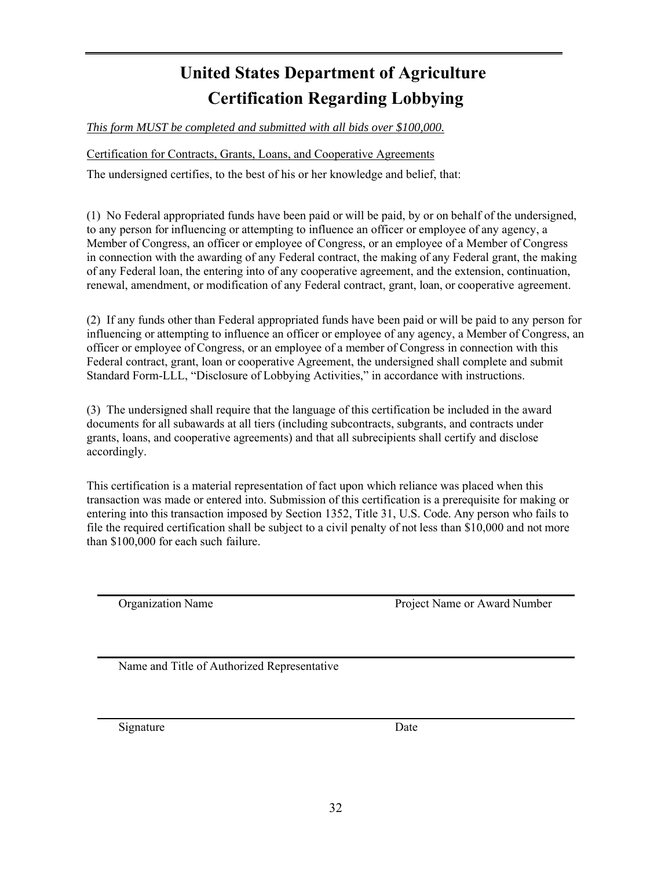# **United States Department of Agriculture Certification Regarding Lobbying**

*This form MUST be completed and submitted with all bids over \$100,000.* 

Certification for Contracts, Grants, Loans, and Cooperative Agreements

The undersigned certifies, to the best of his or her knowledge and belief, that:

(1) No Federal appropriated funds have been paid or will be paid, by or on behalf of the undersigned, to any person for influencing or attempting to influence an officer or employee of any agency, a Member of Congress, an officer or employee of Congress, or an employee of a Member of Congress in connection with the awarding of any Federal contract, the making of any Federal grant, the making of any Federal loan, the entering into of any cooperative agreement, and the extension, continuation, renewal, amendment, or modification of any Federal contract, grant, loan, or cooperative agreement.

(2) If any funds other than Federal appropriated funds have been paid or will be paid to any person for influencing or attempting to influence an officer or employee of any agency, a Member of Congress, an officer or employee of Congress, or an employee of a member of Congress in connection with this Federal contract, grant, loan or cooperative Agreement, the undersigned shall complete and submit Standard Form-LLL, "Disclosure of Lobbying Activities," in accordance with instructions.

(3) The undersigned shall require that the language of this certification be included in the award documents for all subawards at all tiers (including subcontracts, subgrants, and contracts under grants, loans, and cooperative agreements) and that all subrecipients shall certify and disclose accordingly.

This certification is a material representation of fact upon which reliance was placed when this transaction was made or entered into. Submission of this certification is a prerequisite for making or entering into this transaction imposed by Section 1352, Title 31, U.S. Code. Any person who fails to file the required certification shall be subject to a civil penalty of not less than \$10,000 and not more than \$100,000 for each such failure.

Organization Name Project Name or Award Number

Name and Title of Authorized Representative

Signature Date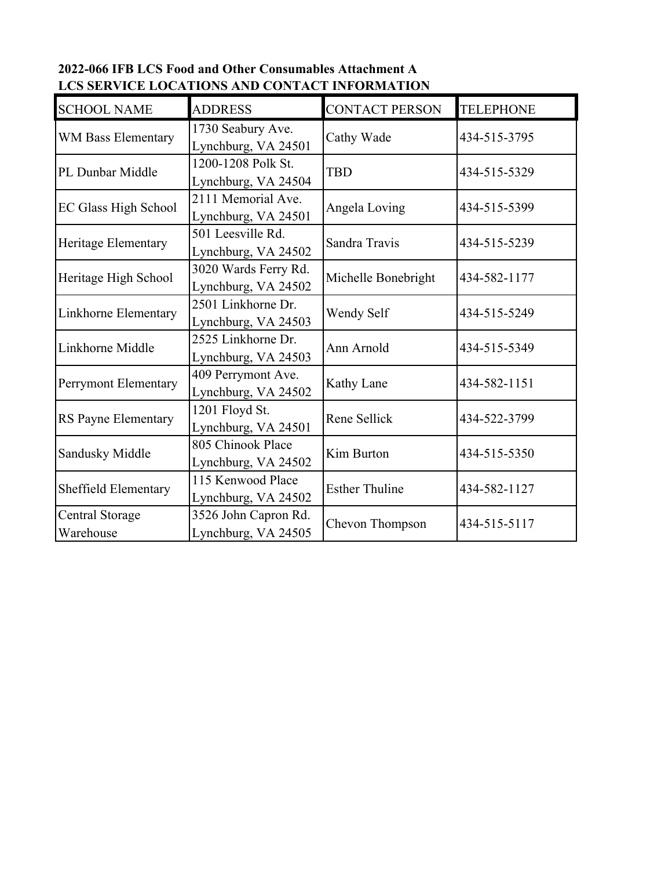## **2022-066 IFB LCS Food and Other Consumables Attachment A LCS SERVICE LOCATIONS AND CONTACT INFORMATION**

| <b>SCHOOL NAME</b>           | <b>ADDRESS</b>                              | <b>CONTACT PERSON</b> | <b>TELEPHONE</b> |
|------------------------------|---------------------------------------------|-----------------------|------------------|
| WM Bass Elementary           | 1730 Seabury Ave.<br>Lynchburg, VA 24501    | Cathy Wade            | 434-515-3795     |
| PL Dunbar Middle             | 1200-1208 Polk St.<br>Lynchburg, VA 24504   | <b>TBD</b>            | 434-515-5329     |
| <b>EC Glass High School</b>  | 2111 Memorial Ave.<br>Lynchburg, VA 24501   | Angela Loving         | 434-515-5399     |
| Heritage Elementary          | 501 Leesville Rd.<br>Lynchburg, VA 24502    | Sandra Travis         | 434-515-5239     |
| Heritage High School         | 3020 Wards Ferry Rd.<br>Lynchburg, VA 24502 | Michelle Bonebright   | 434-582-1177     |
| Linkhorne Elementary         | 2501 Linkhorne Dr.<br>Lynchburg, VA 24503   | Wendy Self            | 434-515-5249     |
| Linkhorne Middle             | 2525 Linkhorne Dr.<br>Lynchburg, VA 24503   | Ann Arnold            | 434-515-5349     |
| Perrymont Elementary         | 409 Perrymont Ave.<br>Lynchburg, VA 24502   | Kathy Lane            | 434-582-1151     |
| RS Payne Elementary          | 1201 Floyd St.<br>Lynchburg, VA 24501       | Rene Sellick          | 434-522-3799     |
| Sandusky Middle              | 805 Chinook Place<br>Lynchburg, VA 24502    | Kim Burton            | 434-515-5350     |
| Sheffield Elementary         | 115 Kenwood Place<br>Lynchburg, VA 24502    | <b>Esther Thuline</b> | 434-582-1127     |
| Central Storage<br>Warehouse | 3526 John Capron Rd.<br>Lynchburg, VA 24505 | Chevon Thompson       | 434-515-5117     |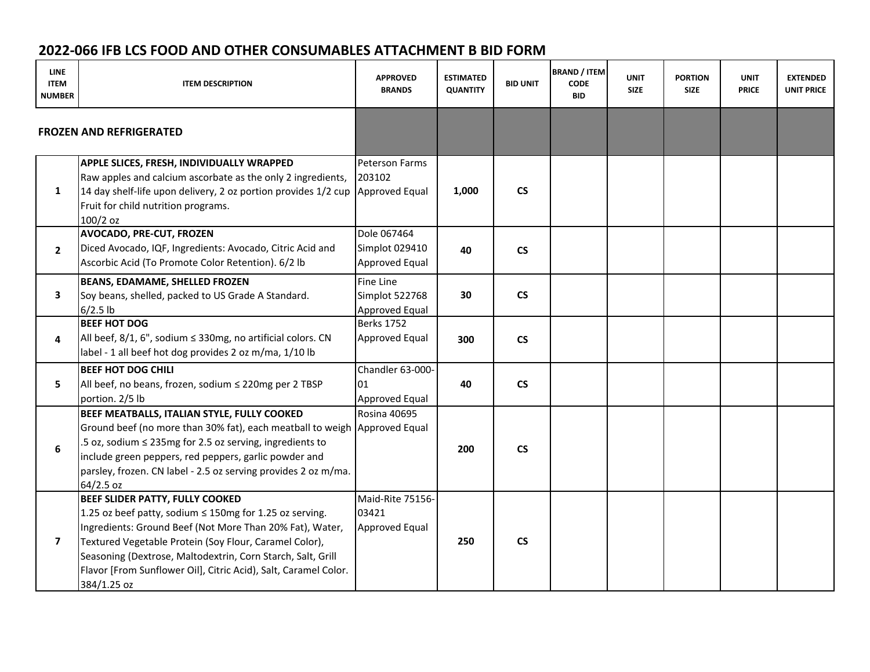## **2022‐066 IFB LCS FOOD AND OTHER CONSUMABLES ATTACHMENT B BID FORM**

| <b>LINE</b><br><b>ITEM</b><br><b>NUMBER</b> | <b>ITEM DESCRIPTION</b>                                                                                                                                                                                                                                                                                                                                           | <b>APPROVED</b><br><b>BRANDS</b>                | <b>ESTIMATED</b><br><b>QUANTITY</b> | <b>BID UNIT</b>          | <b>BRAND / ITEM</b><br><b>CODE</b><br><b>BID</b> | <b>UNIT</b><br><b>SIZE</b> | <b>PORTION</b><br><b>SIZE</b> | <b>UNIT</b><br><b>PRICE</b> | <b>EXTENDED</b><br><b>UNIT PRICE</b> |
|---------------------------------------------|-------------------------------------------------------------------------------------------------------------------------------------------------------------------------------------------------------------------------------------------------------------------------------------------------------------------------------------------------------------------|-------------------------------------------------|-------------------------------------|--------------------------|--------------------------------------------------|----------------------------|-------------------------------|-----------------------------|--------------------------------------|
|                                             | <b>FROZEN AND REFRIGERATED</b>                                                                                                                                                                                                                                                                                                                                    |                                                 |                                     |                          |                                                  |                            |                               |                             |                                      |
| $\mathbf{1}$                                | APPLE SLICES, FRESH, INDIVIDUALLY WRAPPED<br>Raw apples and calcium ascorbate as the only 2 ingredients,<br>14 day shelf-life upon delivery, 2 oz portion provides 1/2 cup Approved Equal<br>Fruit for child nutrition programs.<br>100/2 oz                                                                                                                      | <b>Peterson Farms</b><br>203102                 | 1,000                               | $\mathsf{CS}\phantom{0}$ |                                                  |                            |                               |                             |                                      |
| $\overline{2}$                              | <b>AVOCADO, PRE-CUT, FROZEN</b><br>Diced Avocado, IQF, Ingredients: Avocado, Citric Acid and<br>Ascorbic Acid (To Promote Color Retention). 6/2 lb                                                                                                                                                                                                                | Dole 067464<br>Simplot 029410<br>Approved Equal | 40                                  | $\mathsf{CS}\phantom{0}$ |                                                  |                            |                               |                             |                                      |
| 3                                           | <b>BEANS, EDAMAME, SHELLED FROZEN</b><br>Soy beans, shelled, packed to US Grade A Standard.<br>$6/2.5$ lb                                                                                                                                                                                                                                                         | Fine Line<br>Simplot 522768<br>Approved Equal   | 30                                  | $\mathsf{CS}\phantom{0}$ |                                                  |                            |                               |                             |                                      |
| 4                                           | <b>BEEF HOT DOG</b><br>All beef, $8/1$ , 6", sodium $\leq$ 330mg, no artificial colors. CN<br>label - 1 all beef hot dog provides 2 oz m/ma, 1/10 lb                                                                                                                                                                                                              | <b>Berks 1752</b><br><b>Approved Equal</b>      | 300                                 | $\mathsf{CS}\phantom{0}$ |                                                  |                            |                               |                             |                                      |
| 5.                                          | <b>BEEF HOT DOG CHILI</b><br>All beef, no beans, frozen, sodium $\leq$ 220mg per 2 TBSP<br>portion. 2/5 lb                                                                                                                                                                                                                                                        | Chandler 63-000-<br>01<br>Approved Equal        | 40                                  | $\mathsf{CS}\phantom{0}$ |                                                  |                            |                               |                             |                                      |
| 6                                           | BEEF MEATBALLS, ITALIAN STYLE, FULLY COOKED<br>Ground beef (no more than 30% fat), each meatball to weigh Approved Equal<br>.5 oz, sodium ≤ 235mg for 2.5 oz serving, ingredients to<br>include green peppers, red peppers, garlic powder and<br>parsley, frozen. CN label - 2.5 oz serving provides 2 oz m/ma.<br>64/2.5 oz                                      | <b>Rosina 40695</b>                             | 200                                 | $\mathsf{CS}\phantom{0}$ |                                                  |                            |                               |                             |                                      |
| $\overline{\mathbf{z}}$                     | BEEF SLIDER PATTY, FULLY COOKED<br>1.25 oz beef patty, sodium ≤ 150mg for 1.25 oz serving.<br>Ingredients: Ground Beef (Not More Than 20% Fat), Water,<br>Textured Vegetable Protein (Soy Flour, Caramel Color),<br>Seasoning (Dextrose, Maltodextrin, Corn Starch, Salt, Grill<br>Flavor [From Sunflower Oil], Citric Acid), Salt, Caramel Color.<br>384/1.25 oz | Maid-Rite 75156-<br>03421<br>Approved Equal     | 250                                 | $\mathsf{CS}\phantom{0}$ |                                                  |                            |                               |                             |                                      |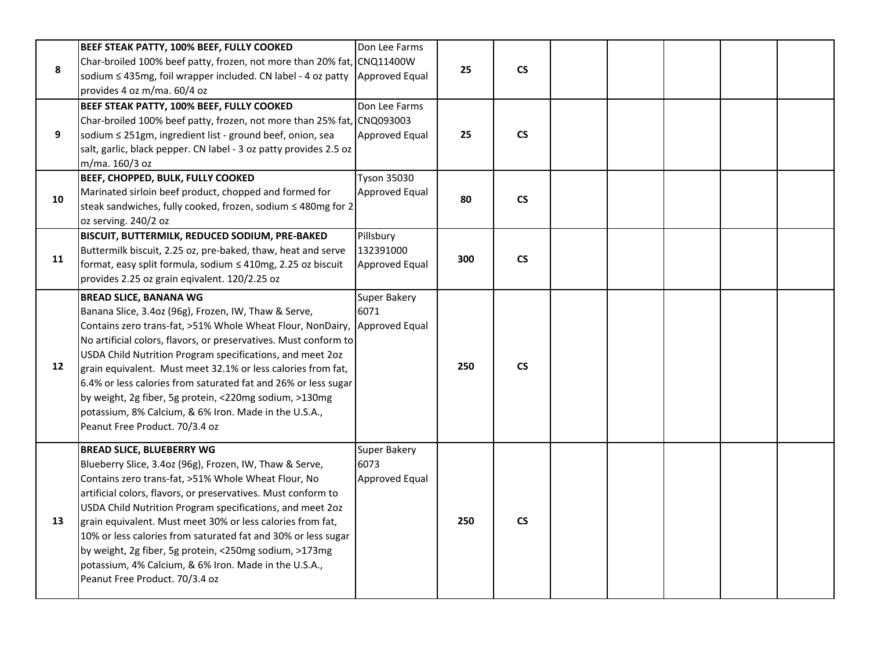|    | BEEF STEAK PATTY, 100% BEEF, FULLY COOKED                                               | Don Lee Farms         |     |                          |  |  |  |
|----|-----------------------------------------------------------------------------------------|-----------------------|-----|--------------------------|--|--|--|
|    | Char-broiled 100% beef patty, frozen, not more than 20% fat, CNQ11400W                  |                       |     | $\mathsf{CS}\phantom{0}$ |  |  |  |
| 8  | sodium ≤ 435mg, foil wrapper included. CN label - 4 oz patty                            | Approved Equal        | 25  |                          |  |  |  |
|    | provides 4 oz m/ma. 60/4 oz                                                             |                       |     |                          |  |  |  |
|    | BEEF STEAK PATTY, 100% BEEF, FULLY COOKED                                               | Don Lee Farms         |     |                          |  |  |  |
|    | Char-broiled 100% beef patty, frozen, not more than 25% fat, CNQ093003                  |                       |     |                          |  |  |  |
| 9  | sodium ≤ 251gm, ingredient list - ground beef, onion, sea                               | Approved Equal        | 25  | $\mathsf{CS}\xspace$     |  |  |  |
|    | salt, garlic, black pepper. CN label - 3 oz patty provides 2.5 oz                       |                       |     |                          |  |  |  |
|    | m/ma. 160/3 oz                                                                          |                       |     |                          |  |  |  |
|    | BEEF, CHOPPED, BULK, FULLY COOKED                                                       | <b>Tyson 35030</b>    |     |                          |  |  |  |
| 10 | Marinated sirloin beef product, chopped and formed for                                  | Approved Equal        | 80  | $\mathsf{CS}\xspace$     |  |  |  |
|    | steak sandwiches, fully cooked, frozen, sodium ≤ 480mg for 2                            |                       |     |                          |  |  |  |
|    | oz serving. 240/2 oz                                                                    |                       |     |                          |  |  |  |
|    | BISCUIT, BUTTERMILK, REDUCED SODIUM, PRE-BAKED                                          | Pillsbury             |     |                          |  |  |  |
| 11 | Buttermilk biscuit, 2.25 oz, pre-baked, thaw, heat and serve                            | 132391000             | 300 | $\mathsf{CS}\phantom{0}$ |  |  |  |
|    | format, easy split formula, sodium ≤ 410mg, 2.25 oz biscuit                             | <b>Approved Equal</b> |     |                          |  |  |  |
|    | provides 2.25 oz grain eqivalent. 120/2.25 oz                                           |                       |     |                          |  |  |  |
|    | <b>BREAD SLICE, BANANA WG</b>                                                           | Super Bakery          |     |                          |  |  |  |
|    | Banana Slice, 3.4oz (96g), Frozen, IW, Thaw & Serve,                                    | 6071                  |     |                          |  |  |  |
|    | Contains zero trans-fat, >51% Whole Wheat Flour, NonDairy,                              | Approved Equal        |     |                          |  |  |  |
|    | No artificial colors, flavors, or preservatives. Must conform to                        |                       |     |                          |  |  |  |
| 12 | USDA Child Nutrition Program specifications, and meet 2oz                               |                       | 250 | $\mathsf{CS}\xspace$     |  |  |  |
|    | grain equivalent. Must meet 32.1% or less calories from fat,                            |                       |     |                          |  |  |  |
|    | 6.4% or less calories from saturated fat and 26% or less sugar                          |                       |     |                          |  |  |  |
|    | by weight, 2g fiber, 5g protein, <220mg sodium, >130mg                                  |                       |     |                          |  |  |  |
|    | potassium, 8% Calcium, & 6% Iron. Made in the U.S.A.,<br>Peanut Free Product. 70/3.4 oz |                       |     |                          |  |  |  |
|    |                                                                                         |                       |     |                          |  |  |  |
|    | <b>BREAD SLICE, BLUEBERRY WG</b>                                                        | <b>Super Bakery</b>   |     |                          |  |  |  |
|    | Blueberry Slice, 3.4oz (96g), Frozen, IW, Thaw & Serve,                                 | 6073                  |     |                          |  |  |  |
|    | Contains zero trans-fat, >51% Whole Wheat Flour, No                                     | <b>Approved Equal</b> |     |                          |  |  |  |
|    | artificial colors, flavors, or preservatives. Must conform to                           |                       |     |                          |  |  |  |
|    | USDA Child Nutrition Program specifications, and meet 2oz                               |                       |     |                          |  |  |  |
| 13 | grain equivalent. Must meet 30% or less calories from fat,                              |                       | 250 | $\mathsf{CS}\phantom{0}$ |  |  |  |
|    | 10% or less calories from saturated fat and 30% or less sugar                           |                       |     |                          |  |  |  |
|    | by weight, 2g fiber, 5g protein, <250mg sodium, >173mg                                  |                       |     |                          |  |  |  |
|    | potassium, 4% Calcium, & 6% Iron. Made in the U.S.A.,                                   |                       |     |                          |  |  |  |
|    |                                                                                         |                       |     |                          |  |  |  |
|    | Peanut Free Product. 70/3.4 oz                                                          |                       |     |                          |  |  |  |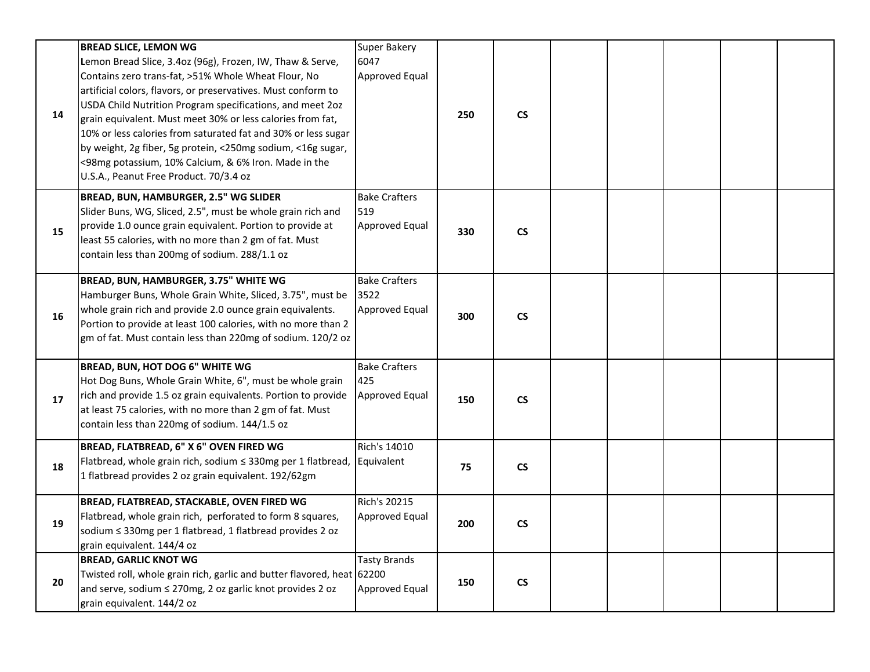| 14 | <b>BREAD SLICE, LEMON WG</b><br>Lemon Bread Slice, 3.4oz (96g), Frozen, IW, Thaw & Serve,<br>Contains zero trans-fat, >51% Whole Wheat Flour, No<br>artificial colors, flavors, or preservatives. Must conform to<br>USDA Child Nutrition Program specifications, and meet 2oz<br>grain equivalent. Must meet 30% or less calories from fat,<br>10% or less calories from saturated fat and 30% or less sugar<br>by weight, 2g fiber, 5g protein, <250mg sodium, <16g sugar,<br><98mg potassium, 10% Calcium, & 6% Iron. Made in the<br>U.S.A., Peanut Free Product. 70/3.4 oz | <b>Super Bakery</b><br>6047<br>Approved Equal        | 250 | $\mathsf{CS}\xspace$     |  |  |  |
|----|--------------------------------------------------------------------------------------------------------------------------------------------------------------------------------------------------------------------------------------------------------------------------------------------------------------------------------------------------------------------------------------------------------------------------------------------------------------------------------------------------------------------------------------------------------------------------------|------------------------------------------------------|-----|--------------------------|--|--|--|
| 15 | BREAD, BUN, HAMBURGER, 2.5" WG SLIDER<br>Slider Buns, WG, Sliced, 2.5", must be whole grain rich and<br>provide 1.0 ounce grain equivalent. Portion to provide at<br>least 55 calories, with no more than 2 gm of fat. Must<br>contain less than 200mg of sodium. 288/1.1 oz                                                                                                                                                                                                                                                                                                   | <b>Bake Crafters</b><br>519<br><b>Approved Equal</b> | 330 | $\mathsf{CS}\phantom{0}$ |  |  |  |
| 16 | BREAD, BUN, HAMBURGER, 3.75" WHITE WG<br>Hamburger Buns, Whole Grain White, Sliced, 3.75", must be<br>whole grain rich and provide 2.0 ounce grain equivalents.<br>Portion to provide at least 100 calories, with no more than 2<br>gm of fat. Must contain less than 220mg of sodium. 120/2 oz                                                                                                                                                                                                                                                                                | <b>Bake Crafters</b><br>3522<br>Approved Equal       | 300 | $\mathsf{CS}\phantom{0}$ |  |  |  |
| 17 | BREAD, BUN, HOT DOG 6" WHITE WG<br>Hot Dog Buns, Whole Grain White, 6", must be whole grain<br>rich and provide 1.5 oz grain equivalents. Portion to provide<br>at least 75 calories, with no more than 2 gm of fat. Must<br>contain less than 220mg of sodium. 144/1.5 oz                                                                                                                                                                                                                                                                                                     | <b>Bake Crafters</b><br>425<br>Approved Equal        | 150 | $\mathsf{CS}\phantom{0}$ |  |  |  |
| 18 | BREAD, FLATBREAD, 6" X 6" OVEN FIRED WG<br>Flatbread, whole grain rich, sodium ≤ 330mg per 1 flatbread,<br>1 flatbread provides 2 oz grain equivalent. 192/62gm                                                                                                                                                                                                                                                                                                                                                                                                                | Rich's 14010<br>Equivalent                           | 75  | $\mathsf{CS}\xspace$     |  |  |  |
| 19 | BREAD, FLATBREAD, STACKABLE, OVEN FIRED WG<br>Flatbread, whole grain rich, perforated to form 8 squares,<br>sodium < 330mg per 1 flatbread, 1 flatbread provides 2 oz<br>grain equivalent. 144/4 oz                                                                                                                                                                                                                                                                                                                                                                            | <b>Rich's 20215</b><br>Approved Equal                | 200 | $\mathsf{CS}\xspace$     |  |  |  |
| 20 | <b>BREAD, GARLIC KNOT WG</b><br>Twisted roll, whole grain rich, garlic and butter flavored, heat 62200<br>and serve, sodium ≤ 270mg, 2 oz garlic knot provides 2 oz<br>grain equivalent. 144/2 oz                                                                                                                                                                                                                                                                                                                                                                              | <b>Tasty Brands</b><br><b>Approved Equal</b>         | 150 | $\mathsf{CS}\xspace$     |  |  |  |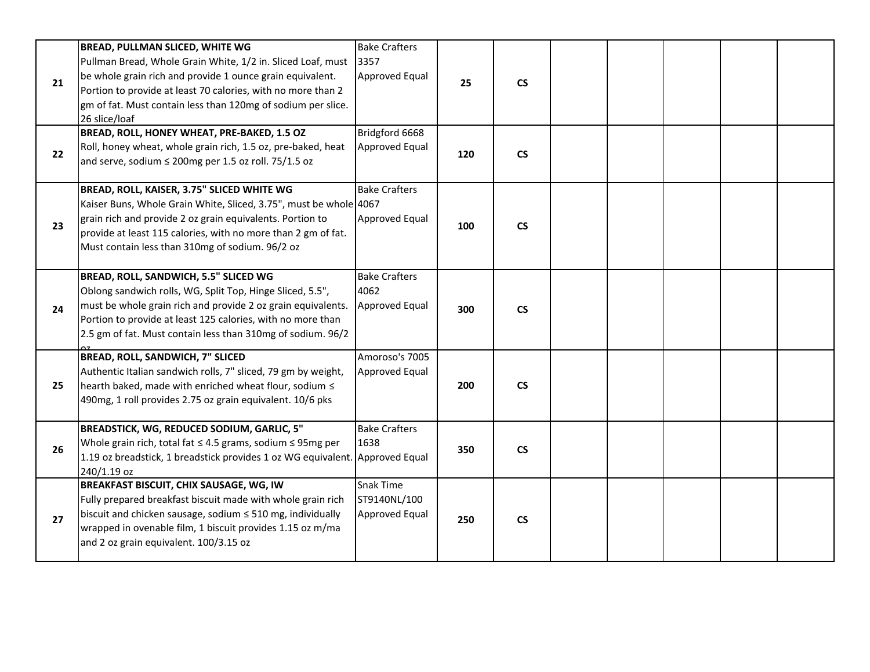| 21 | <b>BREAD, PULLMAN SLICED, WHITE WG</b><br>Pullman Bread, Whole Grain White, 1/2 in. Sliced Loaf, must<br>be whole grain rich and provide 1 ounce grain equivalent.<br>Portion to provide at least 70 calories, with no more than 2<br>gm of fat. Must contain less than 120mg of sodium per slice.<br>26 slice/loaf | <b>Bake Crafters</b><br>3357<br>Approved Equal        | 25  | $\mathsf{CS}\phantom{0}$ |  |  |  |
|----|---------------------------------------------------------------------------------------------------------------------------------------------------------------------------------------------------------------------------------------------------------------------------------------------------------------------|-------------------------------------------------------|-----|--------------------------|--|--|--|
| 22 | BREAD, ROLL, HONEY WHEAT, PRE-BAKED, 1.5 OZ<br>Roll, honey wheat, whole grain rich, 1.5 oz, pre-baked, heat<br>and serve, sodium $\leq$ 200mg per 1.5 oz roll. 75/1.5 oz                                                                                                                                            | Bridgford 6668<br><b>Approved Equal</b>               | 120 | $\mathsf{CS}\phantom{0}$ |  |  |  |
| 23 | BREAD, ROLL, KAISER, 3.75" SLICED WHITE WG<br>Kaiser Buns, Whole Grain White, Sliced, 3.75", must be whole 4067<br>grain rich and provide 2 oz grain equivalents. Portion to<br>provide at least 115 calories, with no more than 2 gm of fat.<br>Must contain less than 310mg of sodium. 96/2 oz                    | <b>Bake Crafters</b><br><b>Approved Equal</b>         | 100 | $\mathsf{CS}\phantom{0}$ |  |  |  |
| 24 | BREAD, ROLL, SANDWICH, 5.5" SLICED WG<br>Oblong sandwich rolls, WG, Split Top, Hinge Sliced, 5.5",<br>must be whole grain rich and provide 2 oz grain equivalents.<br>Portion to provide at least 125 calories, with no more than<br>2.5 gm of fat. Must contain less than 310mg of sodium. 96/2                    | <b>Bake Crafters</b><br>4062<br><b>Approved Equal</b> | 300 | $\mathsf{CS}\phantom{0}$ |  |  |  |
| 25 | BREAD, ROLL, SANDWICH, 7" SLICED<br>Authentic Italian sandwich rolls, 7" sliced, 79 gm by weight,<br>hearth baked, made with enriched wheat flour, sodium $\leq$<br>490mg, 1 roll provides 2.75 oz grain equivalent. 10/6 pks                                                                                       | Amoroso's 7005<br><b>Approved Equal</b>               | 200 | $\mathsf{CS}\phantom{0}$ |  |  |  |
| 26 | BREADSTICK, WG, REDUCED SODIUM, GARLIC, 5"<br>Whole grain rich, total fat ≤ 4.5 grams, sodium ≤ 95mg per<br>1.19 oz breadstick, 1 breadstick provides 1 oz WG equivalent. Approved Equal<br>240/1.19 oz                                                                                                             | <b>Bake Crafters</b><br>1638                          | 350 | $\mathsf{CS}\phantom{0}$ |  |  |  |
| 27 | <b>BREAKFAST BISCUIT, CHIX SAUSAGE, WG, IW</b><br>Fully prepared breakfast biscuit made with whole grain rich<br>biscuit and chicken sausage, sodium $\leq$ 510 mg, individually<br>wrapped in ovenable film, 1 biscuit provides 1.15 oz m/ma<br>and 2 oz grain equivalent. 100/3.15 oz                             | Snak Time<br>ST9140NL/100<br><b>Approved Equal</b>    | 250 | $\mathsf{CS}\phantom{0}$ |  |  |  |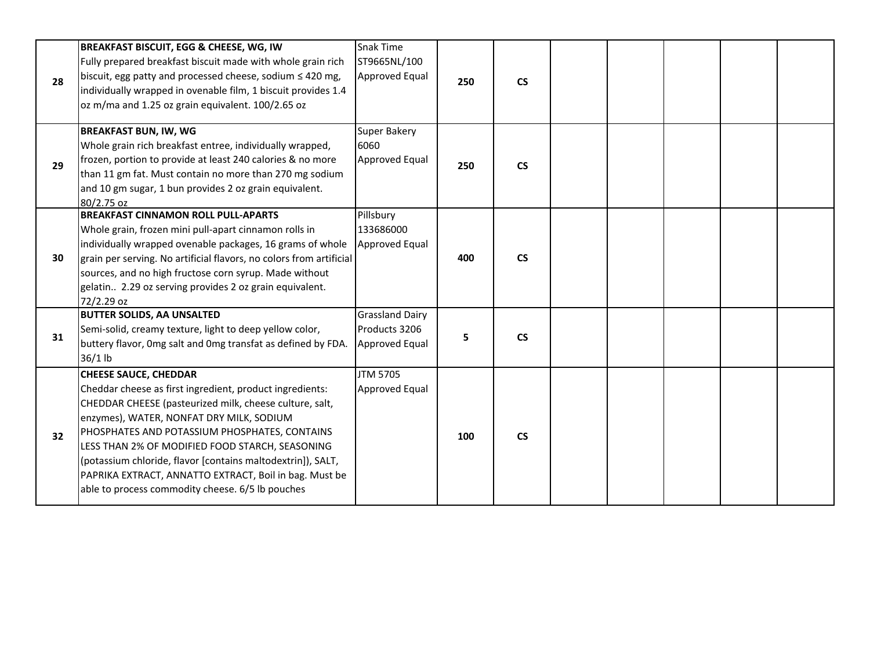| 28 | BREAKFAST BISCUIT, EGG & CHEESE, WG, IW<br>Fully prepared breakfast biscuit made with whole grain rich<br>biscuit, egg patty and processed cheese, sodium $\leq 420$ mg,<br>individually wrapped in ovenable film, 1 biscuit provides 1.4<br>oz m/ma and 1.25 oz grain equivalent. 100/2.65 oz                                                                                                                                                                                   | Snak Time<br>ST9665NL/100<br><b>Approved Equal</b>               | 250 | $\mathsf{CS}\phantom{0}$ |  |  |  |
|----|----------------------------------------------------------------------------------------------------------------------------------------------------------------------------------------------------------------------------------------------------------------------------------------------------------------------------------------------------------------------------------------------------------------------------------------------------------------------------------|------------------------------------------------------------------|-----|--------------------------|--|--|--|
| 29 | <b>BREAKFAST BUN, IW, WG</b><br>Whole grain rich breakfast entree, individually wrapped,<br>frozen, portion to provide at least 240 calories & no more<br>than 11 gm fat. Must contain no more than 270 mg sodium<br>and 10 gm sugar, 1 bun provides 2 oz grain equivalent.<br>80/2.75 oz                                                                                                                                                                                        | Super Bakery<br>6060<br>Approved Equal                           | 250 | $\mathsf{CS}\phantom{0}$ |  |  |  |
| 30 | <b>BREAKFAST CINNAMON ROLL PULL-APARTS</b><br>Whole grain, frozen mini pull-apart cinnamon rolls in<br>individually wrapped ovenable packages, 16 grams of whole<br>grain per serving. No artificial flavors, no colors from artificial<br>sources, and no high fructose corn syrup. Made without<br>gelatin 2.29 oz serving provides 2 oz grain equivalent.<br>72/2.29 oz                                                                                                       | Pillsbury<br>133686000<br>Approved Equal                         | 400 | $\mathsf{CS}\phantom{0}$ |  |  |  |
| 31 | <b>BUTTER SOLIDS, AA UNSALTED</b><br>Semi-solid, creamy texture, light to deep yellow color,<br>buttery flavor, Omg salt and Omg transfat as defined by FDA.<br>$36/1$ lb                                                                                                                                                                                                                                                                                                        | <b>Grassland Dairy</b><br>Products 3206<br><b>Approved Equal</b> | 5   | $\mathsf{CS}\phantom{0}$ |  |  |  |
| 32 | <b>CHEESE SAUCE, CHEDDAR</b><br>Cheddar cheese as first ingredient, product ingredients:<br>CHEDDAR CHEESE (pasteurized milk, cheese culture, salt,<br>enzymes), WATER, NONFAT DRY MILK, SODIUM<br>PHOSPHATES AND POTASSIUM PHOSPHATES, CONTAINS<br>LESS THAN 2% OF MODIFIED FOOD STARCH, SEASONING<br>(potassium chloride, flavor [contains maltodextrin]), SALT,<br>PAPRIKA EXTRACT, ANNATTO EXTRACT, Boil in bag. Must be<br>able to process commodity cheese. 6/5 lb pouches | <b>JTM 5705</b><br>Approved Equal                                | 100 | $\mathsf{CS}\phantom{0}$ |  |  |  |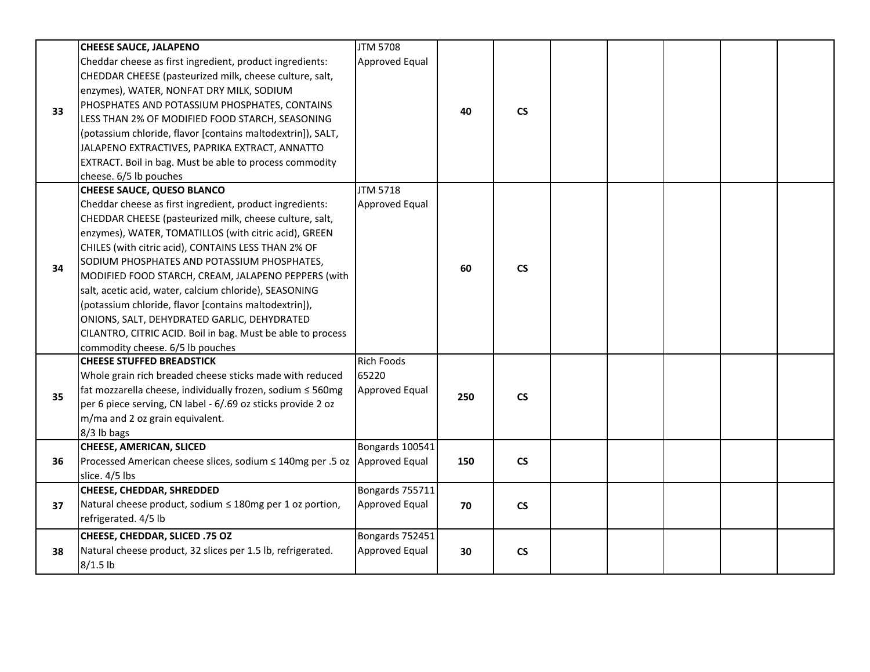|    | <b>CHEESE SAUCE, JALAPENO</b>                                             | <b>JTM 5708</b>   |     |                          |  |  |  |
|----|---------------------------------------------------------------------------|-------------------|-----|--------------------------|--|--|--|
|    | Cheddar cheese as first ingredient, product ingredients:                  | Approved Equal    |     |                          |  |  |  |
|    | CHEDDAR CHEESE (pasteurized milk, cheese culture, salt,                   |                   |     |                          |  |  |  |
|    | enzymes), WATER, NONFAT DRY MILK, SODIUM                                  |                   |     |                          |  |  |  |
|    | PHOSPHATES AND POTASSIUM PHOSPHATES, CONTAINS                             |                   |     |                          |  |  |  |
| 33 | LESS THAN 2% OF MODIFIED FOOD STARCH, SEASONING                           |                   | 40  | $\mathsf{CS}\phantom{0}$ |  |  |  |
|    | (potassium chloride, flavor [contains maltodextrin]), SALT,               |                   |     |                          |  |  |  |
|    | JALAPENO EXTRACTIVES, PAPRIKA EXTRACT, ANNATTO                            |                   |     |                          |  |  |  |
|    | EXTRACT. Boil in bag. Must be able to process commodity                   |                   |     |                          |  |  |  |
|    | cheese. 6/5 lb pouches                                                    |                   |     |                          |  |  |  |
|    | <b>CHEESE SAUCE, QUESO BLANCO</b>                                         | <b>JTM 5718</b>   |     |                          |  |  |  |
|    | Cheddar cheese as first ingredient, product ingredients:                  | Approved Equal    |     |                          |  |  |  |
|    | CHEDDAR CHEESE (pasteurized milk, cheese culture, salt,                   |                   |     |                          |  |  |  |
|    | enzymes), WATER, TOMATILLOS (with citric acid), GREEN                     |                   |     |                          |  |  |  |
|    | CHILES (with citric acid), CONTAINS LESS THAN 2% OF                       |                   |     |                          |  |  |  |
|    | SODIUM PHOSPHATES AND POTASSIUM PHOSPHATES,                               |                   |     |                          |  |  |  |
| 34 |                                                                           |                   | 60  | $\mathsf{CS}\phantom{0}$ |  |  |  |
|    | MODIFIED FOOD STARCH, CREAM, JALAPENO PEPPERS (with                       |                   |     |                          |  |  |  |
|    | salt, acetic acid, water, calcium chloride), SEASONING                    |                   |     |                          |  |  |  |
|    | (potassium chloride, flavor [contains maltodextrin]),                     |                   |     |                          |  |  |  |
|    | ONIONS, SALT, DEHYDRATED GARLIC, DEHYDRATED                               |                   |     |                          |  |  |  |
|    | CILANTRO, CITRIC ACID. Boil in bag. Must be able to process               |                   |     |                          |  |  |  |
|    | commodity cheese. 6/5 lb pouches                                          |                   |     |                          |  |  |  |
|    | <b>CHEESE STUFFED BREADSTICK</b>                                          | <b>Rich Foods</b> |     |                          |  |  |  |
|    | Whole grain rich breaded cheese sticks made with reduced                  | 65220             |     |                          |  |  |  |
| 35 | fat mozzarella cheese, individually frozen, sodium ≤ 560mg                | Approved Equal    | 250 | <b>CS</b>                |  |  |  |
|    | per 6 piece serving, CN label - 6/.69 oz sticks provide 2 oz              |                   |     |                          |  |  |  |
|    | m/ma and 2 oz grain equivalent.                                           |                   |     |                          |  |  |  |
|    | 8/3 lb bags                                                               |                   |     |                          |  |  |  |
|    | <b>CHEESE, AMERICAN, SLICED</b>                                           | Bongards 100541   |     |                          |  |  |  |
| 36 | Processed American cheese slices, sodium ≤ 140mg per .5 oz Approved Equal |                   | 150 | $\mathsf{CS}\phantom{0}$ |  |  |  |
|    | slice. 4/5 lbs                                                            |                   |     |                          |  |  |  |
|    | CHEESE, CHEDDAR, SHREDDED                                                 | Bongards 755711   |     |                          |  |  |  |
| 37 | Natural cheese product, sodium ≤ 180mg per 1 oz portion,                  | Approved Equal    | 70  | <b>CS</b>                |  |  |  |
|    | refrigerated. 4/5 lb                                                      |                   |     |                          |  |  |  |
|    | CHEESE, CHEDDAR, SLICED .75 OZ                                            | Bongards 752451   |     |                          |  |  |  |
| 38 | Natural cheese product, 32 slices per 1.5 lb, refrigerated.               | Approved Equal    | 30  | $\mathsf{CS}\phantom{0}$ |  |  |  |
|    | $8/1.5$ lb                                                                |                   |     |                          |  |  |  |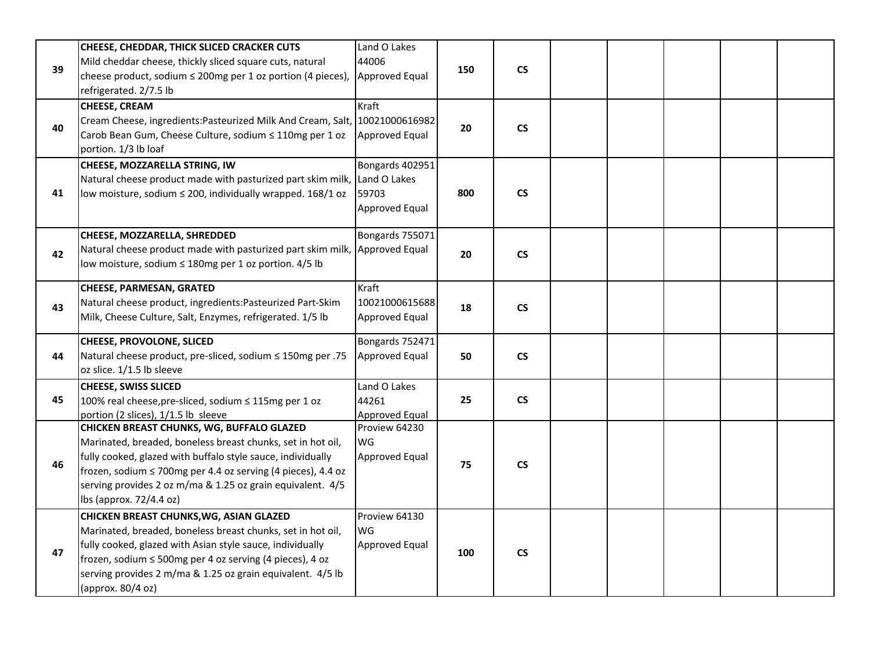| 39 | CHEESE, CHEDDAR, THICK SLICED CRACKER CUTS<br>Mild cheddar cheese, thickly sliced square cuts, natural<br>cheese product, sodium ≤ 200mg per 1 oz portion (4 pieces),<br>refrigerated. 2/7.5 lb                                                                                                                                   | Land O Lakes<br>44006<br>Approved Equal    | 150 | $\mathsf{CS}\xspace$     |  |  |  |
|----|-----------------------------------------------------------------------------------------------------------------------------------------------------------------------------------------------------------------------------------------------------------------------------------------------------------------------------------|--------------------------------------------|-----|--------------------------|--|--|--|
| 40 | <b>CHEESE, CREAM</b><br>Cream Cheese, ingredients: Pasteurized Milk And Cream, Salt, 10021000616982<br>Carob Bean Gum, Cheese Culture, sodium ≤ 110mg per 1 oz<br>portion. 1/3 lb loaf                                                                                                                                            | Kraft<br>Approved Equal                    | 20  | $\mathsf{CS}\phantom{0}$ |  |  |  |
| 41 | CHEESE, MOZZARELLA STRING, IW<br>Natural cheese product made with pasturized part skim milk, Land O Lakes<br>low moisture, sodium $\leq$ 200, individually wrapped. 168/1 oz                                                                                                                                                      | Bongards 402951<br>59703<br>Approved Equal | 800 | $\mathsf{CS}\phantom{0}$ |  |  |  |
| 42 | CHEESE, MOZZARELLA, SHREDDED<br>Natural cheese product made with pasturized part skim milk, Approved Equal<br>low moisture, sodium ≤ 180mg per 1 oz portion. 4/5 lb                                                                                                                                                               | Bongards 755071                            | 20  | $\mathsf{CS}\phantom{0}$ |  |  |  |
| 43 | <b>CHEESE, PARMESAN, GRATED</b><br>Natural cheese product, ingredients: Pasteurized Part-Skim<br>Milk, Cheese Culture, Salt, Enzymes, refrigerated. 1/5 lb                                                                                                                                                                        | Kraft<br>10021000615688<br>Approved Equal  | 18  | $\mathsf{CS}\xspace$     |  |  |  |
| 44 | CHEESE, PROVOLONE, SLICED<br>Natural cheese product, pre-sliced, sodium ≤ 150mg per .75<br>oz slice. 1/1.5 lb sleeve                                                                                                                                                                                                              | Bongards 752471<br>Approved Equal          | 50  | $\mathsf{CS}\phantom{0}$ |  |  |  |
| 45 | <b>CHEESE, SWISS SLICED</b><br>100% real cheese, pre-sliced, sodium ≤ 115mg per 1 oz<br>portion (2 slices), 1/1.5 lb sleeve                                                                                                                                                                                                       | Land O Lakes<br>44261<br>Approved Equal    | 25  | $\mathsf{CS}\phantom{0}$ |  |  |  |
| 46 | CHICKEN BREAST CHUNKS, WG, BUFFALO GLAZED<br>Marinated, breaded, boneless breast chunks, set in hot oil,<br>fully cooked, glazed with buffalo style sauce, individually<br> frozen, sodium ≤ 700mg per 4.4 oz serving (4 pieces), 4.4 oz<br>serving provides 2 oz m/ma & 1.25 oz grain equivalent. 4/5<br>lbs (approx. 72/4.4 oz) | Proview 64230<br>WG<br>Approved Equal      | 75  | $\mathsf{CS}\xspace$     |  |  |  |
| 47 | CHICKEN BREAST CHUNKS, WG, ASIAN GLAZED<br>Marinated, breaded, boneless breast chunks, set in hot oil,<br>fully cooked, glazed with Asian style sauce, individually<br>frozen, sodium $\leq 500$ mg per 4 oz serving (4 pieces), 4 oz<br>serving provides 2 m/ma & 1.25 oz grain equivalent. 4/5 lb<br>(approx. 80/4 oz)          | Proview 64130<br>WG<br>Approved Equal      | 100 | $\mathsf{CS}\xspace$     |  |  |  |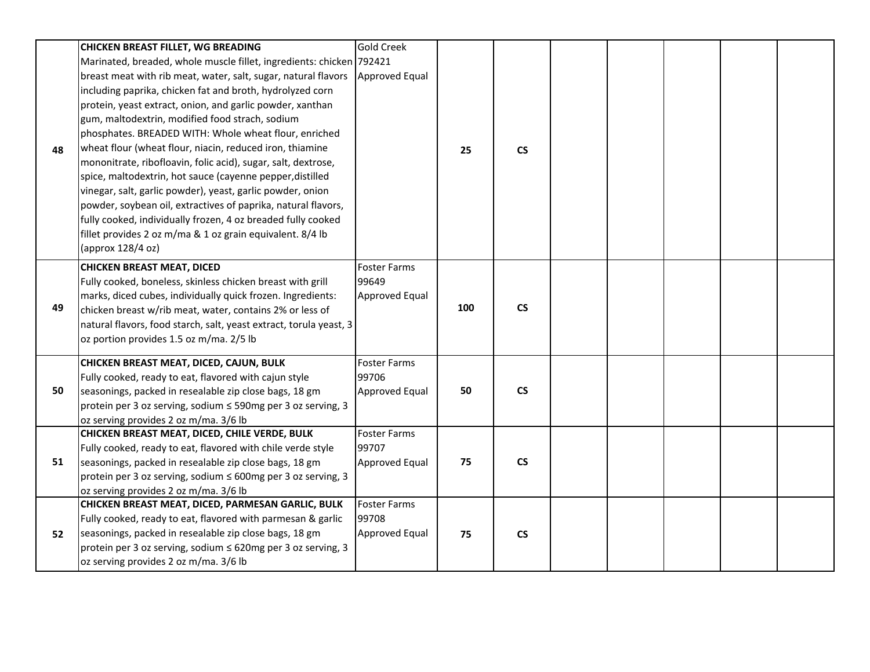|    | <b>CHICKEN BREAST FILLET, WG BREADING</b>                            | <b>Gold Creek</b>     |     |                          |  |  |  |
|----|----------------------------------------------------------------------|-----------------------|-----|--------------------------|--|--|--|
|    | Marinated, breaded, whole muscle fillet, ingredients: chicken 792421 |                       |     |                          |  |  |  |
|    | breast meat with rib meat, water, salt, sugar, natural flavors       | <b>Approved Equal</b> |     |                          |  |  |  |
|    | including paprika, chicken fat and broth, hydrolyzed corn            |                       |     |                          |  |  |  |
|    | protein, yeast extract, onion, and garlic powder, xanthan            |                       |     |                          |  |  |  |
|    | gum, maltodextrin, modified food strach, sodium                      |                       |     |                          |  |  |  |
|    | phosphates. BREADED WITH: Whole wheat flour, enriched                |                       |     |                          |  |  |  |
| 48 | wheat flour (wheat flour, niacin, reduced iron, thiamine             |                       | 25  | $\mathsf{CS}\phantom{0}$ |  |  |  |
|    | mononitrate, ribofloavin, folic acid), sugar, salt, dextrose,        |                       |     |                          |  |  |  |
|    | spice, maltodextrin, hot sauce (cayenne pepper, distilled            |                       |     |                          |  |  |  |
|    | vinegar, salt, garlic powder), yeast, garlic powder, onion           |                       |     |                          |  |  |  |
|    | powder, soybean oil, extractives of paprika, natural flavors,        |                       |     |                          |  |  |  |
|    | fully cooked, individually frozen, 4 oz breaded fully cooked         |                       |     |                          |  |  |  |
|    | fillet provides 2 oz m/ma & 1 oz grain equivalent. 8/4 lb            |                       |     |                          |  |  |  |
|    | (approx 128/4 oz)                                                    |                       |     |                          |  |  |  |
|    | <b>CHICKEN BREAST MEAT, DICED</b>                                    | <b>Foster Farms</b>   |     |                          |  |  |  |
|    | Fully cooked, boneless, skinless chicken breast with grill           | 99649                 |     |                          |  |  |  |
|    | marks, diced cubes, individually quick frozen. Ingredients:          | Approved Equal        |     |                          |  |  |  |
| 49 | chicken breast w/rib meat, water, contains 2% or less of             |                       | 100 | $\mathsf{CS}\phantom{0}$ |  |  |  |
|    | natural flavors, food starch, salt, yeast extract, torula yeast, 3   |                       |     |                          |  |  |  |
|    | oz portion provides 1.5 oz m/ma. 2/5 lb                              |                       |     |                          |  |  |  |
|    | CHICKEN BREAST MEAT, DICED, CAJUN, BULK                              | <b>Foster Farms</b>   |     |                          |  |  |  |
|    | Fully cooked, ready to eat, flavored with cajun style                | 99706                 |     |                          |  |  |  |
| 50 | seasonings, packed in resealable zip close bags, 18 gm               | Approved Equal        | 50  | $\mathsf{CS}\phantom{0}$ |  |  |  |
|    | protein per 3 oz serving, sodium ≤ 590mg per 3 oz serving, 3         |                       |     |                          |  |  |  |
|    | oz serving provides 2 oz m/ma. 3/6 lb                                |                       |     |                          |  |  |  |
|    | CHICKEN BREAST MEAT, DICED, CHILE VERDE, BULK                        | <b>Foster Farms</b>   |     |                          |  |  |  |
|    | Fully cooked, ready to eat, flavored with chile verde style          | 99707                 |     |                          |  |  |  |
| 51 | seasonings, packed in resealable zip close bags, 18 gm               | Approved Equal        | 75  | $\mathsf{CS}\phantom{0}$ |  |  |  |
|    | protein per 3 oz serving, sodium ≤ 600mg per 3 oz serving, 3         |                       |     |                          |  |  |  |
|    | oz serving provides 2 oz m/ma. 3/6 lb                                |                       |     |                          |  |  |  |
|    | CHICKEN BREAST MEAT, DICED, PARMESAN GARLIC, BULK                    | <b>Foster Farms</b>   |     |                          |  |  |  |
| 52 | Fully cooked, ready to eat, flavored with parmesan & garlic          | 99708                 |     |                          |  |  |  |
|    | seasonings, packed in resealable zip close bags, 18 gm               | Approved Equal        | 75  | $\mathsf{CS}\xspace$     |  |  |  |
|    | protein per 3 oz serving, sodium ≤ 620mg per 3 oz serving, 3         |                       |     |                          |  |  |  |
|    | oz serving provides 2 oz m/ma. 3/6 lb                                |                       |     |                          |  |  |  |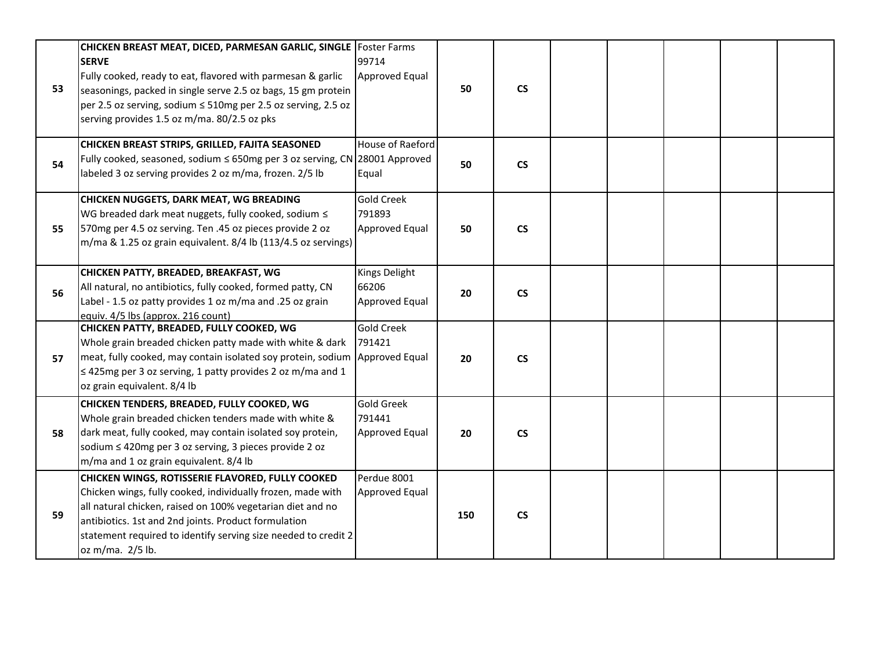| 53 | CHICKEN BREAST MEAT, DICED, PARMESAN GARLIC, SINGLE   Foster Farms<br><b>SERVE</b><br>Fully cooked, ready to eat, flavored with parmesan & garlic<br>seasonings, packed in single serve 2.5 oz bags, 15 gm protein<br>per 2.5 oz serving, sodium ≤ 510mg per 2.5 oz serving, 2.5 oz                                         | 99714<br>Approved Equal                       | 50  | $\mathsf{CS}\phantom{0}$ |  |  |  |
|----|-----------------------------------------------------------------------------------------------------------------------------------------------------------------------------------------------------------------------------------------------------------------------------------------------------------------------------|-----------------------------------------------|-----|--------------------------|--|--|--|
|    | serving provides 1.5 oz m/ma. 80/2.5 oz pks                                                                                                                                                                                                                                                                                 |                                               |     |                          |  |  |  |
| 54 | CHICKEN BREAST STRIPS, GRILLED, FAJITA SEASONED<br>Fully cooked, seasoned, sodium $\leq$ 650mg per 3 oz serving, CN 28001 Approved<br>labeled 3 oz serving provides 2 oz m/ma, frozen. 2/5 lb                                                                                                                               | House of Raeford<br>Equal                     | 50  | $\mathsf{CS}\phantom{0}$ |  |  |  |
| 55 | <b>CHICKEN NUGGETS, DARK MEAT, WG BREADING</b><br>WG breaded dark meat nuggets, fully cooked, sodium $\leq$<br>570mg per 4.5 oz serving. Ten .45 oz pieces provide 2 oz<br>m/ma & 1.25 oz grain equivalent. 8/4 lb (113/4.5 oz servings)                                                                                    | <b>Gold Creek</b><br>791893<br>Approved Equal | 50  | $\mathsf{CS}\phantom{0}$ |  |  |  |
| 56 | CHICKEN PATTY, BREADED, BREAKFAST, WG<br>All natural, no antibiotics, fully cooked, formed patty, CN<br>Label - 1.5 oz patty provides 1 oz m/ma and .25 oz grain<br>equiv. 4/5 lbs (approx. 216 count)                                                                                                                      | Kings Delight<br>66206<br>Approved Equal      | 20  | $\mathsf{CS}\phantom{0}$ |  |  |  |
| 57 | CHICKEN PATTY, BREADED, FULLY COOKED, WG<br>Whole grain breaded chicken patty made with white & dark<br>meat, fully cooked, may contain isolated soy protein, sodium<br>$\leq$ 425mg per 3 oz serving, 1 patty provides 2 oz m/ma and 1<br>oz grain equivalent. 8/4 lb                                                      | <b>Gold Creek</b><br>791421<br>Approved Equal | 20  | $\mathsf{CS}\phantom{0}$ |  |  |  |
| 58 | CHICKEN TENDERS, BREADED, FULLY COOKED, WG<br>Whole grain breaded chicken tenders made with white &<br>dark meat, fully cooked, may contain isolated soy protein,<br>sodium ≤ 420mg per 3 oz serving, 3 pieces provide 2 oz<br>m/ma and 1 oz grain equivalent. 8/4 lb                                                       | <b>Gold Greek</b><br>791441<br>Approved Equal | 20  | $\mathsf{CS}\phantom{0}$ |  |  |  |
| 59 | CHICKEN WINGS, ROTISSERIE FLAVORED, FULLY COOKED<br>Chicken wings, fully cooked, individually frozen, made with<br>all natural chicken, raised on 100% vegetarian diet and no<br>antibiotics. 1st and 2nd joints. Product formulation<br>statement required to identify serving size needed to credit 2<br>oz m/ma. 2/5 lb. | Perdue 8001<br>Approved Equal                 | 150 | $\mathsf{CS}\phantom{0}$ |  |  |  |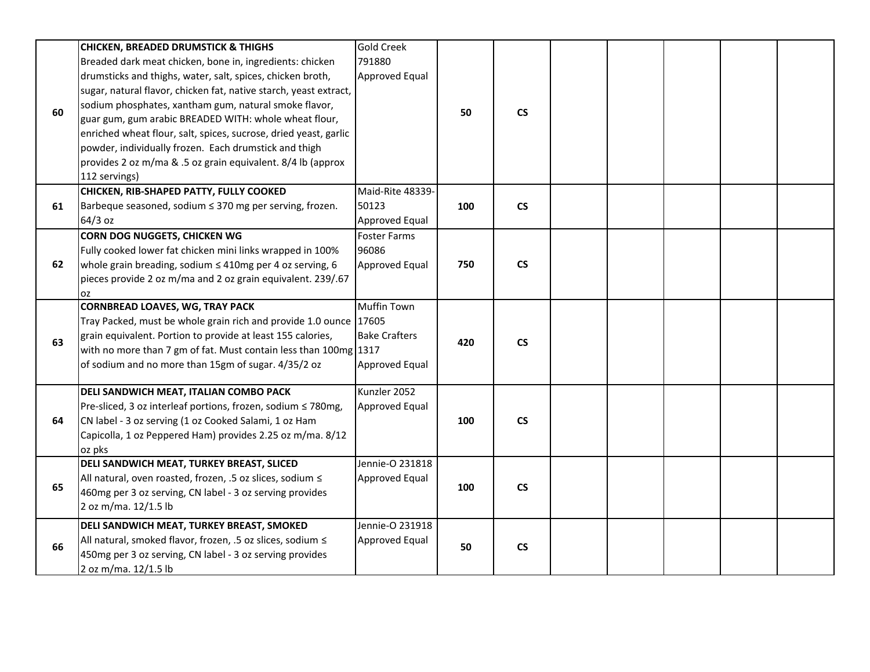|    | <b>CHICKEN, BREADED DRUMSTICK &amp; THIGHS</b>                    | <b>Gold Creek</b>     |     |                          |  |  |  |
|----|-------------------------------------------------------------------|-----------------------|-----|--------------------------|--|--|--|
|    | Breaded dark meat chicken, bone in, ingredients: chicken          | 791880                |     |                          |  |  |  |
|    | drumsticks and thighs, water, salt, spices, chicken broth,        | <b>Approved Equal</b> |     |                          |  |  |  |
|    | sugar, natural flavor, chicken fat, native starch, yeast extract, |                       |     |                          |  |  |  |
|    | sodium phosphates, xantham gum, natural smoke flavor,             |                       |     |                          |  |  |  |
| 60 | guar gum, gum arabic BREADED WITH: whole wheat flour,             |                       | 50  | $\mathsf{CS}\phantom{0}$ |  |  |  |
|    | enriched wheat flour, salt, spices, sucrose, dried yeast, garlic  |                       |     |                          |  |  |  |
|    | powder, individually frozen. Each drumstick and thigh             |                       |     |                          |  |  |  |
|    | provides 2 oz m/ma & .5 oz grain equivalent. 8/4 lb (approx       |                       |     |                          |  |  |  |
|    | 112 servings)                                                     |                       |     |                          |  |  |  |
|    | CHICKEN, RIB-SHAPED PATTY, FULLY COOKED                           | Maid-Rite 48339-      |     |                          |  |  |  |
| 61 | Barbeque seasoned, sodium $\leq$ 370 mg per serving, frozen.      | 50123                 | 100 | $\mathsf{CS}\phantom{0}$ |  |  |  |
|    | 64/3 oz                                                           | <b>Approved Equal</b> |     |                          |  |  |  |
|    | <b>CORN DOG NUGGETS, CHICKEN WG</b>                               | <b>Foster Farms</b>   |     |                          |  |  |  |
|    |                                                                   | 96086                 |     |                          |  |  |  |
|    | Fully cooked lower fat chicken mini links wrapped in 100%         |                       |     | $\mathsf{CS}\phantom{0}$ |  |  |  |
| 62 | whole grain breading, sodium $\leq$ 410mg per 4 oz serving, 6     | <b>Approved Equal</b> | 750 |                          |  |  |  |
|    | pieces provide 2 oz m/ma and 2 oz grain equivalent. 239/.67       |                       |     |                          |  |  |  |
|    | OZ<br><b>CORNBREAD LOAVES, WG, TRAY PACK</b>                      | <b>Muffin Town</b>    |     |                          |  |  |  |
|    | Tray Packed, must be whole grain rich and provide 1.0 ounce 17605 |                       |     |                          |  |  |  |
|    | grain equivalent. Portion to provide at least 155 calories,       | <b>Bake Crafters</b>  |     |                          |  |  |  |
| 63 |                                                                   |                       | 420 | $\mathsf{CS}\phantom{0}$ |  |  |  |
|    | with no more than 7 gm of fat. Must contain less than 100mg 1317  |                       |     |                          |  |  |  |
|    | of sodium and no more than 15gm of sugar. 4/35/2 oz               | <b>Approved Equal</b> |     |                          |  |  |  |
|    | DELI SANDWICH MEAT, ITALIAN COMBO PACK                            | Kunzler 2052          |     |                          |  |  |  |
|    | Pre-sliced, 3 oz interleaf portions, frozen, sodium ≤ 780mg,      | <b>Approved Equal</b> |     |                          |  |  |  |
| 64 | CN label - 3 oz serving (1 oz Cooked Salami, 1 oz Ham             |                       | 100 | $\mathsf{CS}\phantom{0}$ |  |  |  |
|    | Capicolla, 1 oz Peppered Ham) provides 2.25 oz m/ma. 8/12         |                       |     |                          |  |  |  |
|    | oz pks                                                            |                       |     |                          |  |  |  |
|    | DELI SANDWICH MEAT, TURKEY BREAST, SLICED                         | Jennie-O 231818       |     |                          |  |  |  |
|    | All natural, oven roasted, frozen, .5 oz slices, sodium <         | Approved Equal        |     |                          |  |  |  |
| 65 | 460mg per 3 oz serving, CN label - 3 oz serving provides          |                       | 100 | $\mathsf{CS}\phantom{0}$ |  |  |  |
|    | 2 oz m/ma. 12/1.5 lb                                              |                       |     |                          |  |  |  |
|    | DELI SANDWICH MEAT, TURKEY BREAST, SMOKED                         | Jennie-O 231918       |     |                          |  |  |  |
| 66 | All natural, smoked flavor, frozen, .5 oz slices, sodium <        | <b>Approved Equal</b> | 50  | $\mathsf{CS}\phantom{0}$ |  |  |  |
|    | 450mg per 3 oz serving, CN label - 3 oz serving provides          |                       |     |                          |  |  |  |
|    | 2 oz m/ma. 12/1.5 lb                                              |                       |     |                          |  |  |  |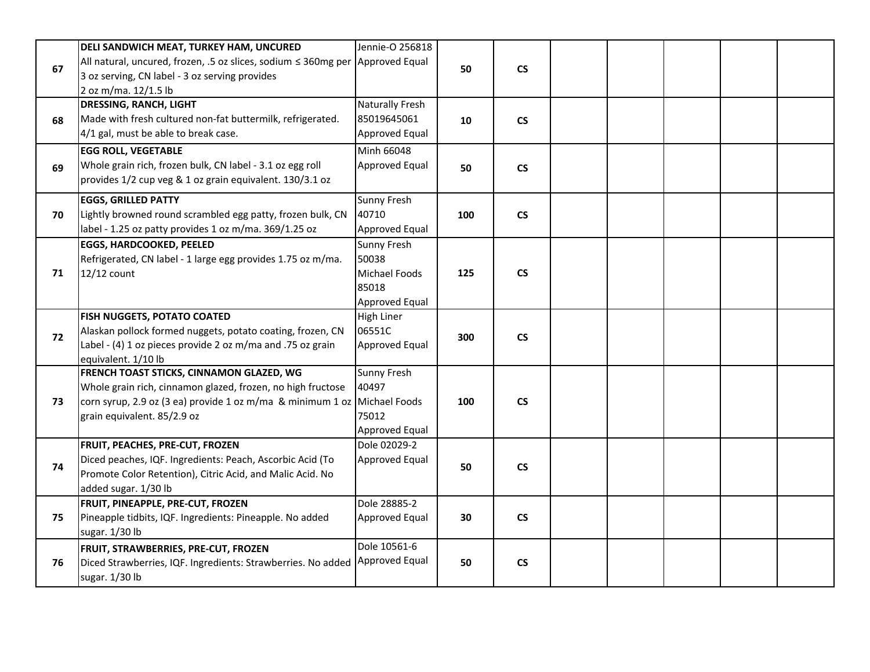| All natural, uncured, frozen, .5 oz slices, sodium ≤ 360mg per Approved Equal<br>67<br>$\mathsf{CS}\phantom{0}$<br>50<br>3 oz serving, CN label - 3 oz serving provides<br>2 oz m/ma. 12/1.5 lb<br>Naturally Fresh<br><b>DRESSING, RANCH, LIGHT</b><br>85019645061<br>Made with fresh cultured non-fat buttermilk, refrigerated.<br>$\mathsf{CS}\phantom{0}$<br>68<br>10<br>4/1 gal, must be able to break case.<br>Approved Equal<br>Minh 66048<br><b>EGG ROLL, VEGETABLE</b><br>Whole grain rich, frozen bulk, CN label - 3.1 oz egg roll<br>Approved Equal<br>$\mathsf{CS}\phantom{0}$<br>69<br>50<br>provides 1/2 cup veg & 1 oz grain equivalent. 130/3.1 oz<br>Sunny Fresh<br><b>EGGS, GRILLED PATTY</b><br>Lightly browned round scrambled egg patty, frozen bulk, CN<br>40710<br>100<br><b>CS</b><br>70<br>label - 1.25 oz patty provides 1 oz m/ma. 369/1.25 oz<br>Approved Equal<br><b>EGGS, HARDCOOKED, PEELED</b><br>Sunny Fresh<br>Refrigerated, CN label - 1 large egg provides 1.75 oz m/ma.<br>50038<br>12/12 count<br>Michael Foods<br>125<br><b>CS</b><br>71<br>85018<br><b>Approved Equal</b><br>FISH NUGGETS, POTATO COATED<br>High Liner<br>06551C<br>Alaskan pollock formed nuggets, potato coating, frozen, CN<br>72<br>300<br>$\mathsf{CS}\phantom{0}$<br>Label - (4) 1 oz pieces provide 2 oz m/ma and .75 oz grain<br>Approved Equal<br>equivalent. 1/10 lb<br><b>FRENCH TOAST STICKS, CINNAMON GLAZED, WG</b><br>Sunny Fresh<br>40497<br>Whole grain rich, cinnamon glazed, frozen, no high fructose<br>corn syrup, 2.9 oz (3 ea) provide 1 oz m/ma & minimum 1 oz Michael Foods<br>100<br>$\mathsf{CS}\phantom{0}$<br>73<br>75012<br>grain equivalent. 85/2.9 oz<br>Approved Equal<br>Dole 02029-2<br>FRUIT, PEACHES, PRE-CUT, FROZEN<br>Diced peaches, IQF. Ingredients: Peach, Ascorbic Acid (To<br>Approved Equal<br>$\mathsf{CS}\phantom{0}$<br>74<br>50<br>Promote Color Retention), Citric Acid, and Malic Acid. No<br>added sugar. 1/30 lb<br>FRUIT, PINEAPPLE, PRE-CUT, FROZEN<br>Dole 28885-2<br>Pineapple tidbits, IQF. Ingredients: Pineapple. No added<br>$\mathsf{CS}\phantom{0}$<br>75<br>Approved Equal<br>30<br>sugar. 1/30 lb | <b>DELI SANDWICH MEAT, TURKEY HAM, UNCURED</b> | Jennie-O 256818 |  |  |  |  |
|----------------------------------------------------------------------------------------------------------------------------------------------------------------------------------------------------------------------------------------------------------------------------------------------------------------------------------------------------------------------------------------------------------------------------------------------------------------------------------------------------------------------------------------------------------------------------------------------------------------------------------------------------------------------------------------------------------------------------------------------------------------------------------------------------------------------------------------------------------------------------------------------------------------------------------------------------------------------------------------------------------------------------------------------------------------------------------------------------------------------------------------------------------------------------------------------------------------------------------------------------------------------------------------------------------------------------------------------------------------------------------------------------------------------------------------------------------------------------------------------------------------------------------------------------------------------------------------------------------------------------------------------------------------------------------------------------------------------------------------------------------------------------------------------------------------------------------------------------------------------------------------------------------------------------------------------------------------------------------------------------------------------------------------------------------------------------------------------------------------------------------------------------------------------------|------------------------------------------------|-----------------|--|--|--|--|
|                                                                                                                                                                                                                                                                                                                                                                                                                                                                                                                                                                                                                                                                                                                                                                                                                                                                                                                                                                                                                                                                                                                                                                                                                                                                                                                                                                                                                                                                                                                                                                                                                                                                                                                                                                                                                                                                                                                                                                                                                                                                                                                                                                            |                                                |                 |  |  |  |  |
|                                                                                                                                                                                                                                                                                                                                                                                                                                                                                                                                                                                                                                                                                                                                                                                                                                                                                                                                                                                                                                                                                                                                                                                                                                                                                                                                                                                                                                                                                                                                                                                                                                                                                                                                                                                                                                                                                                                                                                                                                                                                                                                                                                            |                                                |                 |  |  |  |  |
|                                                                                                                                                                                                                                                                                                                                                                                                                                                                                                                                                                                                                                                                                                                                                                                                                                                                                                                                                                                                                                                                                                                                                                                                                                                                                                                                                                                                                                                                                                                                                                                                                                                                                                                                                                                                                                                                                                                                                                                                                                                                                                                                                                            |                                                |                 |  |  |  |  |
|                                                                                                                                                                                                                                                                                                                                                                                                                                                                                                                                                                                                                                                                                                                                                                                                                                                                                                                                                                                                                                                                                                                                                                                                                                                                                                                                                                                                                                                                                                                                                                                                                                                                                                                                                                                                                                                                                                                                                                                                                                                                                                                                                                            |                                                |                 |  |  |  |  |
|                                                                                                                                                                                                                                                                                                                                                                                                                                                                                                                                                                                                                                                                                                                                                                                                                                                                                                                                                                                                                                                                                                                                                                                                                                                                                                                                                                                                                                                                                                                                                                                                                                                                                                                                                                                                                                                                                                                                                                                                                                                                                                                                                                            |                                                |                 |  |  |  |  |
|                                                                                                                                                                                                                                                                                                                                                                                                                                                                                                                                                                                                                                                                                                                                                                                                                                                                                                                                                                                                                                                                                                                                                                                                                                                                                                                                                                                                                                                                                                                                                                                                                                                                                                                                                                                                                                                                                                                                                                                                                                                                                                                                                                            |                                                |                 |  |  |  |  |
|                                                                                                                                                                                                                                                                                                                                                                                                                                                                                                                                                                                                                                                                                                                                                                                                                                                                                                                                                                                                                                                                                                                                                                                                                                                                                                                                                                                                                                                                                                                                                                                                                                                                                                                                                                                                                                                                                                                                                                                                                                                                                                                                                                            |                                                |                 |  |  |  |  |
|                                                                                                                                                                                                                                                                                                                                                                                                                                                                                                                                                                                                                                                                                                                                                                                                                                                                                                                                                                                                                                                                                                                                                                                                                                                                                                                                                                                                                                                                                                                                                                                                                                                                                                                                                                                                                                                                                                                                                                                                                                                                                                                                                                            |                                                |                 |  |  |  |  |
|                                                                                                                                                                                                                                                                                                                                                                                                                                                                                                                                                                                                                                                                                                                                                                                                                                                                                                                                                                                                                                                                                                                                                                                                                                                                                                                                                                                                                                                                                                                                                                                                                                                                                                                                                                                                                                                                                                                                                                                                                                                                                                                                                                            |                                                |                 |  |  |  |  |
|                                                                                                                                                                                                                                                                                                                                                                                                                                                                                                                                                                                                                                                                                                                                                                                                                                                                                                                                                                                                                                                                                                                                                                                                                                                                                                                                                                                                                                                                                                                                                                                                                                                                                                                                                                                                                                                                                                                                                                                                                                                                                                                                                                            |                                                |                 |  |  |  |  |
|                                                                                                                                                                                                                                                                                                                                                                                                                                                                                                                                                                                                                                                                                                                                                                                                                                                                                                                                                                                                                                                                                                                                                                                                                                                                                                                                                                                                                                                                                                                                                                                                                                                                                                                                                                                                                                                                                                                                                                                                                                                                                                                                                                            |                                                |                 |  |  |  |  |
|                                                                                                                                                                                                                                                                                                                                                                                                                                                                                                                                                                                                                                                                                                                                                                                                                                                                                                                                                                                                                                                                                                                                                                                                                                                                                                                                                                                                                                                                                                                                                                                                                                                                                                                                                                                                                                                                                                                                                                                                                                                                                                                                                                            |                                                |                 |  |  |  |  |
|                                                                                                                                                                                                                                                                                                                                                                                                                                                                                                                                                                                                                                                                                                                                                                                                                                                                                                                                                                                                                                                                                                                                                                                                                                                                                                                                                                                                                                                                                                                                                                                                                                                                                                                                                                                                                                                                                                                                                                                                                                                                                                                                                                            |                                                |                 |  |  |  |  |
|                                                                                                                                                                                                                                                                                                                                                                                                                                                                                                                                                                                                                                                                                                                                                                                                                                                                                                                                                                                                                                                                                                                                                                                                                                                                                                                                                                                                                                                                                                                                                                                                                                                                                                                                                                                                                                                                                                                                                                                                                                                                                                                                                                            |                                                |                 |  |  |  |  |
|                                                                                                                                                                                                                                                                                                                                                                                                                                                                                                                                                                                                                                                                                                                                                                                                                                                                                                                                                                                                                                                                                                                                                                                                                                                                                                                                                                                                                                                                                                                                                                                                                                                                                                                                                                                                                                                                                                                                                                                                                                                                                                                                                                            |                                                |                 |  |  |  |  |
|                                                                                                                                                                                                                                                                                                                                                                                                                                                                                                                                                                                                                                                                                                                                                                                                                                                                                                                                                                                                                                                                                                                                                                                                                                                                                                                                                                                                                                                                                                                                                                                                                                                                                                                                                                                                                                                                                                                                                                                                                                                                                                                                                                            |                                                |                 |  |  |  |  |
|                                                                                                                                                                                                                                                                                                                                                                                                                                                                                                                                                                                                                                                                                                                                                                                                                                                                                                                                                                                                                                                                                                                                                                                                                                                                                                                                                                                                                                                                                                                                                                                                                                                                                                                                                                                                                                                                                                                                                                                                                                                                                                                                                                            |                                                |                 |  |  |  |  |
|                                                                                                                                                                                                                                                                                                                                                                                                                                                                                                                                                                                                                                                                                                                                                                                                                                                                                                                                                                                                                                                                                                                                                                                                                                                                                                                                                                                                                                                                                                                                                                                                                                                                                                                                                                                                                                                                                                                                                                                                                                                                                                                                                                            |                                                |                 |  |  |  |  |
|                                                                                                                                                                                                                                                                                                                                                                                                                                                                                                                                                                                                                                                                                                                                                                                                                                                                                                                                                                                                                                                                                                                                                                                                                                                                                                                                                                                                                                                                                                                                                                                                                                                                                                                                                                                                                                                                                                                                                                                                                                                                                                                                                                            |                                                |                 |  |  |  |  |
|                                                                                                                                                                                                                                                                                                                                                                                                                                                                                                                                                                                                                                                                                                                                                                                                                                                                                                                                                                                                                                                                                                                                                                                                                                                                                                                                                                                                                                                                                                                                                                                                                                                                                                                                                                                                                                                                                                                                                                                                                                                                                                                                                                            |                                                |                 |  |  |  |  |
|                                                                                                                                                                                                                                                                                                                                                                                                                                                                                                                                                                                                                                                                                                                                                                                                                                                                                                                                                                                                                                                                                                                                                                                                                                                                                                                                                                                                                                                                                                                                                                                                                                                                                                                                                                                                                                                                                                                                                                                                                                                                                                                                                                            |                                                |                 |  |  |  |  |
|                                                                                                                                                                                                                                                                                                                                                                                                                                                                                                                                                                                                                                                                                                                                                                                                                                                                                                                                                                                                                                                                                                                                                                                                                                                                                                                                                                                                                                                                                                                                                                                                                                                                                                                                                                                                                                                                                                                                                                                                                                                                                                                                                                            |                                                |                 |  |  |  |  |
|                                                                                                                                                                                                                                                                                                                                                                                                                                                                                                                                                                                                                                                                                                                                                                                                                                                                                                                                                                                                                                                                                                                                                                                                                                                                                                                                                                                                                                                                                                                                                                                                                                                                                                                                                                                                                                                                                                                                                                                                                                                                                                                                                                            |                                                |                 |  |  |  |  |
|                                                                                                                                                                                                                                                                                                                                                                                                                                                                                                                                                                                                                                                                                                                                                                                                                                                                                                                                                                                                                                                                                                                                                                                                                                                                                                                                                                                                                                                                                                                                                                                                                                                                                                                                                                                                                                                                                                                                                                                                                                                                                                                                                                            |                                                |                 |  |  |  |  |
|                                                                                                                                                                                                                                                                                                                                                                                                                                                                                                                                                                                                                                                                                                                                                                                                                                                                                                                                                                                                                                                                                                                                                                                                                                                                                                                                                                                                                                                                                                                                                                                                                                                                                                                                                                                                                                                                                                                                                                                                                                                                                                                                                                            |                                                |                 |  |  |  |  |
|                                                                                                                                                                                                                                                                                                                                                                                                                                                                                                                                                                                                                                                                                                                                                                                                                                                                                                                                                                                                                                                                                                                                                                                                                                                                                                                                                                                                                                                                                                                                                                                                                                                                                                                                                                                                                                                                                                                                                                                                                                                                                                                                                                            |                                                |                 |  |  |  |  |
|                                                                                                                                                                                                                                                                                                                                                                                                                                                                                                                                                                                                                                                                                                                                                                                                                                                                                                                                                                                                                                                                                                                                                                                                                                                                                                                                                                                                                                                                                                                                                                                                                                                                                                                                                                                                                                                                                                                                                                                                                                                                                                                                                                            |                                                |                 |  |  |  |  |
|                                                                                                                                                                                                                                                                                                                                                                                                                                                                                                                                                                                                                                                                                                                                                                                                                                                                                                                                                                                                                                                                                                                                                                                                                                                                                                                                                                                                                                                                                                                                                                                                                                                                                                                                                                                                                                                                                                                                                                                                                                                                                                                                                                            |                                                |                 |  |  |  |  |
|                                                                                                                                                                                                                                                                                                                                                                                                                                                                                                                                                                                                                                                                                                                                                                                                                                                                                                                                                                                                                                                                                                                                                                                                                                                                                                                                                                                                                                                                                                                                                                                                                                                                                                                                                                                                                                                                                                                                                                                                                                                                                                                                                                            |                                                |                 |  |  |  |  |
|                                                                                                                                                                                                                                                                                                                                                                                                                                                                                                                                                                                                                                                                                                                                                                                                                                                                                                                                                                                                                                                                                                                                                                                                                                                                                                                                                                                                                                                                                                                                                                                                                                                                                                                                                                                                                                                                                                                                                                                                                                                                                                                                                                            |                                                | Dole 10561-6    |  |  |  |  |
| <b>FRUIT, STRAWBERRIES, PRE-CUT, FROZEN</b><br>Approved Equal<br>Diced Strawberries, IQF. Ingredients: Strawberries. No added<br>50<br>$\mathsf{CS}\phantom{0}$<br>76                                                                                                                                                                                                                                                                                                                                                                                                                                                                                                                                                                                                                                                                                                                                                                                                                                                                                                                                                                                                                                                                                                                                                                                                                                                                                                                                                                                                                                                                                                                                                                                                                                                                                                                                                                                                                                                                                                                                                                                                      |                                                |                 |  |  |  |  |
| sugar. 1/30 lb                                                                                                                                                                                                                                                                                                                                                                                                                                                                                                                                                                                                                                                                                                                                                                                                                                                                                                                                                                                                                                                                                                                                                                                                                                                                                                                                                                                                                                                                                                                                                                                                                                                                                                                                                                                                                                                                                                                                                                                                                                                                                                                                                             |                                                |                 |  |  |  |  |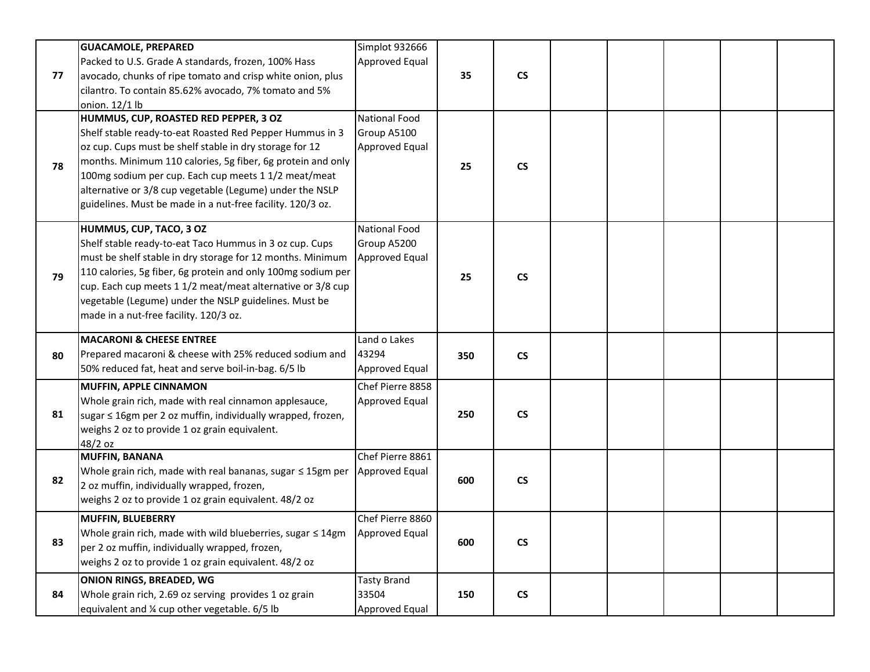|    | <b>GUACAMOLE, PREPARED</b>                                                                                                        | Simplot 932666          |     |                          |  |  |  |
|----|-----------------------------------------------------------------------------------------------------------------------------------|-------------------------|-----|--------------------------|--|--|--|
| 77 | Packed to U.S. Grade A standards, frozen, 100% Hass                                                                               | Approved Equal          | 35  | $\mathsf{CS}\phantom{0}$ |  |  |  |
|    | avocado, chunks of ripe tomato and crisp white onion, plus<br>cilantro. To contain 85.62% avocado, 7% tomato and 5%               |                         |     |                          |  |  |  |
|    | onion. 12/1 lb                                                                                                                    |                         |     |                          |  |  |  |
|    | HUMMUS, CUP, ROASTED RED PEPPER, 3 OZ                                                                                             | <b>National Food</b>    |     |                          |  |  |  |
|    | Shelf stable ready-to-eat Roasted Red Pepper Hummus in 3                                                                          | Group A5100             |     |                          |  |  |  |
|    | oz cup. Cups must be shelf stable in dry storage for 12<br>months. Minimum 110 calories, 5g fiber, 6g protein and only            | Approved Equal          |     |                          |  |  |  |
| 78 | 100mg sodium per cup. Each cup meets 1 1/2 meat/meat                                                                              |                         | 25  | $\mathsf{CS}\phantom{0}$ |  |  |  |
|    | alternative or 3/8 cup vegetable (Legume) under the NSLP                                                                          |                         |     |                          |  |  |  |
|    | guidelines. Must be made in a nut-free facility. 120/3 oz.                                                                        |                         |     |                          |  |  |  |
|    | HUMMUS, CUP, TACO, 3 OZ                                                                                                           | <b>National Food</b>    |     |                          |  |  |  |
|    | Shelf stable ready-to-eat Taco Hummus in 3 oz cup. Cups                                                                           | Group A5200             |     |                          |  |  |  |
|    | must be shelf stable in dry storage for 12 months. Minimum                                                                        | Approved Equal          |     |                          |  |  |  |
| 79 | 110 calories, 5g fiber, 6g protein and only 100mg sodium per                                                                      |                         | 25  | <b>CS</b>                |  |  |  |
|    | cup. Each cup meets 1 1/2 meat/meat alternative or 3/8 cup                                                                        |                         |     |                          |  |  |  |
|    | vegetable (Legume) under the NSLP guidelines. Must be                                                                             |                         |     |                          |  |  |  |
|    | made in a nut-free facility. 120/3 oz.                                                                                            |                         |     |                          |  |  |  |
|    | <b>MACARONI &amp; CHEESE ENTREE</b>                                                                                               | Land o Lakes            |     |                          |  |  |  |
| 80 | Prepared macaroni & cheese with 25% reduced sodium and                                                                            | 43294                   | 350 | <b>CS</b>                |  |  |  |
|    | 50% reduced fat, heat and serve boil-in-bag. 6/5 lb                                                                               | Approved Equal          |     |                          |  |  |  |
|    |                                                                                                                                   |                         |     |                          |  |  |  |
|    | <b>MUFFIN, APPLE CINNAMON</b>                                                                                                     | Chef Pierre 8858        |     |                          |  |  |  |
|    | Whole grain rich, made with real cinnamon applesauce,                                                                             | Approved Equal          |     |                          |  |  |  |
| 81 | sugar ≤ 16gm per 2 oz muffin, individually wrapped, frozen,                                                                       |                         | 250 | <b>CS</b>                |  |  |  |
|    | weighs 2 oz to provide 1 oz grain equivalent.<br>48/2 oz                                                                          |                         |     |                          |  |  |  |
|    | <b>MUFFIN, BANANA</b>                                                                                                             | Chef Pierre 8861        |     |                          |  |  |  |
| 82 | Whole grain rich, made with real bananas, sugar ≤ 15gm per                                                                        | Approved Equal          |     |                          |  |  |  |
|    | 2 oz muffin, individually wrapped, frozen,                                                                                        |                         | 600 | <b>CS</b>                |  |  |  |
|    | weighs 2 oz to provide 1 oz grain equivalent. 48/2 oz                                                                             |                         |     |                          |  |  |  |
|    | <b>MUFFIN, BLUEBERRY</b>                                                                                                          | Chef Pierre 8860        |     |                          |  |  |  |
| 83 | Whole grain rich, made with wild blueberries, sugar $\leq 14$ gm Approved Equal<br>per 2 oz muffin, individually wrapped, frozen, |                         | 600 | $\mathsf{CS}\phantom{0}$ |  |  |  |
|    | weighs 2 oz to provide 1 oz grain equivalent. 48/2 oz                                                                             |                         |     |                          |  |  |  |
|    | <b>ONION RINGS, BREADED, WG</b>                                                                                                   | <b>Tasty Brand</b>      |     |                          |  |  |  |
| 84 | Whole grain rich, 2.69 oz serving provides 1 oz grain<br>equivalent and % cup other vegetable. 6/5 lb                             | 33504<br>Approved Equal | 150 | $\mathsf{CS}\phantom{0}$ |  |  |  |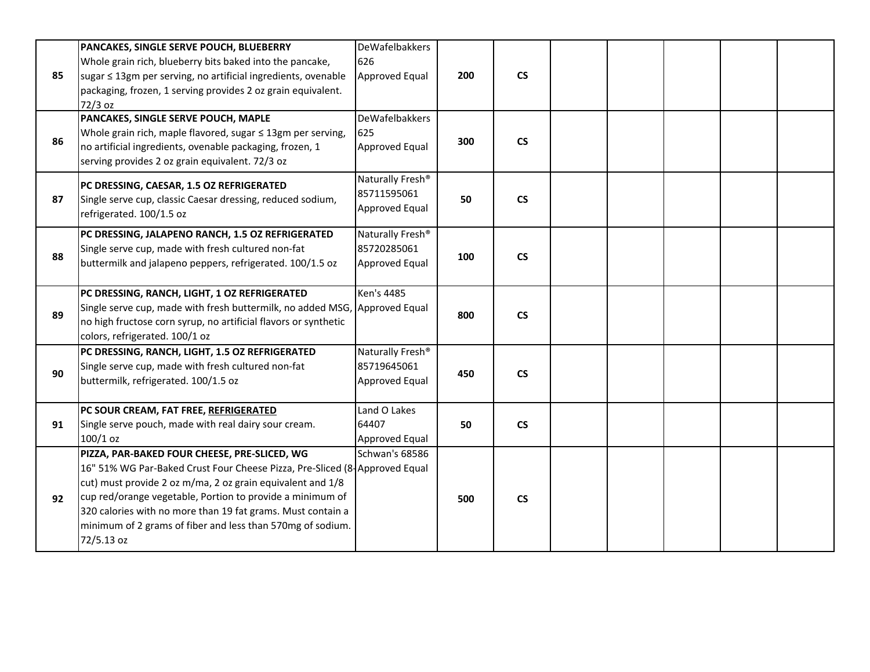|    | PANCAKES, SINGLE SERVE POUCH, BLUEBERRY                                    | DeWafelbakkers               |     |                          |  |  |  |
|----|----------------------------------------------------------------------------|------------------------------|-----|--------------------------|--|--|--|
|    | Whole grain rich, blueberry bits baked into the pancake,                   | 626                          |     |                          |  |  |  |
| 85 | sugar ≤ 13gm per serving, no artificial ingredients, ovenable              | Approved Equal               | 200 | $\mathsf{CS}\phantom{0}$ |  |  |  |
|    | packaging, frozen, 1 serving provides 2 oz grain equivalent.               |                              |     |                          |  |  |  |
|    | $72/3$ oz                                                                  |                              |     |                          |  |  |  |
|    | PANCAKES, SINGLE SERVE POUCH, MAPLE                                        | <b>DeWafelbakkers</b>        |     |                          |  |  |  |
|    | Whole grain rich, maple flavored, sugar $\leq$ 13gm per serving,           | 625                          |     |                          |  |  |  |
| 86 | no artificial ingredients, ovenable packaging, frozen, 1                   | Approved Equal               | 300 | $\mathsf{CS}\phantom{0}$ |  |  |  |
|    |                                                                            |                              |     |                          |  |  |  |
|    | serving provides 2 oz grain equivalent. 72/3 oz                            |                              |     |                          |  |  |  |
|    | PC DRESSING, CAESAR, 1.5 OZ REFRIGERATED                                   | Naturally Fresh <sup>®</sup> |     |                          |  |  |  |
| 87 | Single serve cup, classic Caesar dressing, reduced sodium,                 | 85711595061                  | 50  | $\mathsf{CS}\phantom{0}$ |  |  |  |
|    | refrigerated. 100/1.5 oz                                                   | Approved Equal               |     |                          |  |  |  |
|    |                                                                            |                              |     |                          |  |  |  |
|    | PC DRESSING, JALAPENO RANCH, 1.5 OZ REFRIGERATED                           | Naturally Fresh <sup>®</sup> |     |                          |  |  |  |
| 88 | Single serve cup, made with fresh cultured non-fat                         | 85720285061                  | 100 | $\mathsf{CS}\phantom{0}$ |  |  |  |
|    | buttermilk and jalapeno peppers, refrigerated. 100/1.5 oz                  | Approved Equal               |     |                          |  |  |  |
|    |                                                                            |                              |     |                          |  |  |  |
|    | PC DRESSING, RANCH, LIGHT, 1 OZ REFRIGERATED                               | Ken's 4485                   |     |                          |  |  |  |
| 89 | Single serve cup, made with fresh buttermilk, no added MSG, Approved Equal |                              | 800 | $\mathsf{CS}\phantom{0}$ |  |  |  |
|    | no high fructose corn syrup, no artificial flavors or synthetic            |                              |     |                          |  |  |  |
|    | colors, refrigerated. 100/1 oz                                             |                              |     |                          |  |  |  |
|    | PC DRESSING, RANCH, LIGHT, 1.5 OZ REFRIGERATED                             | Naturally Fresh <sup>®</sup> |     |                          |  |  |  |
| 90 | Single serve cup, made with fresh cultured non-fat                         | 85719645061                  | 450 | $\mathsf{CS}\phantom{0}$ |  |  |  |
|    | buttermilk, refrigerated. 100/1.5 oz                                       | Approved Equal               |     |                          |  |  |  |
|    |                                                                            |                              |     |                          |  |  |  |
|    | PC SOUR CREAM, FAT FREE, REFRIGERATED                                      | Land O Lakes                 |     |                          |  |  |  |
| 91 | Single serve pouch, made with real dairy sour cream.                       | 64407                        | 50  | $\mathsf{CS}\phantom{0}$ |  |  |  |
|    | $100/1$ oz                                                                 | Approved Equal               |     |                          |  |  |  |
|    | PIZZA, PAR-BAKED FOUR CHEESE, PRE-SLICED, WG                               | <b>Schwan's 68586</b>        |     |                          |  |  |  |
|    | 16" 51% WG Par-Baked Crust Four Cheese Pizza, Pre-Sliced (8-Approved Equal |                              |     |                          |  |  |  |
|    | cut) must provide 2 oz m/ma, 2 oz grain equivalent and 1/8                 |                              |     |                          |  |  |  |
| 92 | cup red/orange vegetable, Portion to provide a minimum of                  |                              | 500 | $\mathsf{CS}\phantom{0}$ |  |  |  |
|    | 320 calories with no more than 19 fat grams. Must contain a                |                              |     |                          |  |  |  |
|    | minimum of 2 grams of fiber and less than 570mg of sodium.                 |                              |     |                          |  |  |  |
|    | 72/5.13 oz                                                                 |                              |     |                          |  |  |  |
|    |                                                                            |                              |     |                          |  |  |  |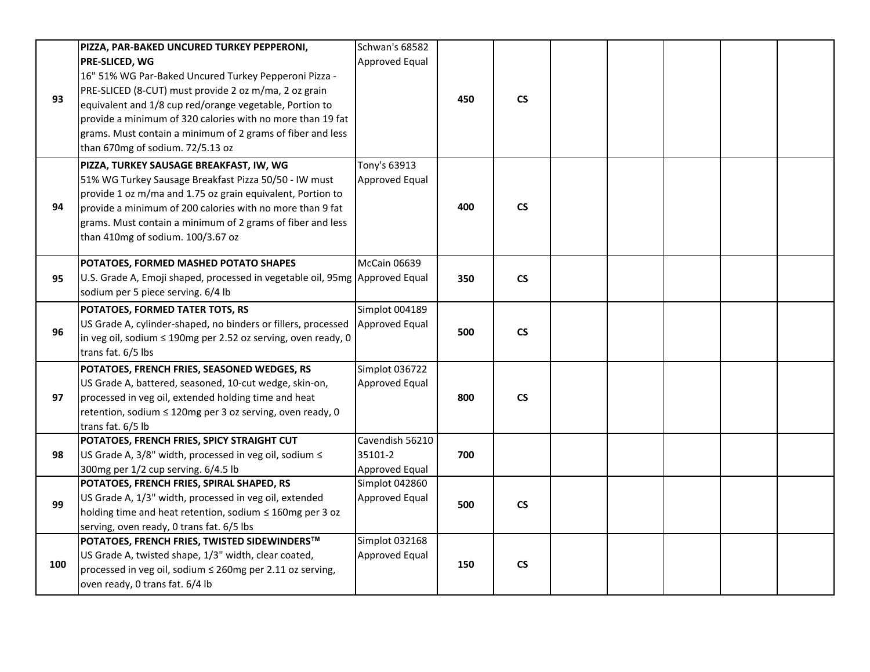|     | PIZZA, PAR-BAKED UNCURED TURKEY PEPPERONI,                                  | <b>Schwan's 68582</b> |     |                          |  |  |  |
|-----|-----------------------------------------------------------------------------|-----------------------|-----|--------------------------|--|--|--|
|     | PRE-SLICED, WG                                                              | Approved Equal        |     |                          |  |  |  |
|     | 16" 51% WG Par-Baked Uncured Turkey Pepperoni Pizza -                       |                       |     |                          |  |  |  |
|     | PRE-SLICED (8-CUT) must provide 2 oz m/ma, 2 oz grain                       |                       |     |                          |  |  |  |
| 93  | equivalent and 1/8 cup red/orange vegetable, Portion to                     |                       | 450 | $\mathsf{CS}\phantom{0}$ |  |  |  |
|     | provide a minimum of 320 calories with no more than 19 fat                  |                       |     |                          |  |  |  |
|     | grams. Must contain a minimum of 2 grams of fiber and less                  |                       |     |                          |  |  |  |
|     | than 670mg of sodium. 72/5.13 oz                                            |                       |     |                          |  |  |  |
|     | PIZZA, TURKEY SAUSAGE BREAKFAST, IW, WG                                     | Tony's 63913          |     |                          |  |  |  |
|     | 51% WG Turkey Sausage Breakfast Pizza 50/50 - IW must                       | Approved Equal        |     |                          |  |  |  |
|     | provide 1 oz m/ma and 1.75 oz grain equivalent, Portion to                  |                       |     |                          |  |  |  |
| 94  | provide a minimum of 200 calories with no more than 9 fat                   |                       | 400 | $\mathsf{CS}\phantom{0}$ |  |  |  |
|     | grams. Must contain a minimum of 2 grams of fiber and less                  |                       |     |                          |  |  |  |
|     | than 410mg of sodium. 100/3.67 oz                                           |                       |     |                          |  |  |  |
|     |                                                                             |                       |     |                          |  |  |  |
|     | POTATOES, FORMED MASHED POTATO SHAPES                                       | <b>McCain 06639</b>   |     |                          |  |  |  |
| 95  | U.S. Grade A, Emoji shaped, processed in vegetable oil, 95mg Approved Equal |                       | 350 | $\mathsf{CS}\xspace$     |  |  |  |
|     | sodium per 5 piece serving. 6/4 lb                                          |                       |     |                          |  |  |  |
|     | POTATOES, FORMED TATER TOTS, RS                                             | Simplot 004189        |     |                          |  |  |  |
| 96  | US Grade A, cylinder-shaped, no binders or fillers, processed               | Approved Equal        | 500 | $\mathsf{CS}\phantom{0}$ |  |  |  |
|     | in veg oil, sodium ≤ 190mg per 2.52 oz serving, oven ready, 0               |                       |     |                          |  |  |  |
|     | trans fat. 6/5 lbs                                                          |                       |     |                          |  |  |  |
|     | POTATOES, FRENCH FRIES, SEASONED WEDGES, RS                                 | Simplot 036722        |     |                          |  |  |  |
|     | US Grade A, battered, seasoned, 10-cut wedge, skin-on,                      | Approved Equal        |     |                          |  |  |  |
| 97  | processed in veg oil, extended holding time and heat                        |                       | 800 | $\mathsf{CS}\phantom{0}$ |  |  |  |
|     | retention, sodium ≤ 120mg per 3 oz serving, oven ready, 0                   |                       |     |                          |  |  |  |
|     | trans fat. 6/5 lb                                                           |                       |     |                          |  |  |  |
|     | POTATOES, FRENCH FRIES, SPICY STRAIGHT CUT                                  | Cavendish 56210       |     |                          |  |  |  |
| 98  | US Grade A, 3/8" width, processed in veg oil, sodium ≤                      | 35101-2               | 700 |                          |  |  |  |
|     | 300mg per 1/2 cup serving. 6/4.5 lb                                         | Approved Equal        |     |                          |  |  |  |
|     | POTATOES, FRENCH FRIES, SPIRAL SHAPED, RS                                   | Simplot 042860        |     |                          |  |  |  |
| 99  | US Grade A, 1/3" width, processed in veg oil, extended                      | <b>Approved Equal</b> | 500 | $\mathsf{CS}\xspace$     |  |  |  |
|     | holding time and heat retention, sodium $\leq$ 160mg per 3 oz               |                       |     |                          |  |  |  |
|     | serving, oven ready, 0 trans fat. 6/5 lbs                                   |                       |     |                          |  |  |  |
|     | POTATOES, FRENCH FRIES, TWISTED SIDEWINDERS™                                | Simplot 032168        |     |                          |  |  |  |
| 100 | US Grade A, twisted shape, 1/3" width, clear coated,                        | <b>Approved Equal</b> | 150 | $\mathsf{CS}\xspace$     |  |  |  |
|     | processed in veg oil, sodium ≤ 260mg per 2.11 oz serving,                   |                       |     |                          |  |  |  |
|     | oven ready, 0 trans fat. 6/4 lb                                             |                       |     |                          |  |  |  |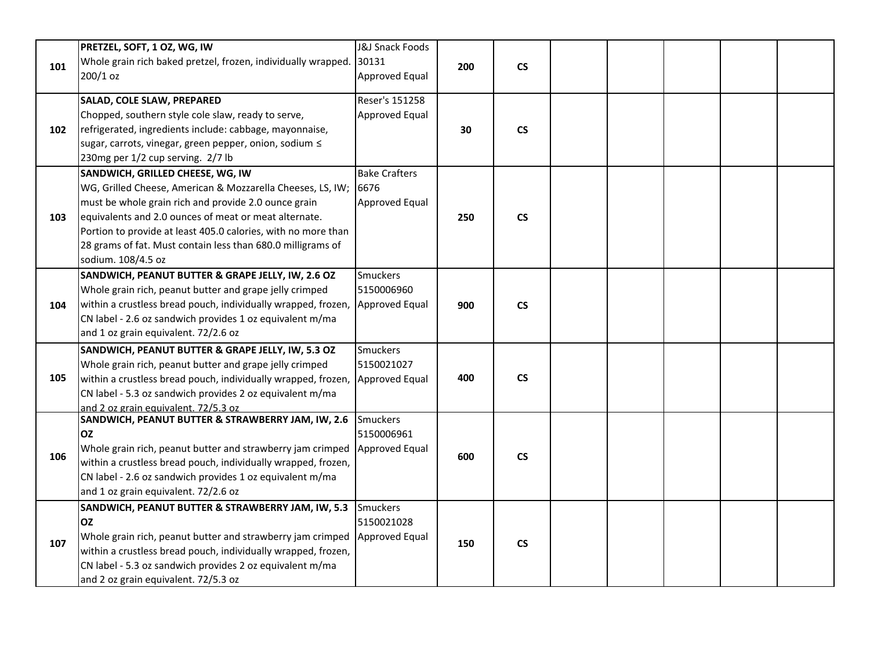|     | PRETZEL, SOFT, 1 OZ, WG, IW                                    | <b>J&amp;J Snack Foods</b> |     |                          |  |  |  |
|-----|----------------------------------------------------------------|----------------------------|-----|--------------------------|--|--|--|
| 101 | Whole grain rich baked pretzel, frozen, individually wrapped.  | 30131                      | 200 | $\mathsf{CS}\phantom{0}$ |  |  |  |
|     | 200/1 oz                                                       | Approved Equal             |     |                          |  |  |  |
|     | SALAD, COLE SLAW, PREPARED                                     | Reser's 151258             |     |                          |  |  |  |
|     | Chopped, southern style cole slaw, ready to serve,             | Approved Equal             |     |                          |  |  |  |
| 102 | refrigerated, ingredients include: cabbage, mayonnaise,        |                            | 30  | $\mathsf{CS}\phantom{0}$ |  |  |  |
|     | sugar, carrots, vinegar, green pepper, onion, sodium $\leq$    |                            |     |                          |  |  |  |
|     | 230mg per 1/2 cup serving. 2/7 lb                              |                            |     |                          |  |  |  |
|     | SANDWICH, GRILLED CHEESE, WG, IW                               | <b>Bake Crafters</b>       |     |                          |  |  |  |
|     | WG, Grilled Cheese, American & Mozzarella Cheeses, LS, IW;     | 6676                       |     |                          |  |  |  |
|     | must be whole grain rich and provide 2.0 ounce grain           | Approved Equal             |     |                          |  |  |  |
| 103 | equivalents and 2.0 ounces of meat or meat alternate.          |                            | 250 | $\mathsf{CS}\phantom{0}$ |  |  |  |
|     | Portion to provide at least 405.0 calories, with no more than  |                            |     |                          |  |  |  |
|     | 28 grams of fat. Must contain less than 680.0 milligrams of    |                            |     |                          |  |  |  |
|     | sodium. 108/4.5 oz                                             |                            |     |                          |  |  |  |
|     | SANDWICH, PEANUT BUTTER & GRAPE JELLY, IW, 2.6 OZ              | <b>Smuckers</b>            |     |                          |  |  |  |
|     | Whole grain rich, peanut butter and grape jelly crimped        | 5150006960                 |     |                          |  |  |  |
| 104 | within a crustless bread pouch, individually wrapped, frozen,  | Approved Equal             | 900 | $\mathsf{CS}\phantom{0}$ |  |  |  |
|     | CN label - 2.6 oz sandwich provides 1 oz equivalent m/ma       |                            |     |                          |  |  |  |
|     | and 1 oz grain equivalent. 72/2.6 oz                           |                            |     |                          |  |  |  |
|     | SANDWICH, PEANUT BUTTER & GRAPE JELLY, IW, 5.3 OZ              | Smuckers                   |     |                          |  |  |  |
|     | Whole grain rich, peanut butter and grape jelly crimped        | 5150021027                 |     |                          |  |  |  |
| 105 | within a crustless bread pouch, individually wrapped, frozen,  | Approved Equal             | 400 | $\mathsf{CS}\phantom{0}$ |  |  |  |
|     | CN label - 5.3 oz sandwich provides 2 oz equivalent m/ma       |                            |     |                          |  |  |  |
|     | and 2 oz grain equivalent. 72/5.3 oz                           | <b>Smuckers</b>            |     |                          |  |  |  |
|     | SANDWICH, PEANUT BUTTER & STRAWBERRY JAM, IW, 2.6<br><b>OZ</b> | 5150006961                 |     |                          |  |  |  |
|     | Whole grain rich, peanut butter and strawberry jam crimped     | Approved Equal             |     |                          |  |  |  |
| 106 | within a crustless bread pouch, individually wrapped, frozen,  |                            | 600 | $\mathsf{CS}\phantom{0}$ |  |  |  |
|     | CN label - 2.6 oz sandwich provides 1 oz equivalent m/ma       |                            |     |                          |  |  |  |
|     | and 1 oz grain equivalent. 72/2.6 oz                           |                            |     |                          |  |  |  |
|     |                                                                |                            |     |                          |  |  |  |
|     | SANDWICH, PEANUT BUTTER & STRAWBERRY JAM, IW, 5.3<br><b>OZ</b> | Smuckers<br>5150021028     |     |                          |  |  |  |
|     | Whole grain rich, peanut butter and strawberry jam crimped     | Approved Equal             |     |                          |  |  |  |
| 107 | within a crustless bread pouch, individually wrapped, frozen,  |                            | 150 | $\mathsf{CS}\phantom{0}$ |  |  |  |
|     | CN label - 5.3 oz sandwich provides 2 oz equivalent m/ma       |                            |     |                          |  |  |  |
|     | and 2 oz grain equivalent. 72/5.3 oz                           |                            |     |                          |  |  |  |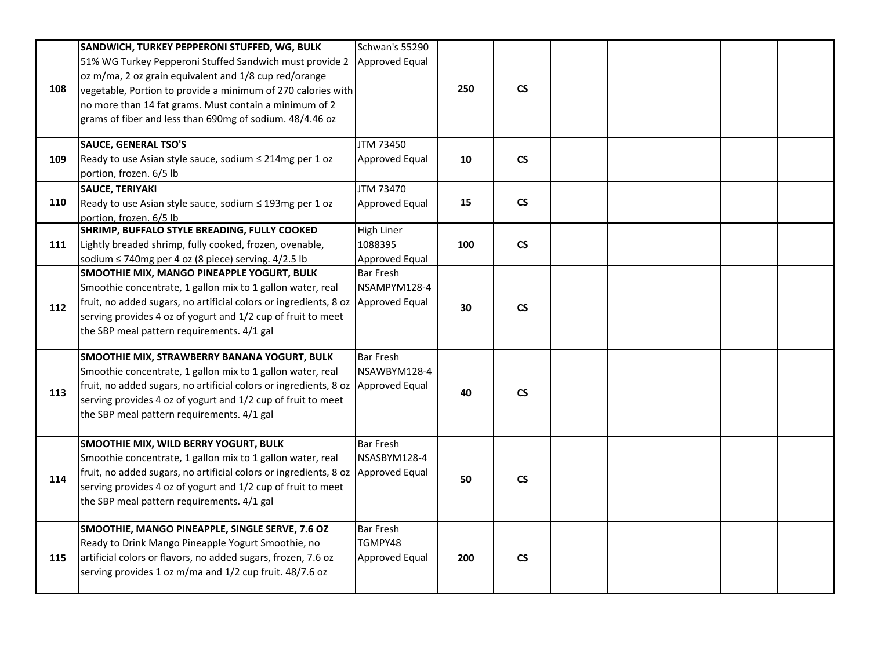|     | SANDWICH, TURKEY PEPPERONI STUFFED, WG, BULK                                                             | Schwan's 55290                   |     |                          |  |  |  |
|-----|----------------------------------------------------------------------------------------------------------|----------------------------------|-----|--------------------------|--|--|--|
|     | 51% WG Turkey Pepperoni Stuffed Sandwich must provide 2                                                  | Approved Equal                   |     |                          |  |  |  |
|     | oz m/ma, 2 oz grain equivalent and 1/8 cup red/orange                                                    |                                  |     |                          |  |  |  |
| 108 | vegetable, Portion to provide a minimum of 270 calories with                                             |                                  | 250 | $\mathsf{CS}\xspace$     |  |  |  |
|     | no more than 14 fat grams. Must contain a minimum of 2                                                   |                                  |     |                          |  |  |  |
|     | grams of fiber and less than 690mg of sodium. 48/4.46 oz                                                 |                                  |     |                          |  |  |  |
|     | <b>SAUCE, GENERAL TSO'S</b>                                                                              | JTM 73450                        |     |                          |  |  |  |
| 109 | Ready to use Asian style sauce, sodium ≤ 214mg per 1 oz                                                  | Approved Equal                   | 10  | $\mathsf{CS}\phantom{0}$ |  |  |  |
|     | portion, frozen. 6/5 lb                                                                                  |                                  |     |                          |  |  |  |
|     | <b>SAUCE, TERIYAKI</b>                                                                                   | JTM 73470                        |     |                          |  |  |  |
| 110 | Ready to use Asian style sauce, sodium ≤ 193mg per 1 oz                                                  | Approved Equal                   | 15  | $\mathsf{CS}\xspace$     |  |  |  |
|     | portion, frozen. 6/5 lb                                                                                  |                                  |     |                          |  |  |  |
|     | SHRIMP, BUFFALO STYLE BREADING, FULLY COOKED                                                             | High Liner                       |     |                          |  |  |  |
| 111 | Lightly breaded shrimp, fully cooked, frozen, ovenable,                                                  | 1088395                          | 100 | $\mathsf{CS}\phantom{0}$ |  |  |  |
|     | sodium ≤ 740mg per 4 oz (8 piece) serving. 4/2.5 lb                                                      | Approved Equal                   |     |                          |  |  |  |
|     | SMOOTHIE MIX, MANGO PINEAPPLE YOGURT, BULK<br>Smoothie concentrate, 1 gallon mix to 1 gallon water, real | <b>Bar Fresh</b><br>NSAMPYM128-4 |     |                          |  |  |  |
|     | fruit, no added sugars, no artificial colors or ingredients, 8 oz                                        | Approved Equal                   |     |                          |  |  |  |
| 112 | serving provides 4 oz of yogurt and 1/2 cup of fruit to meet                                             |                                  | 30  | $\mathsf{CS}\phantom{0}$ |  |  |  |
|     | the SBP meal pattern requirements. 4/1 gal                                                               |                                  |     |                          |  |  |  |
|     |                                                                                                          |                                  |     |                          |  |  |  |
|     | SMOOTHIE MIX, STRAWBERRY BANANA YOGURT, BULK                                                             | <b>Bar Fresh</b>                 |     |                          |  |  |  |
|     | Smoothie concentrate, 1 gallon mix to 1 gallon water, real                                               | NSAWBYM128-4                     |     |                          |  |  |  |
| 113 | fruit, no added sugars, no artificial colors or ingredients, 8 oz                                        | Approved Equal                   | 40  | $\mathsf{CS}\phantom{0}$ |  |  |  |
|     | serving provides 4 oz of yogurt and 1/2 cup of fruit to meet                                             |                                  |     |                          |  |  |  |
|     | the SBP meal pattern requirements. 4/1 gal                                                               |                                  |     |                          |  |  |  |
|     |                                                                                                          |                                  |     |                          |  |  |  |
|     | SMOOTHIE MIX, WILD BERRY YOGURT, BULK<br>Smoothie concentrate, 1 gallon mix to 1 gallon water, real      | Bar Fresh<br>NSASBYM128-4        |     |                          |  |  |  |
|     | fruit, no added sugars, no artificial colors or ingredients, 8 oz                                        | Approved Equal                   |     |                          |  |  |  |
| 114 | serving provides 4 oz of yogurt and 1/2 cup of fruit to meet                                             |                                  | 50  | $\mathsf{CS}\phantom{0}$ |  |  |  |
|     | the SBP meal pattern requirements. 4/1 gal                                                               |                                  |     |                          |  |  |  |
|     |                                                                                                          |                                  |     |                          |  |  |  |
|     | SMOOTHIE, MANGO PINEAPPLE, SINGLE SERVE, 7.6 OZ                                                          | <b>Bar Fresh</b>                 |     |                          |  |  |  |
|     | Ready to Drink Mango Pineapple Yogurt Smoothie, no                                                       | TGMPY48                          |     |                          |  |  |  |
| 115 | artificial colors or flavors, no added sugars, frozen, 7.6 oz                                            | Approved Equal                   | 200 | $\mathsf{CS}\phantom{0}$ |  |  |  |
|     | serving provides 1 oz m/ma and 1/2 cup fruit. 48/7.6 oz                                                  |                                  |     |                          |  |  |  |
|     |                                                                                                          |                                  |     |                          |  |  |  |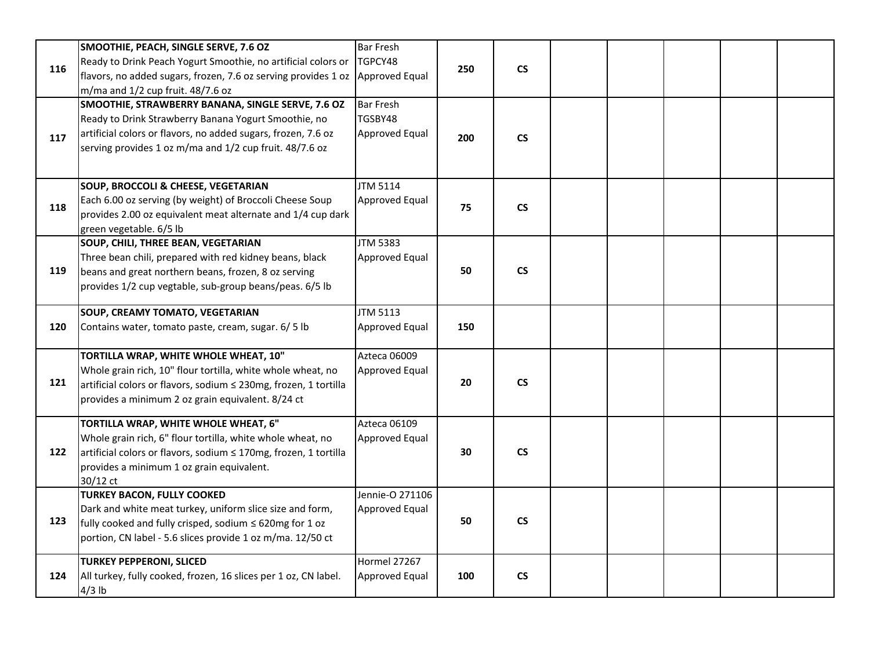| 116 | SMOOTHIE, PEACH, SINGLE SERVE, 7.6 OZ<br>Ready to Drink Peach Yogurt Smoothie, no artificial colors or<br>flavors, no added sugars, frozen, 7.6 oz serving provides 1 oz Approved Equal<br>m/ma and 1/2 cup fruit. 48/7.6 oz          | <b>Bar Fresh</b><br>TGPCY48                          | 250 | $\mathsf{CS}\phantom{0}$ |  |  |  |
|-----|---------------------------------------------------------------------------------------------------------------------------------------------------------------------------------------------------------------------------------------|------------------------------------------------------|-----|--------------------------|--|--|--|
| 117 | SMOOTHIE, STRAWBERRY BANANA, SINGLE SERVE, 7.6 OZ<br>Ready to Drink Strawberry Banana Yogurt Smoothie, no<br>artificial colors or flavors, no added sugars, frozen, 7.6 oz<br>serving provides 1 oz m/ma and 1/2 cup fruit. 48/7.6 oz | <b>Bar Fresh</b><br>TGSBY48<br><b>Approved Equal</b> | 200 | $\mathsf{CS}\xspace$     |  |  |  |
| 118 | <b>SOUP, BROCCOLI &amp; CHEESE, VEGETARIAN</b><br>Each 6.00 oz serving (by weight) of Broccoli Cheese Soup<br>provides 2.00 oz equivalent meat alternate and 1/4 cup dark<br>green vegetable. 6/5 lb                                  | <b>JTM 5114</b><br><b>Approved Equal</b>             | 75  | $\mathsf{CS}\phantom{0}$ |  |  |  |
| 119 | SOUP, CHILI, THREE BEAN, VEGETARIAN<br>Three bean chili, prepared with red kidney beans, black<br>beans and great northern beans, frozen, 8 oz serving<br>provides 1/2 cup vegtable, sub-group beans/peas. 6/5 lb                     | <b>JTM 5383</b><br><b>Approved Equal</b>             | 50  | $\mathsf{CS}\phantom{0}$ |  |  |  |
| 120 | SOUP, CREAMY TOMATO, VEGETARIAN<br>Contains water, tomato paste, cream, sugar. 6/5 lb                                                                                                                                                 | <b>JTM 5113</b><br>Approved Equal                    | 150 |                          |  |  |  |
| 121 | TORTILLA WRAP, WHITE WHOLE WHEAT, 10"<br>Whole grain rich, 10" flour tortilla, white whole wheat, no<br>artificial colors or flavors, sodium < 230mg, frozen, 1 tortilla<br>provides a minimum 2 oz grain equivalent. 8/24 ct         | Azteca 06009<br>Approved Equal                       | 20  | $\mathsf{CS}\phantom{0}$ |  |  |  |
| 122 | TORTILLA WRAP, WHITE WHOLE WHEAT, 6"<br>Whole grain rich, 6" flour tortilla, white whole wheat, no<br>artificial colors or flavors, sodium ≤ 170mg, frozen, 1 tortilla<br>provides a minimum 1 oz grain equivalent.<br>30/12 ct       | Azteca 06109<br>Approved Equal                       | 30  | $\mathsf{CS}\xspace$     |  |  |  |
| 123 | <b>TURKEY BACON, FULLY COOKED</b><br>Dark and white meat turkey, uniform slice size and form,<br>fully cooked and fully crisped, sodium $\leq$ 620mg for 1 oz<br>portion, CN label - 5.6 slices provide 1 oz m/ma. 12/50 ct           | Jennie-O 271106<br>Approved Equal                    | 50  | $\mathsf{CS}\phantom{0}$ |  |  |  |
| 124 | <b>TURKEY PEPPERONI, SLICED</b><br>All turkey, fully cooked, frozen, 16 slices per 1 oz, CN label.<br>$4/3$ lb                                                                                                                        | <b>Hormel 27267</b><br><b>Approved Equal</b>         | 100 | $\mathsf{CS}\phantom{0}$ |  |  |  |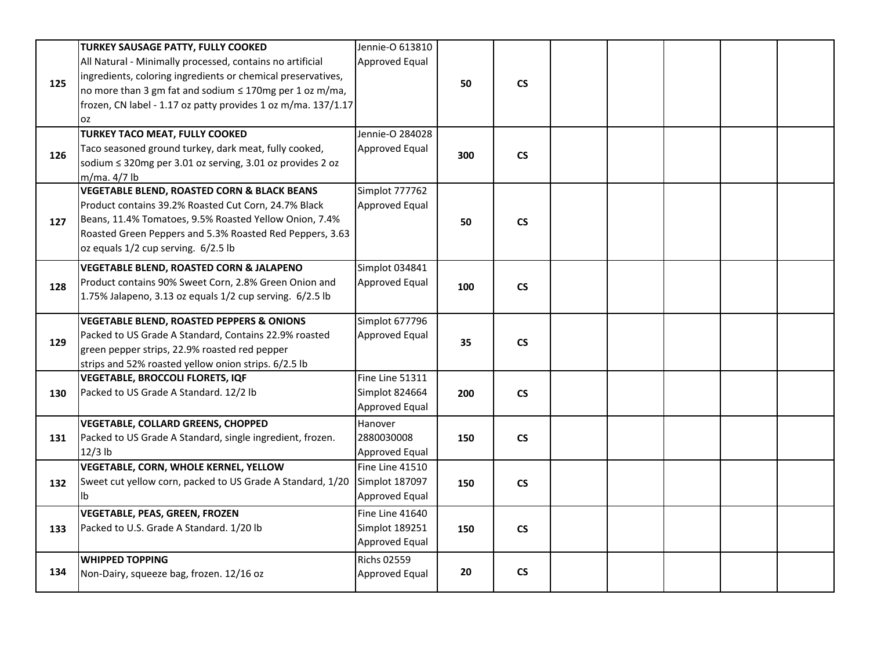|     | <b>TURKEY SAUSAGE PATTY, FULLY COOKED</b>                                                                                 | Jennie-O 613810    |     |                          |  |  |  |
|-----|---------------------------------------------------------------------------------------------------------------------------|--------------------|-----|--------------------------|--|--|--|
|     | All Natural - Minimally processed, contains no artificial<br>ingredients, coloring ingredients or chemical preservatives, | Approved Equal     |     |                          |  |  |  |
| 125 | no more than 3 gm fat and sodium ≤ 170mg per 1 oz m/ma,                                                                   |                    | 50  | <b>CS</b>                |  |  |  |
|     | frozen, CN label - 1.17 oz patty provides 1 oz m/ma. 137/1.17                                                             |                    |     |                          |  |  |  |
|     | <b>OZ</b>                                                                                                                 |                    |     |                          |  |  |  |
|     | <b>TURKEY TACO MEAT, FULLY COOKED</b>                                                                                     | Jennie-O 284028    |     |                          |  |  |  |
| 126 | Taco seasoned ground turkey, dark meat, fully cooked,                                                                     | Approved Equal     | 300 | $\mathsf{CS}\phantom{0}$ |  |  |  |
|     | sodium ≤ 320mg per 3.01 oz serving, 3.01 oz provides 2 oz                                                                 |                    |     |                          |  |  |  |
|     | m/ma. 4/7 lb                                                                                                              |                    |     |                          |  |  |  |
|     | <b>VEGETABLE BLEND, ROASTED CORN &amp; BLACK BEANS</b>                                                                    | Simplot 777762     |     |                          |  |  |  |
|     | Product contains 39.2% Roasted Cut Corn, 24.7% Black                                                                      | Approved Equal     |     |                          |  |  |  |
| 127 | Beans, 11.4% Tomatoes, 9.5% Roasted Yellow Onion, 7.4%                                                                    |                    | 50  | $\mathsf{CS}\xspace$     |  |  |  |
|     | Roasted Green Peppers and 5.3% Roasted Red Peppers, 3.63                                                                  |                    |     |                          |  |  |  |
|     | oz equals 1/2 cup serving. 6/2.5 lb                                                                                       |                    |     |                          |  |  |  |
|     | VEGETABLE BLEND, ROASTED CORN & JALAPENO                                                                                  | Simplot 034841     |     |                          |  |  |  |
| 128 | Product contains 90% Sweet Corn, 2.8% Green Onion and                                                                     | Approved Equal     | 100 | <b>CS</b>                |  |  |  |
|     | 1.75% Jalapeno, 3.13 oz equals 1/2 cup serving. 6/2.5 lb                                                                  |                    |     |                          |  |  |  |
|     | <b>VEGETABLE BLEND, ROASTED PEPPERS &amp; ONIONS</b>                                                                      | Simplot 677796     |     |                          |  |  |  |
|     | Packed to US Grade A Standard, Contains 22.9% roasted                                                                     | Approved Equal     |     |                          |  |  |  |
| 129 | green pepper strips, 22.9% roasted red pepper                                                                             |                    | 35  | $\mathsf{CS}\phantom{0}$ |  |  |  |
|     | strips and 52% roasted yellow onion strips. 6/2.5 lb                                                                      |                    |     |                          |  |  |  |
|     | VEGETABLE, BROCCOLI FLORETS, IQF                                                                                          | Fine Line 51311    |     |                          |  |  |  |
| 130 | Packed to US Grade A Standard. 12/2 lb                                                                                    | Simplot 824664     | 200 | $\mathsf{CS}\phantom{0}$ |  |  |  |
|     |                                                                                                                           | Approved Equal     |     |                          |  |  |  |
|     | VEGETABLE, COLLARD GREENS, CHOPPED                                                                                        | Hanover            |     |                          |  |  |  |
| 131 | Packed to US Grade A Standard, single ingredient, frozen.                                                                 | 2880030008         | 150 | $\mathsf{CS}\phantom{0}$ |  |  |  |
|     | $12/3$ lb                                                                                                                 | Approved Equal     |     |                          |  |  |  |
|     | VEGETABLE, CORN, WHOLE KERNEL, YELLOW                                                                                     | Fine Line 41510    |     |                          |  |  |  |
| 132 | Sweet cut yellow corn, packed to US Grade A Standard, 1/20                                                                | Simplot 187097     | 150 | $\mathsf{CS}\phantom{0}$ |  |  |  |
|     | Ib                                                                                                                        | Approved Equal     |     |                          |  |  |  |
|     | <b>VEGETABLE, PEAS, GREEN, FROZEN</b>                                                                                     | Fine Line 41640    |     |                          |  |  |  |
| 133 | Packed to U.S. Grade A Standard. 1/20 lb                                                                                  | Simplot 189251     | 150 | $\mathsf{CS}\phantom{0}$ |  |  |  |
|     |                                                                                                                           | Approved Equal     |     |                          |  |  |  |
|     | <b>WHIPPED TOPPING</b>                                                                                                    | <b>Richs 02559</b> |     |                          |  |  |  |
| 134 | Non-Dairy, squeeze bag, frozen. 12/16 oz                                                                                  | Approved Equal     | 20  | $\mathsf{CS}\phantom{0}$ |  |  |  |
|     |                                                                                                                           |                    |     |                          |  |  |  |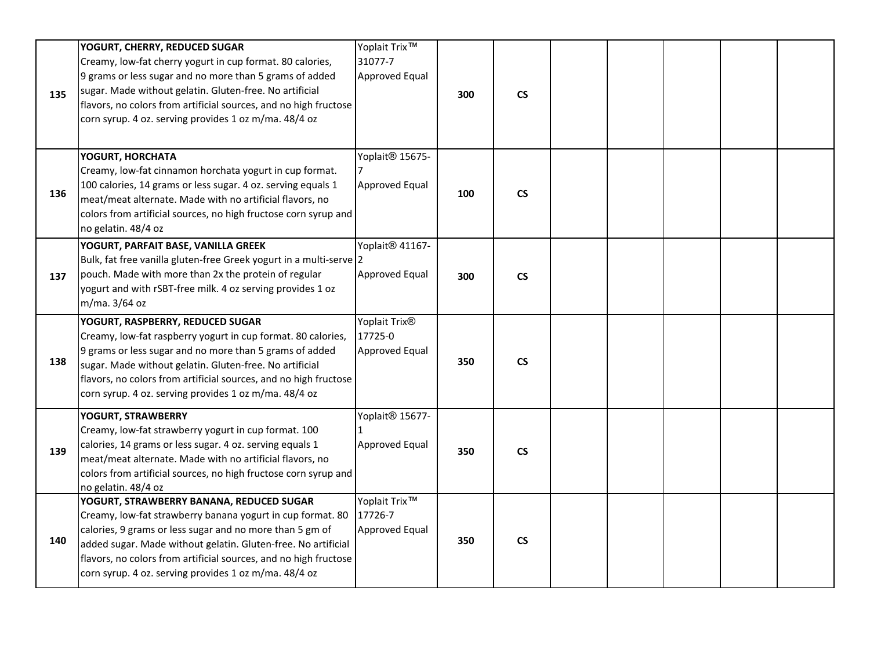| 135 | YOGURT, CHERRY, REDUCED SUGAR<br>Creamy, low-fat cherry yogurt in cup format. 80 calories,<br>9 grams or less sugar and no more than 5 grams of added<br>sugar. Made without gelatin. Gluten-free. No artificial<br>flavors, no colors from artificial sources, and no high fructose<br>corn syrup. 4 oz. serving provides 1 oz m/ma. 48/4 oz                    | Yoplait Trix <sup>™</sup><br>31077-7<br>Approved Equal | 300 | $\mathsf{CS}\phantom{0}$ |  |  |  |
|-----|------------------------------------------------------------------------------------------------------------------------------------------------------------------------------------------------------------------------------------------------------------------------------------------------------------------------------------------------------------------|--------------------------------------------------------|-----|--------------------------|--|--|--|
| 136 | YOGURT, HORCHATA<br>Creamy, low-fat cinnamon horchata yogurt in cup format.<br>100 calories, 14 grams or less sugar. 4 oz. serving equals 1<br>meat/meat alternate. Made with no artificial flavors, no<br>colors from artificial sources, no high fructose corn syrup and<br>no gelatin. 48/4 oz                                                                | Yoplait <sup>®</sup> 15675-<br>Approved Equal          | 100 | $\mathsf{CS}\xspace$     |  |  |  |
| 137 | YOGURT, PARFAIT BASE, VANILLA GREEK<br>Bulk, fat free vanilla gluten-free Greek yogurt in a multi-serve 2<br>pouch. Made with more than 2x the protein of regular<br>yogurt and with rSBT-free milk. 4 oz serving provides 1 oz<br>m/ma. 3/64 oz                                                                                                                 | Yoplait <sup>®</sup> 41167-<br>Approved Equal          | 300 | $\mathsf{CS}\phantom{0}$ |  |  |  |
| 138 | YOGURT, RASPBERRY, REDUCED SUGAR<br>Creamy, low-fat raspberry yogurt in cup format. 80 calories,<br>9 grams or less sugar and no more than 5 grams of added<br>sugar. Made without gelatin. Gluten-free. No artificial<br>flavors, no colors from artificial sources, and no high fructose<br>corn syrup. 4 oz. serving provides 1 oz m/ma. 48/4 oz              | Yoplait Trix <sup>®</sup><br>17725-0<br>Approved Equal | 350 | $\mathsf{CS}\phantom{0}$ |  |  |  |
| 139 | YOGURT, STRAWBERRY<br>Creamy, low-fat strawberry yogurt in cup format. 100<br>calories, 14 grams or less sugar. 4 oz. serving equals 1<br>meat/meat alternate. Made with no artificial flavors, no<br>colors from artificial sources, no high fructose corn syrup and<br>no gelatin. 48/4 oz                                                                     | Yoplait <sup>®</sup> 15677-<br>Approved Equal          | 350 | $\mathsf{CS}\xspace$     |  |  |  |
| 140 | YOGURT, STRAWBERRY BANANA, REDUCED SUGAR<br>Creamy, low-fat strawberry banana yogurt in cup format. 80<br>calories, 9 grams or less sugar and no more than 5 gm of<br>added sugar. Made without gelatin. Gluten-free. No artificial<br>flavors, no colors from artificial sources, and no high fructose<br>corn syrup. 4 oz. serving provides 1 oz m/ma. 48/4 oz | Yoplait Trix <sup>™</sup><br>17726-7<br>Approved Equal | 350 | <b>CS</b>                |  |  |  |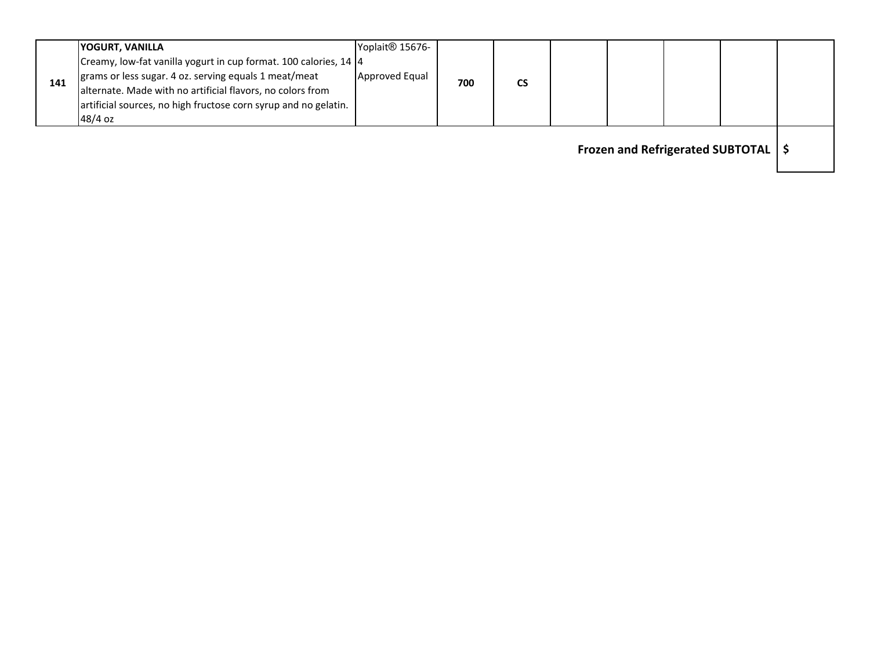|     | <b>YOGURT, VANILLA</b>                                                                                                                                                                                                                                     | Yoplait <sup>®</sup> 15676- |     |    |  |  |  |
|-----|------------------------------------------------------------------------------------------------------------------------------------------------------------------------------------------------------------------------------------------------------------|-----------------------------|-----|----|--|--|--|
| 141 | Creamy, low-fat vanilla yogurt in cup format. 100 calories, 14 4<br>grams or less sugar. 4 oz. serving equals 1 meat/meat<br>alternate. Made with no artificial flavors, no colors from<br>artificial sources, no high fructose corn syrup and no gelatin. | Approved Equal              | 700 | CS |  |  |  |
|     | $48/4$ oz                                                                                                                                                                                                                                                  |                             |     |    |  |  |  |
|     |                                                                                                                                                                                                                                                            |                             |     |    |  |  |  |

**Frozen and Refrigerated SUBTOTAL \$**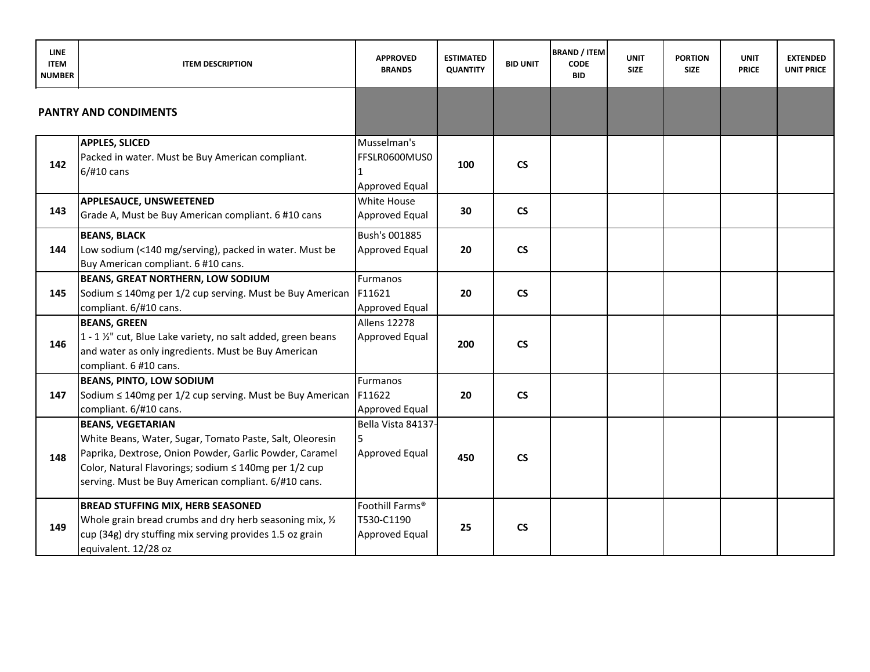| <b>LINE</b><br><b>ITEM</b><br><b>NUMBER</b> | <b>ITEM DESCRIPTION</b>                                                                                                                                                                                                                                          | <b>APPROVED</b><br><b>BRANDS</b>                 | <b>ESTIMATED</b><br><b>QUANTITY</b> | <b>BID UNIT</b>          | <b>BRAND / ITEM</b><br><b>CODE</b><br><b>BID</b> | <b>UNIT</b><br><b>SIZE</b> | <b>PORTION</b><br><b>SIZE</b> | <b>UNIT</b><br><b>PRICE</b> | <b>EXTENDED</b><br><b>UNIT PRICE</b> |
|---------------------------------------------|------------------------------------------------------------------------------------------------------------------------------------------------------------------------------------------------------------------------------------------------------------------|--------------------------------------------------|-------------------------------------|--------------------------|--------------------------------------------------|----------------------------|-------------------------------|-----------------------------|--------------------------------------|
|                                             | <b>PANTRY AND CONDIMENTS</b>                                                                                                                                                                                                                                     |                                                  |                                     |                          |                                                  |                            |                               |                             |                                      |
| 142                                         | <b>APPLES, SLICED</b><br>Packed in water. Must be Buy American compliant.<br>6/#10 cans                                                                                                                                                                          | Musselman's<br>FFSLR0600MUS0<br>Approved Equal   | 100                                 | $\mathsf{CS}\xspace$     |                                                  |                            |                               |                             |                                      |
| 143                                         | APPLESAUCE, UNSWEETENED<br>Grade A, Must be Buy American compliant. 6 #10 cans                                                                                                                                                                                   | White House<br>Approved Equal                    | 30                                  | $\mathsf{CS}\phantom{0}$ |                                                  |                            |                               |                             |                                      |
| 144                                         | <b>BEANS, BLACK</b><br>Low sodium (<140 mg/serving), packed in water. Must be<br>Buy American compliant. 6 #10 cans.                                                                                                                                             | Bush's 001885<br><b>Approved Equal</b>           | 20                                  | $\mathsf{CS}\phantom{0}$ |                                                  |                            |                               |                             |                                      |
| 145                                         | BEANS, GREAT NORTHERN, LOW SODIUM<br>Sodium ≤ 140mg per 1/2 cup serving. Must be Buy American<br>compliant. 6/#10 cans.                                                                                                                                          | Furmanos<br>F11621<br>Approved Equal             | 20                                  | $\mathsf{CS}\phantom{0}$ |                                                  |                            |                               |                             |                                      |
| 146                                         | <b>BEANS, GREEN</b><br>1 - 1 1/2" cut, Blue Lake variety, no salt added, green beans<br>and water as only ingredients. Must be Buy American<br>compliant. 6 #10 cans.                                                                                            | <b>Allens 12278</b><br>Approved Equal            | 200                                 | $\mathsf{CS}\xspace$     |                                                  |                            |                               |                             |                                      |
| 147                                         | <b>BEANS, PINTO, LOW SODIUM</b><br>Sodium ≤ 140mg per 1/2 cup serving. Must be Buy American<br>compliant. 6/#10 cans.                                                                                                                                            | Furmanos<br>F11622<br>Approved Equal             | 20                                  | $\mathsf{CS}\xspace$     |                                                  |                            |                               |                             |                                      |
| 148                                         | <b>BEANS, VEGETARIAN</b><br>White Beans, Water, Sugar, Tomato Paste, Salt, Oleoresin<br>Paprika, Dextrose, Onion Powder, Garlic Powder, Caramel<br>Color, Natural Flavorings; sodium ≤ 140mg per 1/2 cup<br>serving. Must be Buy American compliant. 6/#10 cans. | Bella Vista 84137-<br>5<br><b>Approved Equal</b> | 450                                 | $\mathsf{CS}\xspace$     |                                                  |                            |                               |                             |                                      |
| 149                                         | <b>BREAD STUFFING MIX, HERB SEASONED</b><br>Whole grain bread crumbs and dry herb seasoning mix, 1/2<br>cup (34g) dry stuffing mix serving provides 1.5 oz grain<br>equivalent. 12/28 oz                                                                         | Foothill Farms®<br>T530-C1190<br>Approved Equal  | 25                                  | $\mathsf{CS}\xspace$     |                                                  |                            |                               |                             |                                      |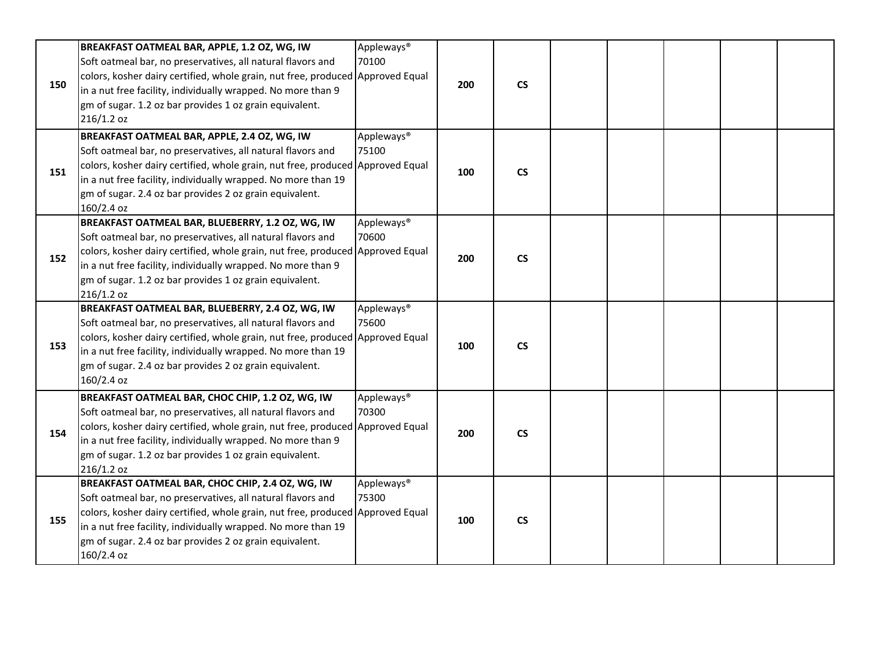|     | BREAKFAST OATMEAL BAR, APPLE, 1.2 OZ, WG, IW                                   | Appleways <sup>®</sup> |     |                          |  |  |  |
|-----|--------------------------------------------------------------------------------|------------------------|-----|--------------------------|--|--|--|
|     | Soft oatmeal bar, no preservatives, all natural flavors and                    | 70100                  |     |                          |  |  |  |
|     | colors, kosher dairy certified, whole grain, nut free, produced Approved Equal |                        |     |                          |  |  |  |
| 150 | in a nut free facility, individually wrapped. No more than 9                   |                        | 200 | $\mathsf{CS}\xspace$     |  |  |  |
|     | gm of sugar. 1.2 oz bar provides 1 oz grain equivalent.                        |                        |     |                          |  |  |  |
|     | 216/1.2 oz                                                                     |                        |     |                          |  |  |  |
|     | BREAKFAST OATMEAL BAR, APPLE, 2.4 OZ, WG, IW                                   | Appleways <sup>®</sup> |     |                          |  |  |  |
|     | Soft oatmeal bar, no preservatives, all natural flavors and                    | 75100                  |     |                          |  |  |  |
|     | colors, kosher dairy certified, whole grain, nut free, produced Approved Equal |                        |     |                          |  |  |  |
| 151 | in a nut free facility, individually wrapped. No more than 19                  |                        | 100 | $\mathsf{CS}\phantom{0}$ |  |  |  |
|     | gm of sugar. 2.4 oz bar provides 2 oz grain equivalent.                        |                        |     |                          |  |  |  |
|     | 160/2.4 oz                                                                     |                        |     |                          |  |  |  |
|     | BREAKFAST OATMEAL BAR, BLUEBERRY, 1.2 OZ, WG, IW                               | Appleways <sup>®</sup> |     |                          |  |  |  |
|     | Soft oatmeal bar, no preservatives, all natural flavors and                    | 70600                  |     |                          |  |  |  |
|     | colors, kosher dairy certified, whole grain, nut free, produced Approved Equal |                        |     |                          |  |  |  |
| 152 | in a nut free facility, individually wrapped. No more than 9                   |                        | 200 | $\mathsf{CS}\phantom{0}$ |  |  |  |
|     | gm of sugar. 1.2 oz bar provides 1 oz grain equivalent.                        |                        |     |                          |  |  |  |
|     | 216/1.2 oz                                                                     |                        |     |                          |  |  |  |
|     | BREAKFAST OATMEAL BAR, BLUEBERRY, 2.4 OZ, WG, IW                               | Appleways <sup>®</sup> |     |                          |  |  |  |
|     | Soft oatmeal bar, no preservatives, all natural flavors and                    | 75600                  |     |                          |  |  |  |
|     | colors, kosher dairy certified, whole grain, nut free, produced Approved Equal |                        |     |                          |  |  |  |
| 153 | in a nut free facility, individually wrapped. No more than 19                  |                        | 100 | $\mathsf{CS}\phantom{0}$ |  |  |  |
|     | gm of sugar. 2.4 oz bar provides 2 oz grain equivalent.                        |                        |     |                          |  |  |  |
|     | 160/2.4 oz                                                                     |                        |     |                          |  |  |  |
|     | BREAKFAST OATMEAL BAR, CHOC CHIP, 1.2 OZ, WG, IW                               | Appleways <sup>®</sup> |     |                          |  |  |  |
|     | Soft oatmeal bar, no preservatives, all natural flavors and                    | 70300                  |     |                          |  |  |  |
|     | colors, kosher dairy certified, whole grain, nut free, produced Approved Equal |                        |     |                          |  |  |  |
| 154 | in a nut free facility, individually wrapped. No more than 9                   |                        | 200 | <b>CS</b>                |  |  |  |
|     | gm of sugar. 1.2 oz bar provides 1 oz grain equivalent.                        |                        |     |                          |  |  |  |
|     | $216/1.2$ oz                                                                   |                        |     |                          |  |  |  |
|     | BREAKFAST OATMEAL BAR, CHOC CHIP, 2.4 OZ, WG, IW                               | Appleways <sup>®</sup> |     |                          |  |  |  |
|     | Soft oatmeal bar, no preservatives, all natural flavors and                    | 75300                  |     |                          |  |  |  |
|     | colors, kosher dairy certified, whole grain, nut free, produced Approved Equal |                        |     |                          |  |  |  |
| 155 | in a nut free facility, individually wrapped. No more than 19                  |                        | 100 | $\mathsf{CS}\xspace$     |  |  |  |
|     |                                                                                |                        |     |                          |  |  |  |
|     |                                                                                |                        |     |                          |  |  |  |
|     | gm of sugar. 2.4 oz bar provides 2 oz grain equivalent.<br>160/2.4 oz          |                        |     |                          |  |  |  |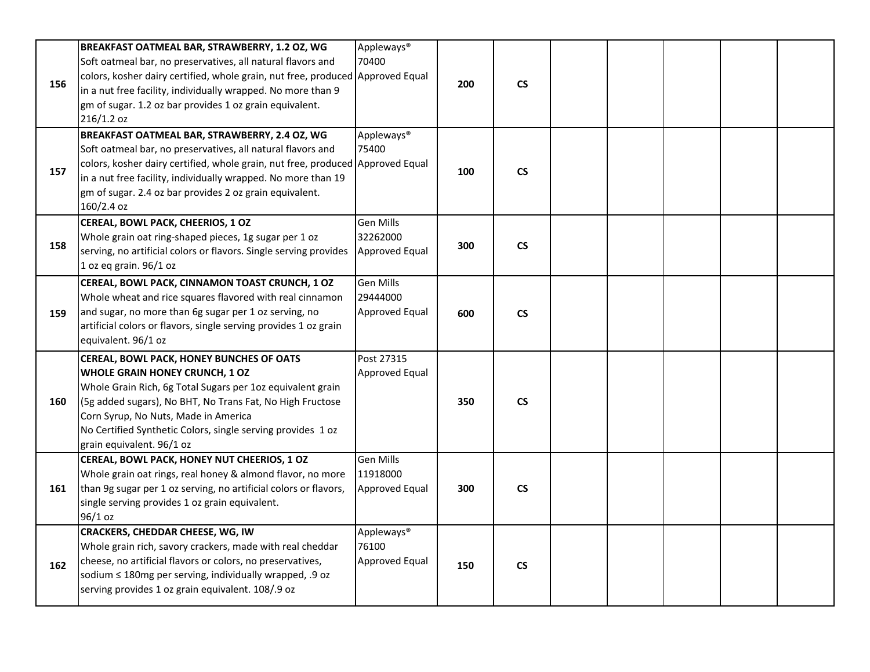| 156 | BREAKFAST OATMEAL BAR, STRAWBERRY, 1.2 OZ, WG<br>Soft oatmeal bar, no preservatives, all natural flavors and<br>colors, kosher dairy certified, whole grain, nut free, produced Approved Equal<br>in a nut free facility, individually wrapped. No more than 9<br>gm of sugar. 1.2 oz bar provides 1 oz grain equivalent.<br>216/1.2 oz          | Appleways <sup>®</sup><br>70400                          | 200 | $\mathsf{CS}\phantom{0}$ |  |  |  |
|-----|--------------------------------------------------------------------------------------------------------------------------------------------------------------------------------------------------------------------------------------------------------------------------------------------------------------------------------------------------|----------------------------------------------------------|-----|--------------------------|--|--|--|
| 157 | BREAKFAST OATMEAL BAR, STRAWBERRY, 2.4 OZ, WG<br>Soft oatmeal bar, no preservatives, all natural flavors and<br>colors, kosher dairy certified, whole grain, nut free, produced Approved Equal<br>in a nut free facility, individually wrapped. No more than 19<br>gm of sugar. 2.4 oz bar provides 2 oz grain equivalent.<br>160/2.4 oz         | Appleways <sup>®</sup><br>75400                          | 100 | $\mathsf{CS}\phantom{0}$ |  |  |  |
| 158 | CEREAL, BOWL PACK, CHEERIOS, 1 OZ<br>Whole grain oat ring-shaped pieces, 1g sugar per 1 oz<br>serving, no artificial colors or flavors. Single serving provides<br>1 oz eq grain. 96/1 oz                                                                                                                                                        | Gen Mills<br>32262000<br>Approved Equal                  | 300 | $\mathsf{CS}\phantom{0}$ |  |  |  |
| 159 | CEREAL, BOWL PACK, CINNAMON TOAST CRUNCH, 1 OZ<br>Whole wheat and rice squares flavored with real cinnamon<br>and sugar, no more than 6g sugar per 1 oz serving, no<br>artificial colors or flavors, single serving provides 1 oz grain<br>equivalent. 96/1 oz                                                                                   | <b>Gen Mills</b><br>29444000<br>Approved Equal           | 600 | <b>CS</b>                |  |  |  |
| 160 | CEREAL, BOWL PACK, HONEY BUNCHES OF OATS<br><b>WHOLE GRAIN HONEY CRUNCH, 1 OZ</b><br>Whole Grain Rich, 6g Total Sugars per 1oz equivalent grain<br>(5g added sugars), No BHT, No Trans Fat, No High Fructose<br>Corn Syrup, No Nuts, Made in America<br>No Certified Synthetic Colors, single serving provides 1 oz<br>grain equivalent. 96/1 oz | Post 27315<br>Approved Equal                             | 350 | $\mathsf{CS}\phantom{0}$ |  |  |  |
| 161 | CEREAL, BOWL PACK, HONEY NUT CHEERIOS, 1 OZ<br>Whole grain oat rings, real honey & almond flavor, no more<br>than 9g sugar per 1 oz serving, no artificial colors or flavors,<br>single serving provides 1 oz grain equivalent.<br>96/1 oz                                                                                                       | <b>Gen Mills</b><br>11918000<br>Approved Equal           | 300 | <b>CS</b>                |  |  |  |
| 162 | <b>CRACKERS, CHEDDAR CHEESE, WG, IW</b><br>Whole grain rich, savory crackers, made with real cheddar<br>cheese, no artificial flavors or colors, no preservatives,<br>sodium ≤ 180mg per serving, individually wrapped, .9 oz<br>serving provides 1 oz grain equivalent. 108/.9 oz                                                               | Appleways <sup>®</sup><br>76100<br><b>Approved Equal</b> | 150 | $\mathsf{CS}\phantom{0}$ |  |  |  |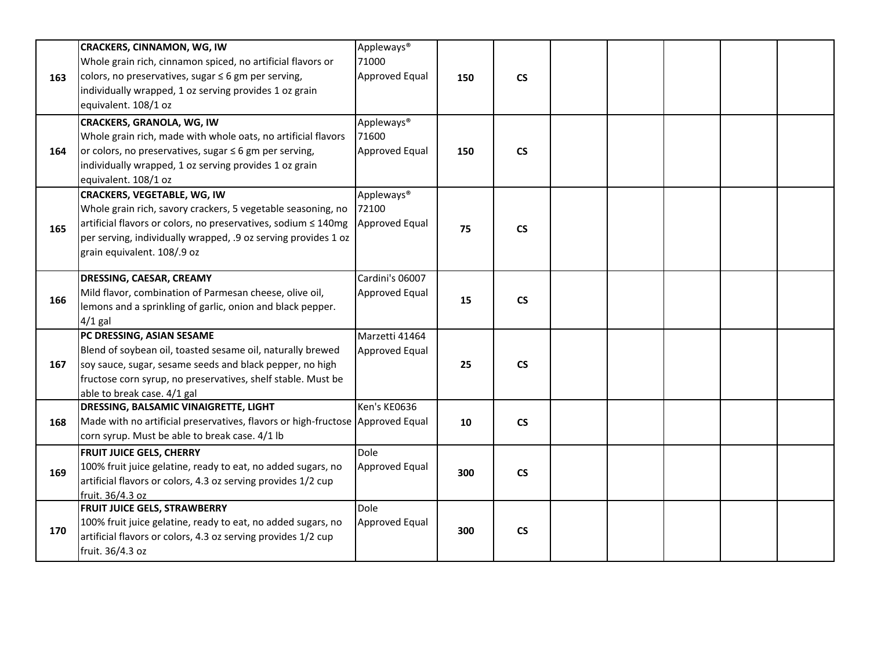| 163 | <b>CRACKERS, CINNAMON, WG, IW</b><br>Whole grain rich, cinnamon spiced, no artificial flavors or<br>colors, no preservatives, sugar $\leq 6$ gm per serving,<br>individually wrapped, 1 oz serving provides 1 oz grain<br>equivalent. 108/1 oz                        | Appleways <sup>®</sup><br>71000<br>Approved Equal | 150 | $\mathsf{CS}\phantom{0}$ |  |  |  |
|-----|-----------------------------------------------------------------------------------------------------------------------------------------------------------------------------------------------------------------------------------------------------------------------|---------------------------------------------------|-----|--------------------------|--|--|--|
| 164 | <b>CRACKERS, GRANOLA, WG, IW</b><br>Whole grain rich, made with whole oats, no artificial flavors<br>or colors, no preservatives, sugar $\leq 6$ gm per serving,<br>individually wrapped, 1 oz serving provides 1 oz grain<br>equivalent. 108/1 oz                    | Appleways <sup>®</sup><br>71600<br>Approved Equal | 150 | $\mathsf{CS}\phantom{0}$ |  |  |  |
| 165 | <b>CRACKERS, VEGETABLE, WG, IW</b><br>Whole grain rich, savory crackers, 5 vegetable seasoning, no<br>artificial flavors or colors, no preservatives, sodium ≤ 140mg<br>per serving, individually wrapped, .9 oz serving provides 1 oz<br>grain equivalent. 108/.9 oz | Appleways <sup>®</sup><br>72100<br>Approved Equal | 75  | $\mathsf{CS}\phantom{0}$ |  |  |  |
| 166 | DRESSING, CAESAR, CREAMY<br>Mild flavor, combination of Parmesan cheese, olive oil,<br>lemons and a sprinkling of garlic, onion and black pepper.<br>$4/1$ gal                                                                                                        | Cardini's 06007<br>Approved Equal                 | 15  | $\mathsf{CS}\xspace$     |  |  |  |
| 167 | PC DRESSING, ASIAN SESAME<br>Blend of soybean oil, toasted sesame oil, naturally brewed<br>soy sauce, sugar, sesame seeds and black pepper, no high<br>fructose corn syrup, no preservatives, shelf stable. Must be<br>able to break case. 4/1 gal                    | Marzetti 41464<br>Approved Equal                  | 25  | $\mathsf{CS}\xspace$     |  |  |  |
| 168 | <b>DRESSING, BALSAMIC VINAIGRETTE, LIGHT</b><br>Made with no artificial preservatives, flavors or high-fructose Approved Equal<br>corn syrup. Must be able to break case. 4/1 lb                                                                                      | Ken's KE0636                                      | 10  | $\mathsf{CS}\phantom{0}$ |  |  |  |
| 169 | <b>FRUIT JUICE GELS, CHERRY</b><br>100% fruit juice gelatine, ready to eat, no added sugars, no<br>artificial flavors or colors, 4.3 oz serving provides 1/2 cup<br>fruit. 36/4.3 oz                                                                                  | Dole<br>Approved Equal                            | 300 | $\mathsf{CS}\xspace$     |  |  |  |
| 170 | <b>FRUIT JUICE GELS, STRAWBERRY</b><br>100% fruit juice gelatine, ready to eat, no added sugars, no<br>artificial flavors or colors, 4.3 oz serving provides 1/2 cup<br>fruit. 36/4.3 oz                                                                              | Dole<br><b>Approved Equal</b>                     | 300 | $\mathsf{CS}\xspace$     |  |  |  |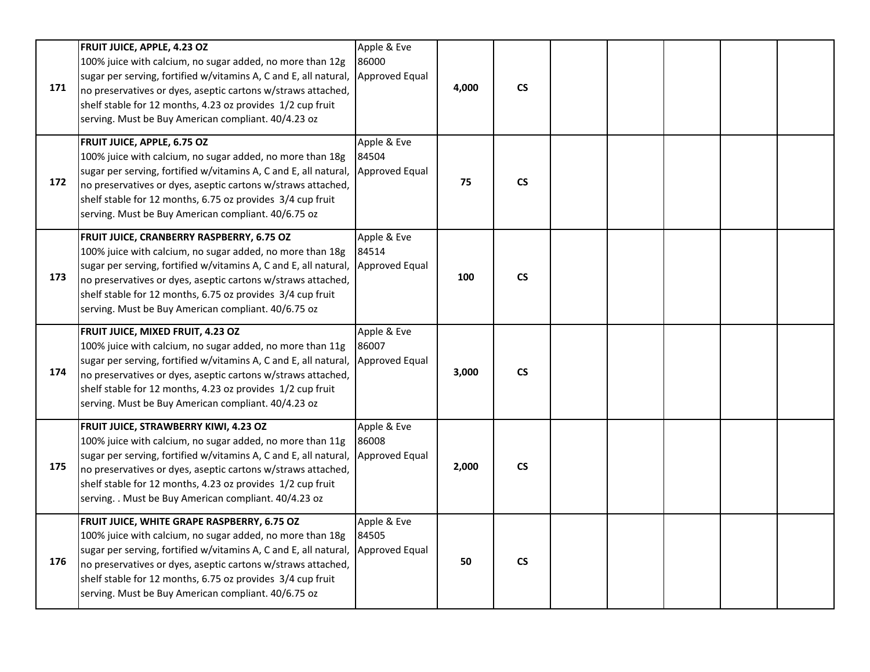| 171 | <b>FRUIT JUICE, APPLE, 4.23 OZ</b><br>100% juice with calcium, no sugar added, no more than 12g<br>sugar per serving, fortified w/vitamins A, C and E, all natural,<br>no preservatives or dyes, aseptic cartons w/straws attached,<br>shelf stable for 12 months, 4.23 oz provides 1/2 cup fruit<br>serving. Must be Buy American compliant. 40/4.23 oz          | Apple & Eve<br>86000<br>Approved Equal | 4,000 | $\mathsf{CS}\xspace$ |  |  |  |
|-----|-------------------------------------------------------------------------------------------------------------------------------------------------------------------------------------------------------------------------------------------------------------------------------------------------------------------------------------------------------------------|----------------------------------------|-------|----------------------|--|--|--|
| 172 | <b>FRUIT JUICE, APPLE, 6.75 OZ</b><br>100% juice with calcium, no sugar added, no more than 18g<br>sugar per serving, fortified w/vitamins A, C and E, all natural,<br>no preservatives or dyes, aseptic cartons w/straws attached,<br>shelf stable for 12 months, 6.75 oz provides 3/4 cup fruit<br>serving. Must be Buy American compliant. 40/6.75 oz          | Apple & Eve<br>84504<br>Approved Equal | 75    | $\mathsf{CS}\xspace$ |  |  |  |
| 173 | FRUIT JUICE, CRANBERRY RASPBERRY, 6.75 OZ<br>100% juice with calcium, no sugar added, no more than 18g<br>sugar per serving, fortified w/vitamins A, C and E, all natural,<br>no preservatives or dyes, aseptic cartons w/straws attached,<br>shelf stable for 12 months, 6.75 oz provides 3/4 cup fruit<br>serving. Must be Buy American compliant. 40/6.75 oz   | Apple & Eve<br>84514<br>Approved Equal | 100   | $\mathsf{CS}\xspace$ |  |  |  |
| 174 | FRUIT JUICE, MIXED FRUIT, 4.23 OZ<br>100% juice with calcium, no sugar added, no more than 11g<br>sugar per serving, fortified w/vitamins A, C and E, all natural,<br>no preservatives or dyes, aseptic cartons w/straws attached,<br>shelf stable for 12 months, 4.23 oz provides 1/2 cup fruit<br>serving. Must be Buy American compliant. 40/4.23 oz           | Apple & Eve<br>86007<br>Approved Equal | 3,000 | $\mathsf{CS}\xspace$ |  |  |  |
| 175 | FRUIT JUICE, STRAWBERRY KIWI, 4.23 OZ<br>100% juice with calcium, no sugar added, no more than 11g<br>sugar per serving, fortified w/vitamins A, C and E, all natural,<br>no preservatives or dyes, aseptic cartons w/straws attached,<br>shelf stable for 12 months, 4.23 oz provides 1/2 cup fruit<br>serving. . Must be Buy American compliant. 40/4.23 oz     | Apple & Eve<br>86008<br>Approved Equal | 2,000 | $\mathsf{CS}\xspace$ |  |  |  |
| 176 | FRUIT JUICE, WHITE GRAPE RASPBERRY, 6.75 OZ<br>100% juice with calcium, no sugar added, no more than 18g<br>sugar per serving, fortified w/vitamins A, C and E, all natural,<br>no preservatives or dyes, aseptic cartons w/straws attached,<br>shelf stable for 12 months, 6.75 oz provides 3/4 cup fruit<br>serving. Must be Buy American compliant. 40/6.75 oz | Apple & Eve<br>84505<br>Approved Equal | 50    | $\mathsf{CS}\xspace$ |  |  |  |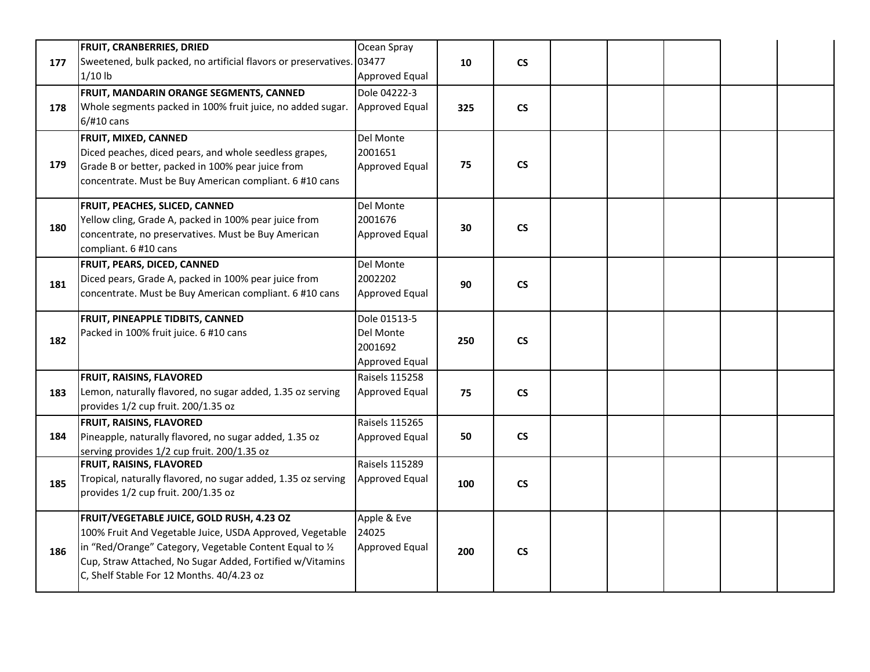|     | <b>FRUIT, CRANBERRIES, DRIED</b>                                      | Ocean Spray           |     |                          |  |  |  |
|-----|-----------------------------------------------------------------------|-----------------------|-----|--------------------------|--|--|--|
| 177 | Sweetened, bulk packed, no artificial flavors or preservatives. 03477 |                       | 10  | $\mathsf{CS}\phantom{0}$ |  |  |  |
|     | $1/10$ lb                                                             | Approved Equal        |     |                          |  |  |  |
|     | FRUIT, MANDARIN ORANGE SEGMENTS, CANNED                               | Dole 04222-3          |     |                          |  |  |  |
| 178 | Whole segments packed in 100% fruit juice, no added sugar.            | Approved Equal        | 325 | $\mathsf{CS}\phantom{0}$ |  |  |  |
|     | 6/#10 cans                                                            |                       |     |                          |  |  |  |
|     | FRUIT, MIXED, CANNED                                                  | Del Monte             |     |                          |  |  |  |
|     | Diced peaches, diced pears, and whole seedless grapes,                | 2001651               |     |                          |  |  |  |
| 179 | Grade B or better, packed in 100% pear juice from                     | <b>Approved Equal</b> | 75  | $\mathsf{CS}\phantom{0}$ |  |  |  |
|     | concentrate. Must be Buy American compliant. 6 #10 cans               |                       |     |                          |  |  |  |
|     |                                                                       |                       |     |                          |  |  |  |
|     | FRUIT, PEACHES, SLICED, CANNED                                        | Del Monte             |     |                          |  |  |  |
|     | Yellow cling, Grade A, packed in 100% pear juice from                 | 2001676               |     |                          |  |  |  |
| 180 | concentrate, no preservatives. Must be Buy American                   | Approved Equal        | 30  | $\mathsf{CS}\phantom{0}$ |  |  |  |
|     | compliant. 6 #10 cans                                                 |                       |     |                          |  |  |  |
|     | FRUIT, PEARS, DICED, CANNED                                           | Del Monte             |     |                          |  |  |  |
|     | Diced pears, Grade A, packed in 100% pear juice from                  | 2002202               |     |                          |  |  |  |
| 181 | concentrate. Must be Buy American compliant. 6 #10 cans               | <b>Approved Equal</b> | 90  | $\mathsf{CS}\phantom{0}$ |  |  |  |
|     |                                                                       |                       |     |                          |  |  |  |
|     | FRUIT, PINEAPPLE TIDBITS, CANNED                                      | Dole 01513-5          |     |                          |  |  |  |
| 182 | Packed in 100% fruit juice. 6 #10 cans                                | Del Monte             | 250 | $\mathsf{CS}\xspace$     |  |  |  |
|     |                                                                       | 2001692               |     |                          |  |  |  |
|     |                                                                       | Approved Equal        |     |                          |  |  |  |
|     | <b>FRUIT, RAISINS, FLAVORED</b>                                       | <b>Raisels 115258</b> |     |                          |  |  |  |
| 183 | Lemon, naturally flavored, no sugar added, 1.35 oz serving            | <b>Approved Equal</b> | 75  | $\mathsf{CS}\phantom{0}$ |  |  |  |
|     | provides 1/2 cup fruit. 200/1.35 oz                                   |                       |     |                          |  |  |  |
|     | <b>FRUIT, RAISINS, FLAVORED</b>                                       | <b>Raisels 115265</b> |     |                          |  |  |  |
| 184 | Pineapple, naturally flavored, no sugar added, 1.35 oz                | <b>Approved Equal</b> | 50  | $\mathsf{CS}\phantom{0}$ |  |  |  |
|     | serving provides 1/2 cup fruit. 200/1.35 oz                           |                       |     |                          |  |  |  |
|     | FRUIT, RAISINS, FLAVORED                                              | Raisels 115289        |     |                          |  |  |  |
| 185 | Tropical, naturally flavored, no sugar added, 1.35 oz serving         | Approved Equal        | 100 | $\mathsf{CS}\phantom{0}$ |  |  |  |
|     | provides 1/2 cup fruit. 200/1.35 oz                                   |                       |     |                          |  |  |  |
|     |                                                                       |                       |     |                          |  |  |  |
|     | FRUIT/VEGETABLE JUICE, GOLD RUSH, 4.23 OZ                             | Apple & Eve           |     |                          |  |  |  |
|     | 100% Fruit And Vegetable Juice, USDA Approved, Vegetable              | 24025                 |     |                          |  |  |  |
| 186 | in "Red/Orange" Category, Vegetable Content Equal to 1/2              | Approved Equal        | 200 | $\mathsf{CS}\phantom{0}$ |  |  |  |
|     | Cup, Straw Attached, No Sugar Added, Fortified w/Vitamins             |                       |     |                          |  |  |  |
|     | C, Shelf Stable For 12 Months. 40/4.23 oz                             |                       |     |                          |  |  |  |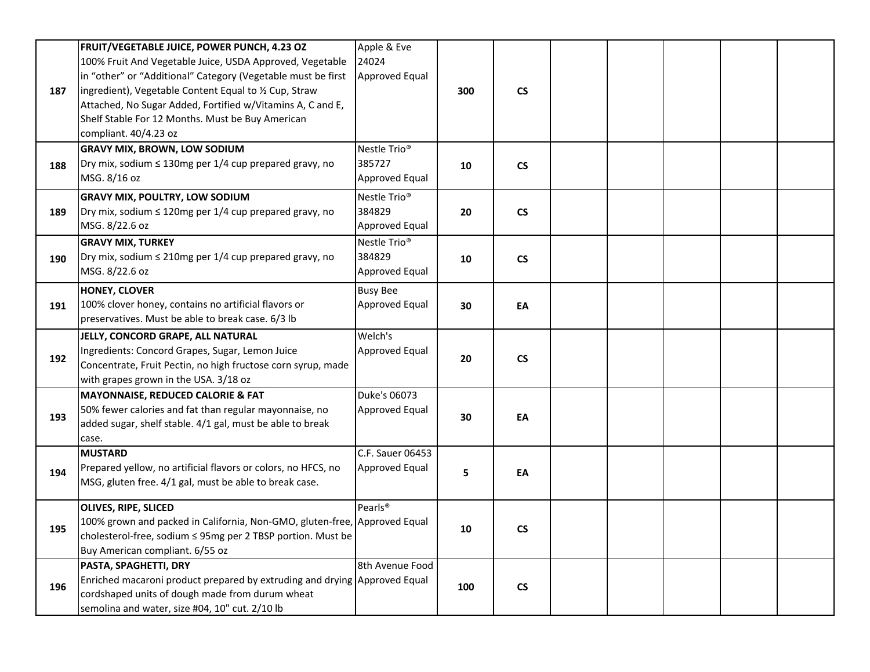| 187 | FRUIT/VEGETABLE JUICE, POWER PUNCH, 4.23 OZ<br>100% Fruit And Vegetable Juice, USDA Approved, Vegetable<br>in "other" or "Additional" Category (Vegetable must be first<br>ingredient), Vegetable Content Equal to 1/2 Cup, Straw<br>Attached, No Sugar Added, Fortified w/Vitamins A, C and E,<br>Shelf Stable For 12 Months. Must be Buy American<br>compliant. 40/4.23 oz | Apple & Eve<br>24024<br>Approved Equal               | 300 | $\mathsf{CS}\phantom{0}$ |  |  |  |
|-----|------------------------------------------------------------------------------------------------------------------------------------------------------------------------------------------------------------------------------------------------------------------------------------------------------------------------------------------------------------------------------|------------------------------------------------------|-----|--------------------------|--|--|--|
| 188 | <b>GRAVY MIX, BROWN, LOW SODIUM</b><br>Dry mix, sodium $\leq$ 130mg per 1/4 cup prepared gravy, no<br>MSG. 8/16 oz                                                                                                                                                                                                                                                           | Nestle Trio <sup>®</sup><br>385727<br>Approved Equal | 10  | $\mathsf{CS}\phantom{0}$ |  |  |  |
| 189 | <b>GRAVY MIX, POULTRY, LOW SODIUM</b><br>Dry mix, sodium $\leq 120$ mg per 1/4 cup prepared gravy, no<br>MSG. 8/22.6 oz                                                                                                                                                                                                                                                      | Nestle Trio <sup>®</sup><br>384829<br>Approved Equal | 20  | $\mathsf{CS}\phantom{0}$ |  |  |  |
| 190 | <b>GRAVY MIX, TURKEY</b><br>Dry mix, sodium $\leq$ 210mg per 1/4 cup prepared gravy, no<br>MSG. 8/22.6 oz                                                                                                                                                                                                                                                                    | Nestle Trio <sup>®</sup><br>384829<br>Approved Equal | 10  | $\mathsf{CS}\phantom{0}$ |  |  |  |
| 191 | <b>HONEY, CLOVER</b><br>100% clover honey, contains no artificial flavors or<br>preservatives. Must be able to break case. 6/3 lb                                                                                                                                                                                                                                            | <b>Busy Bee</b><br>Approved Equal                    | 30  | EA                       |  |  |  |
| 192 | JELLY, CONCORD GRAPE, ALL NATURAL<br>Ingredients: Concord Grapes, Sugar, Lemon Juice<br>Concentrate, Fruit Pectin, no high fructose corn syrup, made<br>with grapes grown in the USA. 3/18 oz                                                                                                                                                                                | Welch's<br>Approved Equal                            | 20  | $\mathsf{CS}\phantom{0}$ |  |  |  |
| 193 | MAYONNAISE, REDUCED CALORIE & FAT<br>50% fewer calories and fat than regular mayonnaise, no<br>added sugar, shelf stable. 4/1 gal, must be able to break<br>case.                                                                                                                                                                                                            | Duke's 06073<br>Approved Equal                       | 30  | EA                       |  |  |  |
| 194 | <b>MUSTARD</b><br>Prepared yellow, no artificial flavors or colors, no HFCS, no<br>MSG, gluten free. 4/1 gal, must be able to break case.                                                                                                                                                                                                                                    | C.F. Sauer 06453<br>Approved Equal                   | 5   | EA                       |  |  |  |
| 195 | <b>OLIVES, RIPE, SLICED</b><br>100% grown and packed in California, Non-GMO, gluten-free, Approved Equal<br>cholesterol-free, sodium ≤ 95mg per 2 TBSP portion. Must be<br>Buy American compliant. 6/55 oz                                                                                                                                                                   | Pearls <sup>®</sup>                                  | 10  | <b>CS</b>                |  |  |  |
| 196 | PASTA, SPAGHETTI, DRY<br>Enriched macaroni product prepared by extruding and drying Approved Equal<br>cordshaped units of dough made from durum wheat<br>semolina and water, size #04, 10" cut. 2/10 lb                                                                                                                                                                      | 8th Avenue Food                                      | 100 | $\mathsf{CS}\phantom{0}$ |  |  |  |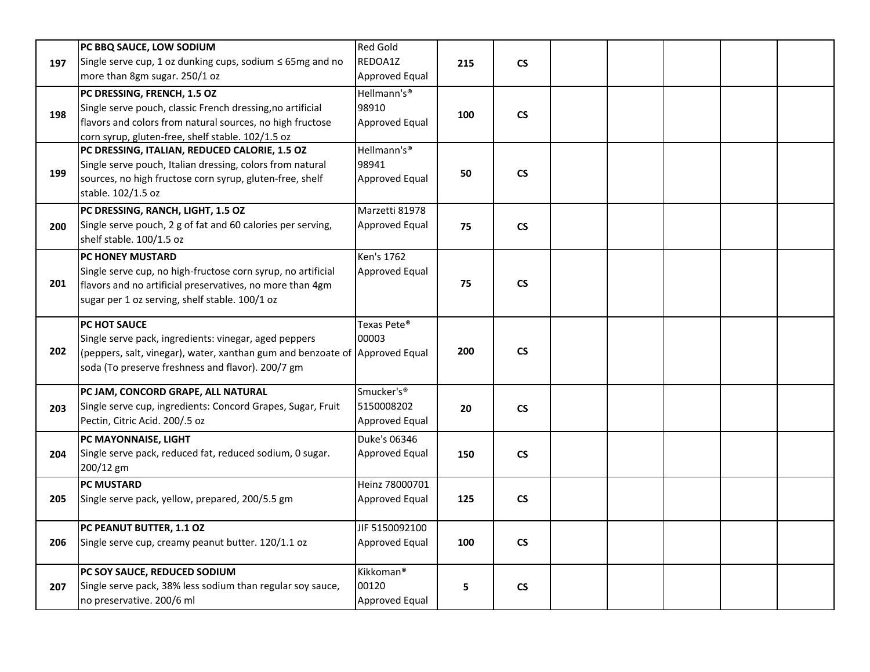|     | PC BBQ SAUCE, LOW SODIUM                                                         | <b>Red Gold</b>       |     |                          |  |  |  |
|-----|----------------------------------------------------------------------------------|-----------------------|-----|--------------------------|--|--|--|
| 197 | Single serve cup, 1 oz dunking cups, sodium $\leq$ 65mg and no                   | REDOA1Z               | 215 | $\mathsf{CS}\phantom{0}$ |  |  |  |
|     | more than 8gm sugar. 250/1 oz                                                    | Approved Equal        |     |                          |  |  |  |
|     | PC DRESSING, FRENCH, 1.5 OZ                                                      | Hellmann's®           |     |                          |  |  |  |
| 198 | Single serve pouch, classic French dressing, no artificial                       | 98910                 | 100 | $\mathsf{CS}\phantom{0}$ |  |  |  |
|     | flavors and colors from natural sources, no high fructose                        | Approved Equal        |     |                          |  |  |  |
|     | corn syrup, gluten-free, shelf stable. 102/1.5 oz                                |                       |     |                          |  |  |  |
|     | PC DRESSING, ITALIAN, REDUCED CALORIE, 1.5 OZ                                    | Hellmann's®           |     |                          |  |  |  |
| 199 | Single serve pouch, Italian dressing, colors from natural                        | 98941                 | 50  | $\mathsf{CS}\phantom{0}$ |  |  |  |
|     | sources, no high fructose corn syrup, gluten-free, shelf                         | Approved Equal        |     |                          |  |  |  |
|     | stable. 102/1.5 oz                                                               |                       |     |                          |  |  |  |
|     | PC DRESSING, RANCH, LIGHT, 1.5 OZ                                                | Marzetti 81978        |     |                          |  |  |  |
| 200 | Single serve pouch, 2 g of fat and 60 calories per serving,                      | Approved Equal        | 75  | $\mathsf{CS}\phantom{0}$ |  |  |  |
|     | shelf stable. 100/1.5 oz                                                         |                       |     |                          |  |  |  |
|     | PC HONEY MUSTARD                                                                 | Ken's 1762            |     |                          |  |  |  |
|     | Single serve cup, no high-fructose corn syrup, no artificial                     | Approved Equal        |     |                          |  |  |  |
| 201 | flavors and no artificial preservatives, no more than 4gm                        |                       | 75  | $\mathsf{CS}\phantom{0}$ |  |  |  |
|     | sugar per 1 oz serving, shelf stable. 100/1 oz                                   |                       |     |                          |  |  |  |
|     | PC HOT SAUCE                                                                     | Texas Pete®           |     |                          |  |  |  |
|     | Single serve pack, ingredients: vinegar, aged peppers                            | 00003                 |     |                          |  |  |  |
| 202 | (peppers, salt, vinegar), water, xanthan gum and benzoate of Approved Equal      |                       | 200 | $\mathsf{CS}\phantom{0}$ |  |  |  |
|     | soda (To preserve freshness and flavor). 200/7 gm                                |                       |     |                          |  |  |  |
|     | PC JAM, CONCORD GRAPE, ALL NATURAL                                               | Smucker's®            |     |                          |  |  |  |
|     | Single serve cup, ingredients: Concord Grapes, Sugar, Fruit                      | 5150008202            |     | $\mathsf{CS}\phantom{0}$ |  |  |  |
| 203 | Pectin, Citric Acid. 200/.5 oz                                                   | Approved Equal        | 20  |                          |  |  |  |
|     |                                                                                  | Duke's 06346          |     |                          |  |  |  |
|     | PC MAYONNAISE, LIGHT<br>Single serve pack, reduced fat, reduced sodium, 0 sugar. | Approved Equal        |     | $\mathsf{CS}\xspace$     |  |  |  |
| 204 | 200/12 gm                                                                        |                       | 150 |                          |  |  |  |
|     | <b>PC MUSTARD</b>                                                                | Heinz 78000701        |     |                          |  |  |  |
| 205 | Single serve pack, yellow, prepared, 200/5.5 gm                                  | Approved Equal        | 125 | $\mathsf{CS}\phantom{0}$ |  |  |  |
|     |                                                                                  |                       |     |                          |  |  |  |
|     | PC PEANUT BUTTER, 1.1 OZ                                                         | JIF 5150092100        |     |                          |  |  |  |
| 206 | Single serve cup, creamy peanut butter. 120/1.1 oz                               | Approved Equal        | 100 | $\mathsf{CS}\phantom{0}$ |  |  |  |
|     |                                                                                  |                       |     |                          |  |  |  |
|     | PC SOY SAUCE, REDUCED SODIUM                                                     | Kikkoman <sup>®</sup> |     |                          |  |  |  |
| 207 | Single serve pack, 38% less sodium than regular soy sauce,                       | 00120                 | 5   | $\mathsf{CS}\phantom{0}$ |  |  |  |
|     | no preservative. 200/6 ml                                                        | Approved Equal        |     |                          |  |  |  |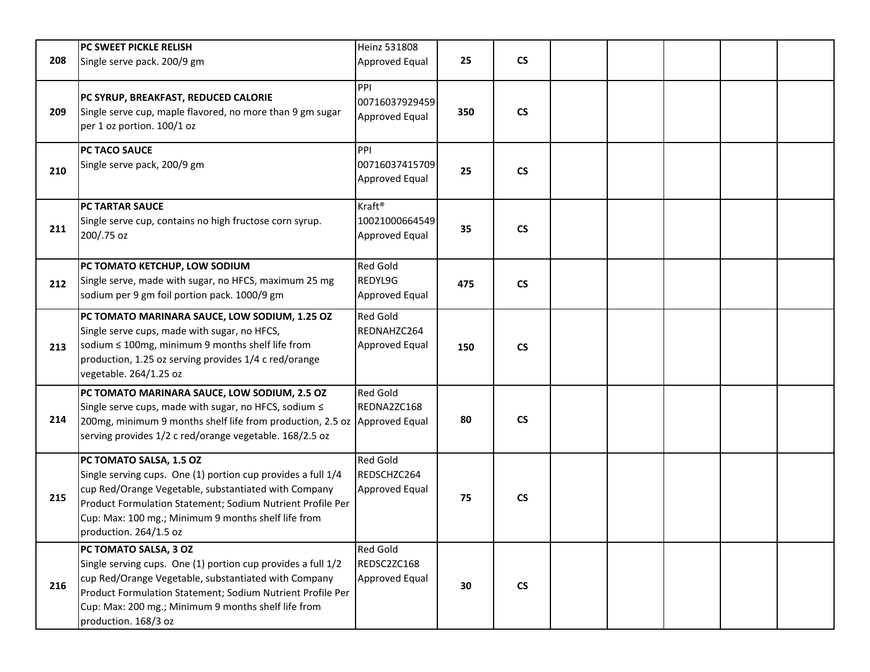| 208 | PC SWEET PICKLE RELISH<br>Single serve pack. 200/9 gm                                                                                                                                                                                                                                          | Heinz 531808<br>Approved Equal                         | 25  | $\mathsf{CS}\phantom{0}$ |  |  |  |
|-----|------------------------------------------------------------------------------------------------------------------------------------------------------------------------------------------------------------------------------------------------------------------------------------------------|--------------------------------------------------------|-----|--------------------------|--|--|--|
| 209 | PC SYRUP, BREAKFAST, REDUCED CALORIE<br>Single serve cup, maple flavored, no more than 9 gm sugar<br>per 1 oz portion. 100/1 oz                                                                                                                                                                | PPI<br>00716037929459<br>Approved Equal                | 350 | $\mathsf{CS}\phantom{0}$ |  |  |  |
| 210 | PC TACO SAUCE<br>Single serve pack, 200/9 gm                                                                                                                                                                                                                                                   | PPI<br>00716037415709<br>Approved Equal                | 25  | $\mathsf{CS}\phantom{0}$ |  |  |  |
| 211 | PC TARTAR SAUCE<br>Single serve cup, contains no high fructose corn syrup.<br>200/.75 oz                                                                                                                                                                                                       | Kraft <sup>®</sup><br>10021000664549<br>Approved Equal | 35  | $\mathsf{CS}\phantom{0}$ |  |  |  |
| 212 | PC TOMATO KETCHUP, LOW SODIUM<br>Single serve, made with sugar, no HFCS, maximum 25 mg<br>sodium per 9 gm foil portion pack. 1000/9 gm                                                                                                                                                         | <b>Red Gold</b><br>REDYL9G<br>Approved Equal           | 475 | $\mathsf{CS}\phantom{0}$ |  |  |  |
| 213 | PC TOMATO MARINARA SAUCE, LOW SODIUM, 1.25 OZ<br>Single serve cups, made with sugar, no HFCS,<br>sodium ≤ 100mg, minimum 9 months shelf life from<br>production, 1.25 oz serving provides 1/4 c red/orange<br>vegetable. 264/1.25 oz                                                           | <b>Red Gold</b><br>REDNAHZC264<br>Approved Equal       | 150 | $\mathsf{CS}\phantom{0}$ |  |  |  |
| 214 | PC TOMATO MARINARA SAUCE, LOW SODIUM, 2.5 OZ<br>Single serve cups, made with sugar, no HFCS, sodium ≤<br>200mg, minimum 9 months shelf life from production, 2.5 oz Approved Equal<br>serving provides 1/2 c red/orange vegetable. 168/2.5 oz                                                  | <b>Red Gold</b><br>REDNA2ZC168                         | 80  | $\mathsf{CS}\phantom{0}$ |  |  |  |
| 215 | PC TOMATO SALSA, 1.5 OZ<br>Single serving cups. One (1) portion cup provides a full 1/4<br>cup Red/Orange Vegetable, substantiated with Company<br>Product Formulation Statement; Sodium Nutrient Profile Per<br>Cup: Max: 100 mg.; Minimum 9 months shelf life from<br>production. 264/1.5 oz | <b>Red Gold</b><br>REDSCHZC264<br>Approved Equal       | 75  | $\mathsf{CS}\phantom{0}$ |  |  |  |
| 216 | PC TOMATO SALSA, 3 OZ<br>Single serving cups. One (1) portion cup provides a full 1/2<br>cup Red/Orange Vegetable, substantiated with Company<br>Product Formulation Statement; Sodium Nutrient Profile Per<br>Cup: Max: 200 mg.; Minimum 9 months shelf life from<br>production. 168/3 oz     | <b>Red Gold</b><br>REDSC2ZC168<br>Approved Equal       | 30  | <b>CS</b>                |  |  |  |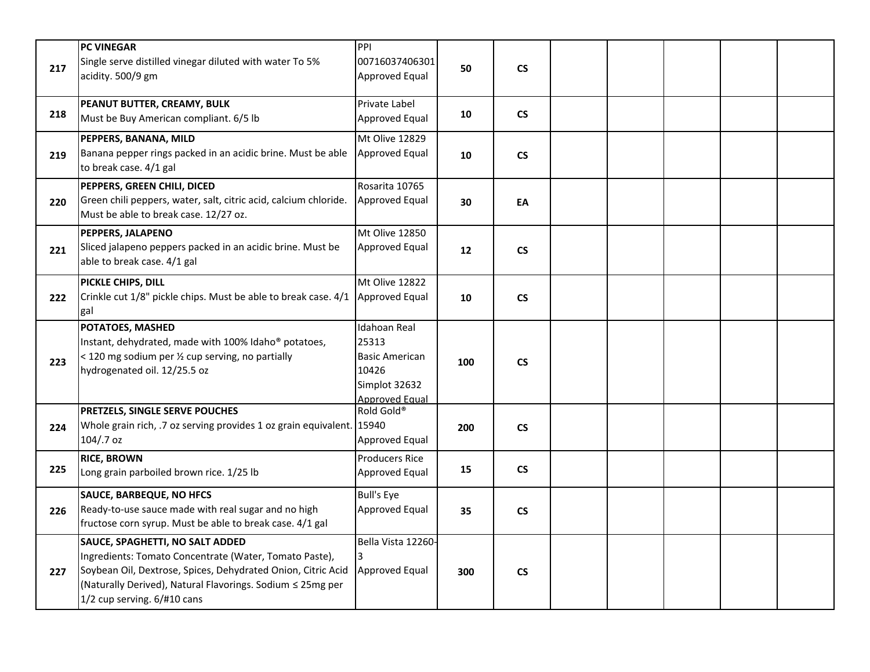| 217 | <b>PC VINEGAR</b><br>Single serve distilled vinegar diluted with water To 5%<br>acidity. 500/9 gm                                                                                                                                                      | PPI<br>00716037406301<br>Approved Equal                                                                  | 50  | $\mathsf{CS}\phantom{0}$ |  |  |  |
|-----|--------------------------------------------------------------------------------------------------------------------------------------------------------------------------------------------------------------------------------------------------------|----------------------------------------------------------------------------------------------------------|-----|--------------------------|--|--|--|
| 218 | PEANUT BUTTER, CREAMY, BULK<br>Must be Buy American compliant. 6/5 lb                                                                                                                                                                                  | Private Label<br>Approved Equal                                                                          | 10  | <b>CS</b>                |  |  |  |
| 219 | PEPPERS, BANANA, MILD<br>Banana pepper rings packed in an acidic brine. Must be able<br>to break case. 4/1 gal                                                                                                                                         | Mt Olive 12829<br>Approved Equal                                                                         | 10  | $\mathsf{CS}\phantom{0}$ |  |  |  |
| 220 | PEPPERS, GREEN CHILI, DICED<br>Green chili peppers, water, salt, citric acid, calcium chloride.<br>Must be able to break case. 12/27 oz.                                                                                                               | Rosarita 10765<br>Approved Equal                                                                         | 30  | EA                       |  |  |  |
| 221 | PEPPERS, JALAPENO<br>Sliced jalapeno peppers packed in an acidic brine. Must be<br>able to break case. 4/1 gal                                                                                                                                         | Mt Olive 12850<br>Approved Equal                                                                         | 12  | <b>CS</b>                |  |  |  |
| 222 | PICKLE CHIPS, DILL<br>Crinkle cut 1/8" pickle chips. Must be able to break case. 4/1<br>gal                                                                                                                                                            | Mt Olive 12822<br>Approved Equal                                                                         | 10  | $\mathsf{CS}\phantom{0}$ |  |  |  |
| 223 | POTATOES, MASHED<br>Instant, dehydrated, made with 100% Idaho® potatoes,<br>< 120 mg sodium per 1/2 cup serving, no partially<br>hydrogenated oil. 12/25.5 oz                                                                                          | <b>Idahoan Real</b><br>25313<br><b>Basic American</b><br>10426<br>Simplot 32632<br><b>Approved Equal</b> | 100 | $\mathsf{CS}\phantom{0}$ |  |  |  |
| 224 | PRETZELS, SINGLE SERVE POUCHES<br>Whole grain rich, .7 oz serving provides 1 oz grain equivalent. 15940<br>104/.7 oz                                                                                                                                   | Rold Gold®<br>Approved Equal                                                                             | 200 | $\mathsf{CS}\phantom{0}$ |  |  |  |
| 225 | <b>RICE, BROWN</b><br>Long grain parboiled brown rice. 1/25 lb                                                                                                                                                                                         | <b>Producers Rice</b><br>Approved Equal                                                                  | 15  | $\mathsf{CS}\phantom{0}$ |  |  |  |
| 226 | <b>SAUCE, BARBEQUE, NO HFCS</b><br>Ready-to-use sauce made with real sugar and no high<br>fructose corn syrup. Must be able to break case. 4/1 gal                                                                                                     | <b>Bull's Eye</b><br>Approved Equal                                                                      | 35  | $\mathsf{CS}\phantom{0}$ |  |  |  |
| 227 | SAUCE, SPAGHETTI, NO SALT ADDED<br>Ingredients: Tomato Concentrate (Water, Tomato Paste),<br>Soybean Oil, Dextrose, Spices, Dehydrated Onion, Citric Acid<br>(Naturally Derived), Natural Flavorings. Sodium ≤ 25mg per<br>1/2 cup serving. 6/#10 cans | Bella Vista 12260-<br>3<br><b>Approved Equal</b>                                                         | 300 | $\mathsf{CS}\phantom{0}$ |  |  |  |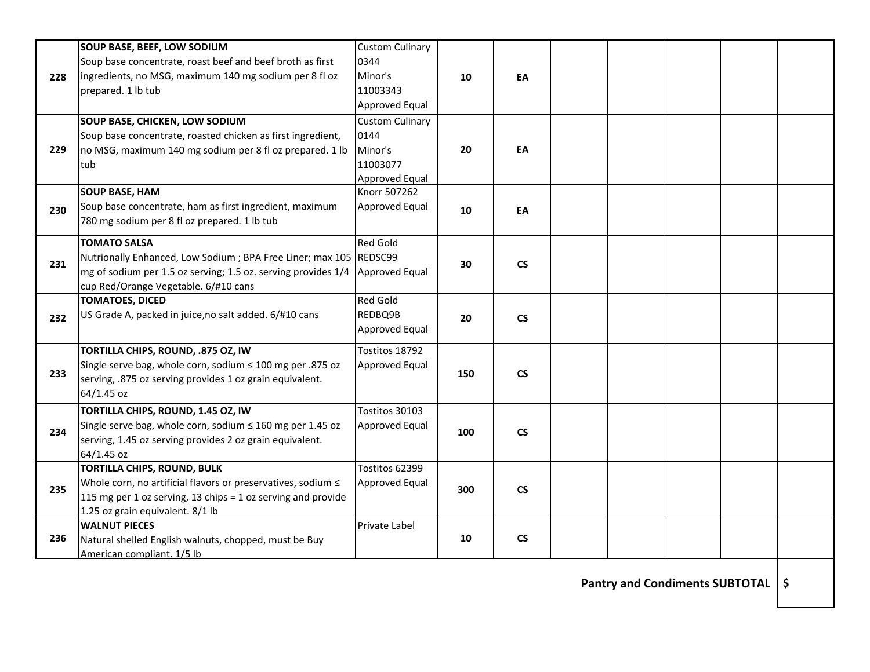|     | <b>SOUP BASE, BEEF, LOW SODIUM</b>                                | <b>Custom Culinary</b> |     |                          |  |  |  |
|-----|-------------------------------------------------------------------|------------------------|-----|--------------------------|--|--|--|
|     | Soup base concentrate, roast beef and beef broth as first         | 0344                   |     |                          |  |  |  |
| 228 | ingredients, no MSG, maximum 140 mg sodium per 8 fl oz            | Minor's                | 10  | EA                       |  |  |  |
|     | prepared. 1 lb tub                                                | 11003343               |     |                          |  |  |  |
|     |                                                                   | Approved Equal         |     |                          |  |  |  |
|     | SOUP BASE, CHICKEN, LOW SODIUM                                    | <b>Custom Culinary</b> |     |                          |  |  |  |
|     | Soup base concentrate, roasted chicken as first ingredient,       | 0144                   |     |                          |  |  |  |
| 229 | no MSG, maximum 140 mg sodium per 8 fl oz prepared. 1 lb          | Minor's                | 20  | EA                       |  |  |  |
|     | tub                                                               | 11003077               |     |                          |  |  |  |
|     |                                                                   | Approved Equal         |     |                          |  |  |  |
|     | <b>SOUP BASE, HAM</b>                                             | Knorr 507262           |     |                          |  |  |  |
| 230 | Soup base concentrate, ham as first ingredient, maximum           | Approved Equal         | 10  | EA                       |  |  |  |
|     | 780 mg sodium per 8 fl oz prepared. 1 lb tub                      |                        |     |                          |  |  |  |
|     | <b>TOMATO SALSA</b>                                               | <b>Red Gold</b>        |     |                          |  |  |  |
|     | Nutrionally Enhanced, Low Sodium; BPA Free Liner; max 105 REDSC99 |                        |     |                          |  |  |  |
| 231 | mg of sodium per 1.5 oz serving; 1.5 oz. serving provides 1/4     | Approved Equal         | 30  | <b>CS</b>                |  |  |  |
|     | cup Red/Orange Vegetable. 6/#10 cans                              |                        |     |                          |  |  |  |
|     | <b>TOMATOES, DICED</b>                                            | <b>Red Gold</b>        |     |                          |  |  |  |
| 232 | US Grade A, packed in juice, no salt added. 6/#10 cans            | REDBQ9B                | 20  | $\mathsf{CS}\phantom{0}$ |  |  |  |
|     |                                                                   | Approved Equal         |     |                          |  |  |  |
|     | TORTILLA CHIPS, ROUND, .875 OZ, IW                                | Tostitos 18792         |     |                          |  |  |  |
|     | Single serve bag, whole corn, sodium ≤ 100 mg per .875 oz         | Approved Equal         |     |                          |  |  |  |
| 233 | serving, .875 oz serving provides 1 oz grain equivalent.          |                        | 150 | <b>CS</b>                |  |  |  |
|     | 64/1.45 oz                                                        |                        |     |                          |  |  |  |
|     | TORTILLA CHIPS, ROUND, 1.45 OZ, IW                                | Tostitos 30103         |     |                          |  |  |  |
| 234 | Single serve bag, whole corn, sodium $\leq 160$ mg per 1.45 oz    | Approved Equal         | 100 | <b>CS</b>                |  |  |  |
|     | serving, 1.45 oz serving provides 2 oz grain equivalent.          |                        |     |                          |  |  |  |
|     | 64/1.45 oz                                                        |                        |     |                          |  |  |  |
|     | <b>TORTILLA CHIPS, ROUND, BULK</b>                                | Tostitos 62399         |     |                          |  |  |  |
| 235 | Whole corn, no artificial flavors or preservatives, sodium ≤      | Approved Equal         | 300 | $\mathsf{CS}\phantom{0}$ |  |  |  |
|     | 115 mg per 1 oz serving, 13 chips = 1 oz serving and provide      |                        |     |                          |  |  |  |
|     | 1.25 oz grain equivalent. 8/1 lb                                  |                        |     |                          |  |  |  |
|     | <b>WALNUT PIECES</b>                                              | Private Label          |     |                          |  |  |  |
| 236 | Natural shelled English walnuts, chopped, must be Buy             |                        | 10  | <b>CS</b>                |  |  |  |
|     | American compliant. 1/5 lb                                        |                        |     |                          |  |  |  |

**Pantry and Condiments SUBTOTAL \$**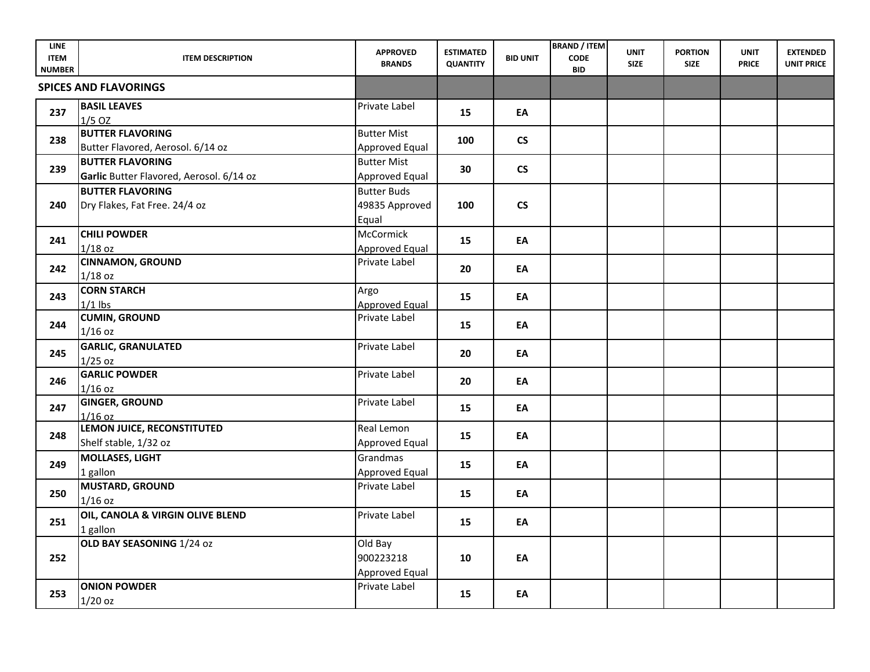| <b>LINE</b><br><b>ITEM</b><br><b>NUMBER</b> | <b>ITEM DESCRIPTION</b>                                             | <b>APPROVED</b><br><b>BRANDS</b>              | <b>ESTIMATED</b><br><b>QUANTITY</b> | <b>BID UNIT</b>      | <b>BRAND / ITEM</b><br><b>CODE</b><br><b>BID</b> | <b>UNIT</b><br><b>SIZE</b> | <b>PORTION</b><br><b>SIZE</b> | <b>UNIT</b><br><b>PRICE</b> | <b>EXTENDED</b><br><b>UNIT PRICE</b> |
|---------------------------------------------|---------------------------------------------------------------------|-----------------------------------------------|-------------------------------------|----------------------|--------------------------------------------------|----------------------------|-------------------------------|-----------------------------|--------------------------------------|
|                                             | <b>SPICES AND FLAVORINGS</b>                                        |                                               |                                     |                      |                                                  |                            |                               |                             |                                      |
| 237                                         | <b>BASIL LEAVES</b><br>$1/5$ OZ                                     | Private Label                                 | 15                                  | EA                   |                                                  |                            |                               |                             |                                      |
| 238                                         | <b>BUTTER FLAVORING</b><br>Butter Flavored, Aerosol. 6/14 oz        | <b>Butter Mist</b><br>Approved Equal          | 100                                 | $\mathsf{CS}\xspace$ |                                                  |                            |                               |                             |                                      |
| 239                                         | <b>BUTTER FLAVORING</b><br>Garlic Butter Flavored, Aerosol. 6/14 oz | <b>Butter Mist</b><br><b>Approved Equal</b>   | 30                                  | $\mathsf{CS}\xspace$ |                                                  |                            |                               |                             |                                      |
| 240                                         | <b>BUTTER FLAVORING</b><br>Dry Flakes, Fat Free. 24/4 oz            | <b>Butter Buds</b><br>49835 Approved<br>Equal | 100                                 | $\mathsf{CS}\xspace$ |                                                  |                            |                               |                             |                                      |
| 241                                         | <b>CHILI POWDER</b><br>$1/18$ oz                                    | McCormick<br>Approved Equal                   | 15                                  | EA                   |                                                  |                            |                               |                             |                                      |
| 242                                         | <b>CINNAMON, GROUND</b><br>$1/18$ oz                                | Private Label                                 | 20                                  | EA                   |                                                  |                            |                               |                             |                                      |
| 243                                         | <b>CORN STARCH</b><br>$1/1$ lbs                                     | Argo<br><b>Approved Equal</b>                 | 15                                  | EA                   |                                                  |                            |                               |                             |                                      |
| 244                                         | <b>CUMIN, GROUND</b><br>$1/16$ oz                                   | Private Label                                 | 15                                  | EA                   |                                                  |                            |                               |                             |                                      |
| 245                                         | <b>GARLIC, GRANULATED</b><br>$1/25$ oz                              | Private Label                                 | 20                                  | EA                   |                                                  |                            |                               |                             |                                      |
| 246                                         | <b>GARLIC POWDER</b><br>$1/16$ oz                                   | Private Label                                 | 20                                  | EA                   |                                                  |                            |                               |                             |                                      |
| 247                                         | <b>GINGER, GROUND</b><br>$1/16$ oz                                  | Private Label                                 | 15                                  | EA                   |                                                  |                            |                               |                             |                                      |
| 248                                         | LEMON JUICE, RECONSTITUTED<br>Shelf stable, 1/32 oz                 | Real Lemon<br><b>Approved Equal</b>           | 15                                  | EA                   |                                                  |                            |                               |                             |                                      |
| 249                                         | <b>MOLLASES, LIGHT</b><br>1 gallon                                  | Grandmas<br>Approved Equal                    | 15                                  | EA                   |                                                  |                            |                               |                             |                                      |
| 250                                         | <b>MUSTARD, GROUND</b><br>$1/16$ oz                                 | Private Label                                 | 15                                  | EA                   |                                                  |                            |                               |                             |                                      |
| 251                                         | OIL, CANOLA & VIRGIN OLIVE BLEND<br>1 gallon                        | Private Label                                 | 15                                  | EA                   |                                                  |                            |                               |                             |                                      |
| 252                                         | OLD BAY SEASONING 1/24 oz                                           | Old Bay<br>900223218<br>Approved Equal        | 10                                  | EA                   |                                                  |                            |                               |                             |                                      |
| 253                                         | <b>ONION POWDER</b><br>$1/20$ oz                                    | Private Label                                 | 15                                  | EA                   |                                                  |                            |                               |                             |                                      |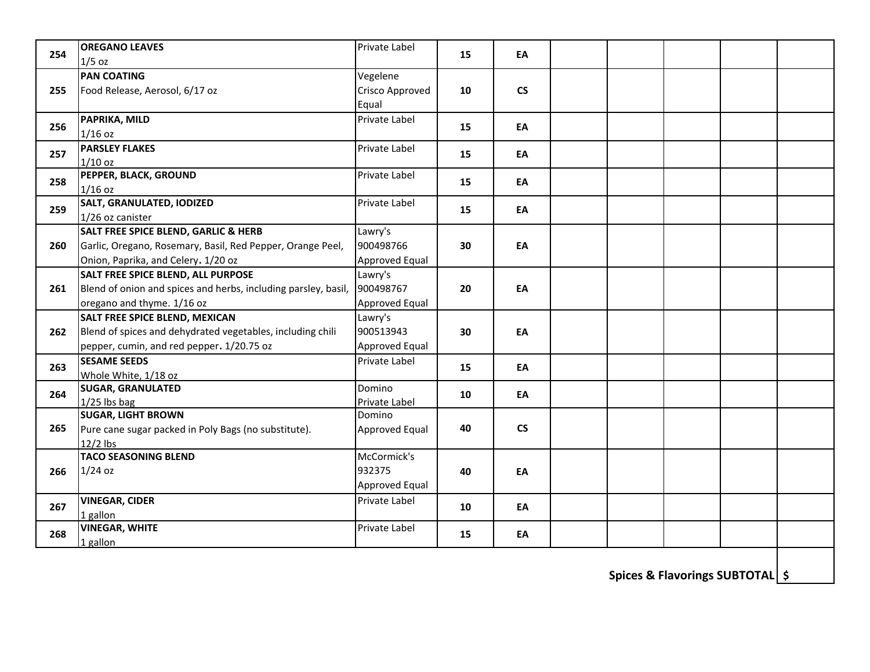| 254 | <b>OREGANO LEAVES</b>                                          | Private Label        | 15 | EA                       |  |  |  |
|-----|----------------------------------------------------------------|----------------------|----|--------------------------|--|--|--|
|     | $1/5$ oz                                                       |                      |    |                          |  |  |  |
|     | <b>PAN COATING</b>                                             | Vegelene             |    |                          |  |  |  |
| 255 | Food Release, Aerosol, 6/17 oz                                 | Crisco Approved      | 10 | $\mathsf{CS}\phantom{0}$ |  |  |  |
|     |                                                                | Equal                |    |                          |  |  |  |
| 256 | PAPRIKA, MILD                                                  | Private Label        | 15 | EA                       |  |  |  |
|     | $1/16$ oz                                                      |                      |    |                          |  |  |  |
| 257 | <b>PARSLEY FLAKES</b>                                          | Private Label        | 15 | EA                       |  |  |  |
|     | $1/10$ oz                                                      |                      |    |                          |  |  |  |
| 258 | PEPPER, BLACK, GROUND                                          | Private Label        | 15 | EA                       |  |  |  |
|     | $1/16$ oz                                                      |                      |    |                          |  |  |  |
| 259 | SALT, GRANULATED, IODIZED                                      | Private Label        | 15 | EA                       |  |  |  |
|     | 1/26 oz canister                                               |                      |    |                          |  |  |  |
|     | <b>SALT FREE SPICE BLEND, GARLIC &amp; HERB</b>                | Lawry's              |    |                          |  |  |  |
| 260 | Garlic, Oregano, Rosemary, Basil, Red Pepper, Orange Peel,     | 900498766            | 30 | EA                       |  |  |  |
|     | Onion, Paprika, and Celery. 1/20 oz                            | Approved Equal       |    |                          |  |  |  |
|     | <b>SALT FREE SPICE BLEND, ALL PURPOSE</b>                      | Lawry's              |    |                          |  |  |  |
| 261 | Blend of onion and spices and herbs, including parsley, basil, | 900498767            | 20 | EA                       |  |  |  |
|     | oregano and thyme. 1/16 oz                                     | Approved Equal       |    |                          |  |  |  |
|     | SALT FREE SPICE BLEND, MEXICAN                                 | Lawry's              |    |                          |  |  |  |
| 262 | Blend of spices and dehydrated vegetables, including chili     | 900513943            | 30 | EA                       |  |  |  |
|     | pepper, cumin, and red pepper. 1/20.75 oz                      | Approved Equal       |    |                          |  |  |  |
| 263 | <b>SESAME SEEDS</b>                                            | Private Label        | 15 | EA                       |  |  |  |
|     | Whole White, 1/18 oz                                           |                      |    |                          |  |  |  |
| 264 | <b>SUGAR, GRANULATED</b>                                       | Domino               | 10 | EA                       |  |  |  |
|     | $1/25$ lbs bag                                                 | Private Label        |    |                          |  |  |  |
|     | <b>SUGAR, LIGHT BROWN</b>                                      | Domino               |    |                          |  |  |  |
| 265 | Pure cane sugar packed in Poly Bags (no substitute).           | Approved Equal       | 40 | $\mathsf{CS}\phantom{0}$ |  |  |  |
|     | $12/2$ lbs                                                     |                      |    |                          |  |  |  |
|     | <b>TACO SEASONING BLEND</b>                                    | McCormick's          |    |                          |  |  |  |
| 266 | $1/24$ oz                                                      | 932375               | 40 | EA                       |  |  |  |
|     |                                                                | Approved Equal       |    |                          |  |  |  |
| 267 | <b>VINEGAR, CIDER</b>                                          | <b>Private Label</b> | 10 | EA                       |  |  |  |
|     | 1 gallon                                                       |                      |    |                          |  |  |  |
| 268 | <b>VINEGAR, WHITE</b>                                          | Private Label        | 15 | EA                       |  |  |  |
|     | 1 gallon                                                       |                      |    |                          |  |  |  |

**Spices & Flavorings SUBTOTAL \$**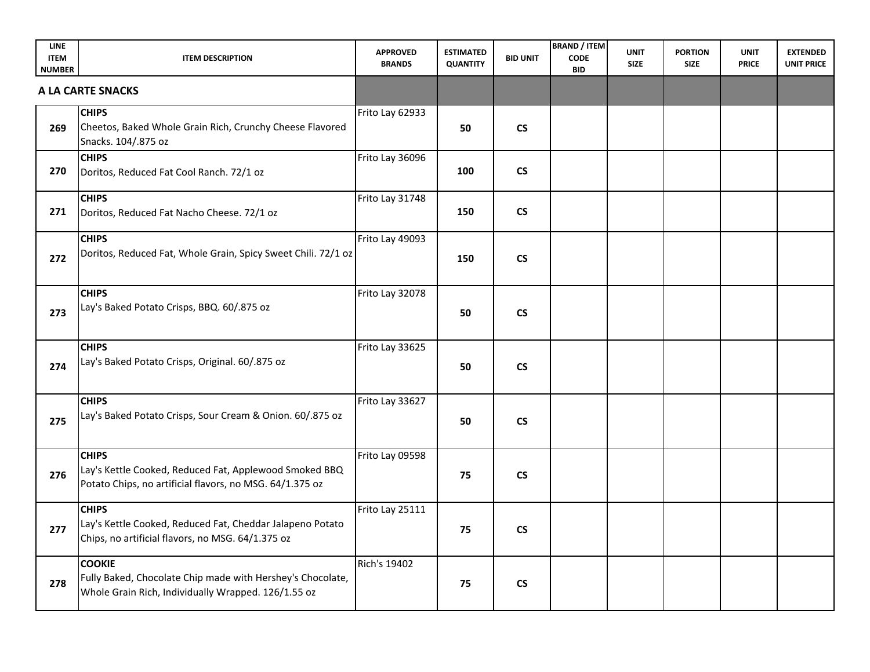| <b>LINE</b><br><b>ITEM</b><br><b>NUMBER</b> | <b>ITEM DESCRIPTION</b>                                                                                                            | <b>APPROVED</b><br><b>BRANDS</b> | <b>ESTIMATED</b><br><b>QUANTITY</b> | <b>BID UNIT</b>          | <b>BRAND / ITEM</b><br><b>CODE</b><br><b>BID</b> | <b>UNIT</b><br><b>SIZE</b> | <b>PORTION</b><br><b>SIZE</b> | <b>UNIT</b><br><b>PRICE</b> | <b>EXTENDED</b><br><b>UNIT PRICE</b> |
|---------------------------------------------|------------------------------------------------------------------------------------------------------------------------------------|----------------------------------|-------------------------------------|--------------------------|--------------------------------------------------|----------------------------|-------------------------------|-----------------------------|--------------------------------------|
|                                             | A LA CARTE SNACKS                                                                                                                  |                                  |                                     |                          |                                                  |                            |                               |                             |                                      |
| 269                                         | <b>CHIPS</b><br>Cheetos, Baked Whole Grain Rich, Crunchy Cheese Flavored<br>Snacks. 104/.875 oz                                    | Frito Lay 62933                  | 50                                  | $\mathsf{CS}\phantom{0}$ |                                                  |                            |                               |                             |                                      |
| 270                                         | <b>CHIPS</b><br>Doritos, Reduced Fat Cool Ranch. 72/1 oz                                                                           | Frito Lay 36096                  | 100                                 | $\mathsf{CS}\phantom{0}$ |                                                  |                            |                               |                             |                                      |
| 271                                         | <b>CHIPS</b><br>Doritos, Reduced Fat Nacho Cheese. 72/1 oz                                                                         | Frito Lay 31748                  | 150                                 | $\mathsf{CS}\phantom{0}$ |                                                  |                            |                               |                             |                                      |
| 272                                         | <b>CHIPS</b><br>Doritos, Reduced Fat, Whole Grain, Spicy Sweet Chili. 72/1 oz                                                      | Frito Lay 49093                  | 150                                 | $\mathsf{CS}\xspace$     |                                                  |                            |                               |                             |                                      |
| 273                                         | <b>CHIPS</b><br>Lay's Baked Potato Crisps, BBQ. 60/.875 oz                                                                         | Frito Lay 32078                  | 50                                  | $\mathsf{CS}\xspace$     |                                                  |                            |                               |                             |                                      |
| 274                                         | <b>CHIPS</b><br>Lay's Baked Potato Crisps, Original. 60/.875 oz                                                                    | Frito Lay 33625                  | 50                                  | $\mathsf{CS}\phantom{0}$ |                                                  |                            |                               |                             |                                      |
| 275                                         | <b>CHIPS</b><br>Lay's Baked Potato Crisps, Sour Cream & Onion. 60/.875 oz                                                          | Frito Lay 33627                  | 50                                  | $\mathsf{CS}\phantom{0}$ |                                                  |                            |                               |                             |                                      |
| 276                                         | <b>CHIPS</b><br>Lay's Kettle Cooked, Reduced Fat, Applewood Smoked BBQ<br>Potato Chips, no artificial flavors, no MSG. 64/1.375 oz | Frito Lay 09598                  | 75                                  | $\mathsf{CS}\phantom{0}$ |                                                  |                            |                               |                             |                                      |
| 277                                         | <b>CHIPS</b><br>Lay's Kettle Cooked, Reduced Fat, Cheddar Jalapeno Potato<br>Chips, no artificial flavors, no MSG. 64/1.375 oz     | Frito Lay 25111                  | 75                                  | $\mathsf{CS}\phantom{0}$ |                                                  |                            |                               |                             |                                      |
| 278                                         | <b>COOKIE</b><br>Fully Baked, Chocolate Chip made with Hershey's Chocolate,<br>Whole Grain Rich, Individually Wrapped. 126/1.55 oz | <b>Rich's 19402</b>              | 75                                  | $\mathsf{CS}\phantom{0}$ |                                                  |                            |                               |                             |                                      |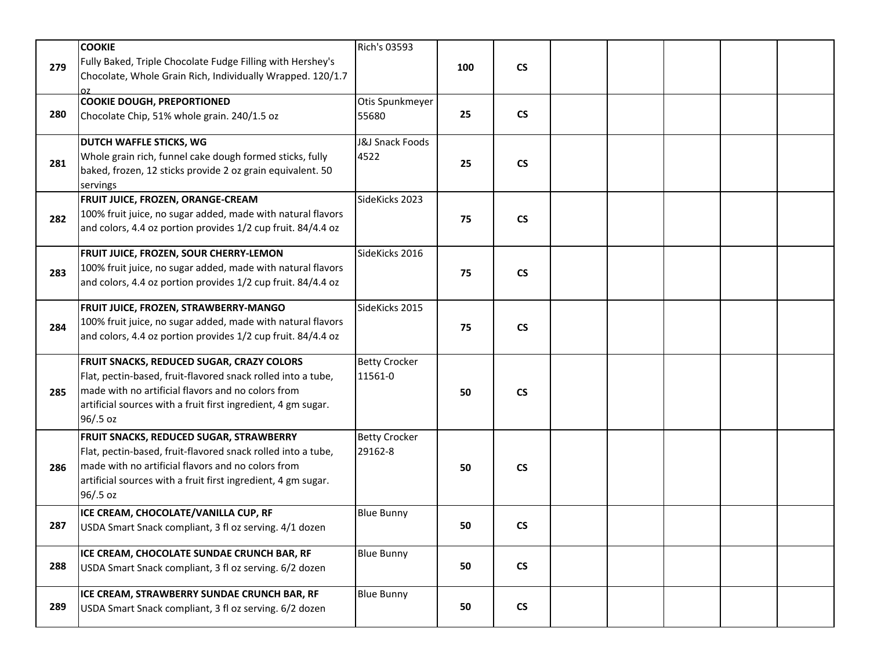|     | <b>COOKIE</b>                                                                                                                                                                                                                                | Rich's 03593                    |     |                          |  |  |  |
|-----|----------------------------------------------------------------------------------------------------------------------------------------------------------------------------------------------------------------------------------------------|---------------------------------|-----|--------------------------|--|--|--|
| 279 | Fully Baked, Triple Chocolate Fudge Filling with Hershey's<br>Chocolate, Whole Grain Rich, Individually Wrapped. 120/1.7                                                                                                                     |                                 | 100 | $\mathsf{CS}\phantom{0}$ |  |  |  |
| 280 | <b>COOKIE DOUGH, PREPORTIONED</b><br>Chocolate Chip, 51% whole grain. 240/1.5 oz                                                                                                                                                             | Otis Spunkmeyer<br>55680        | 25  | $\mathsf{CS}\phantom{0}$ |  |  |  |
| 281 | DUTCH WAFFLE STICKS, WG<br>Whole grain rich, funnel cake dough formed sticks, fully<br>baked, frozen, 12 sticks provide 2 oz grain equivalent. 50<br>servings                                                                                | J&J Snack Foods<br>4522         | 25  | $\mathsf{CS}\phantom{0}$ |  |  |  |
| 282 | FRUIT JUICE, FROZEN, ORANGE-CREAM<br>100% fruit juice, no sugar added, made with natural flavors<br>and colors, 4.4 oz portion provides 1/2 cup fruit. 84/4.4 oz                                                                             | SideKicks 2023                  | 75  | $\mathsf{CS}\phantom{0}$ |  |  |  |
| 283 | FRUIT JUICE, FROZEN, SOUR CHERRY-LEMON<br>100% fruit juice, no sugar added, made with natural flavors<br>and colors, 4.4 oz portion provides 1/2 cup fruit. 84/4.4 oz                                                                        | SideKicks 2016                  | 75  | $\mathsf{CS}\phantom{0}$ |  |  |  |
| 284 | FRUIT JUICE, FROZEN, STRAWBERRY-MANGO<br>100% fruit juice, no sugar added, made with natural flavors<br>and colors, 4.4 oz portion provides 1/2 cup fruit. 84/4.4 oz                                                                         | SideKicks 2015                  | 75  | $\mathsf{CS}\phantom{0}$ |  |  |  |
| 285 | FRUIT SNACKS, REDUCED SUGAR, CRAZY COLORS<br>Flat, pectin-based, fruit-flavored snack rolled into a tube,<br>made with no artificial flavors and no colors from<br>artificial sources with a fruit first ingredient, 4 gm sugar.<br>96/.5 oz | <b>Betty Crocker</b><br>11561-0 | 50  | $\mathsf{CS}\phantom{0}$ |  |  |  |
| 286 | FRUIT SNACKS, REDUCED SUGAR, STRAWBERRY<br>Flat, pectin-based, fruit-flavored snack rolled into a tube,<br>made with no artificial flavors and no colors from<br>artificial sources with a fruit first ingredient, 4 gm sugar.<br>96/.5 oz   | <b>Betty Crocker</b><br>29162-8 | 50  | $\mathsf{CS}\phantom{0}$ |  |  |  |
| 287 | ICE CREAM, CHOCOLATE/VANILLA CUP, RF<br>USDA Smart Snack compliant, 3 fl oz serving. 4/1 dozen                                                                                                                                               | <b>Blue Bunny</b>               | 50  | $\mathsf{CS}\phantom{0}$ |  |  |  |
| 288 | ICE CREAM, CHOCOLATE SUNDAE CRUNCH BAR, RF<br>USDA Smart Snack compliant, 3 fl oz serving. 6/2 dozen                                                                                                                                         | <b>Blue Bunny</b>               | 50  | $\mathsf{CS}\phantom{0}$ |  |  |  |
| 289 | ICE CREAM, STRAWBERRY SUNDAE CRUNCH BAR, RF<br>USDA Smart Snack compliant, 3 fl oz serving. 6/2 dozen                                                                                                                                        | <b>Blue Bunny</b>               | 50  | $\mathsf{CS}\phantom{0}$ |  |  |  |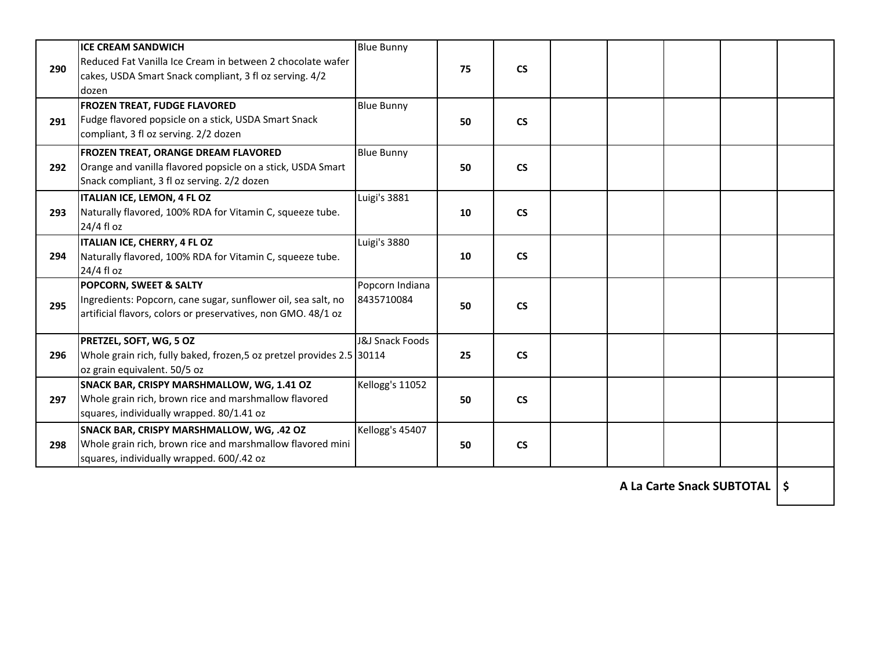| 290 | <b>ICE CREAM SANDWICH</b><br>Reduced Fat Vanilla Ice Cream in between 2 chocolate wafer<br>cakes, USDA Smart Snack compliant, 3 fl oz serving. 4/2<br>dozen | <b>Blue Bunny</b>             | 75 | $\mathsf{CS}\phantom{0}$ |  |  |  |
|-----|-------------------------------------------------------------------------------------------------------------------------------------------------------------|-------------------------------|----|--------------------------|--|--|--|
| 291 | <b>FROZEN TREAT, FUDGE FLAVORED</b><br>Fudge flavored popsicle on a stick, USDA Smart Snack<br>compliant, 3 fl oz serving. 2/2 dozen                        | <b>Blue Bunny</b>             | 50 | $\mathsf{CS}\phantom{0}$ |  |  |  |
| 292 | FROZEN TREAT, ORANGE DREAM FLAVORED<br>Orange and vanilla flavored popsicle on a stick, USDA Smart<br>Snack compliant, 3 fl oz serving. 2/2 dozen           | <b>Blue Bunny</b>             | 50 | $\mathsf{CS}\phantom{0}$ |  |  |  |
| 293 | ITALIAN ICE, LEMON, 4 FL OZ<br>Naturally flavored, 100% RDA for Vitamin C, squeeze tube.<br>24/4 fl oz                                                      | Luigi's 3881                  | 10 | $\mathsf{CS}\phantom{0}$ |  |  |  |
| 294 | ITALIAN ICE, CHERRY, 4 FL OZ<br>Naturally flavored, 100% RDA for Vitamin C, squeeze tube.<br>24/4 fl oz                                                     | Luigi's 3880                  | 10 | <b>CS</b>                |  |  |  |
| 295 | POPCORN, SWEET & SALTY<br>Ingredients: Popcorn, cane sugar, sunflower oil, sea salt, no<br>artificial flavors, colors or preservatives, non GMO. 48/1 oz    | Popcorn Indiana<br>8435710084 | 50 | $\mathsf{CS}\phantom{0}$ |  |  |  |
| 296 | PRETZEL, SOFT, WG, 5 OZ<br>Whole grain rich, fully baked, frozen, 5 oz pretzel provides 2.5 30114<br>oz grain equivalent. 50/5 oz                           | J&J Snack Foods               | 25 | $\mathsf{CS}\phantom{0}$ |  |  |  |
| 297 | SNACK BAR, CRISPY MARSHMALLOW, WG, 1.41 OZ<br>Whole grain rich, brown rice and marshmallow flavored<br>squares, individually wrapped. 80/1.41 oz            | Kellogg's 11052               | 50 | <b>CS</b>                |  |  |  |
| 298 | SNACK BAR, CRISPY MARSHMALLOW, WG, .42 OZ<br>Whole grain rich, brown rice and marshmallow flavored mini<br>squares, individually wrapped. 600/.42 oz        | Kellogg's 45407               | 50 | $\mathsf{CS}\phantom{0}$ |  |  |  |

**A La Carte Snack SUBTOTAL \$**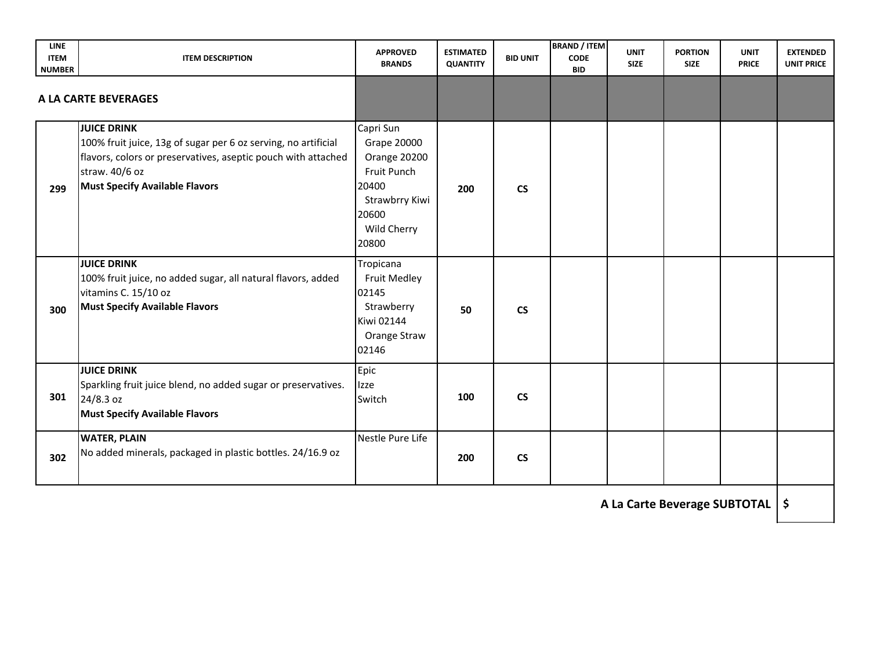| <b>LINE</b><br><b>ITEM</b><br><b>NUMBER</b> | <b>ITEM DESCRIPTION</b>                                                                                                                                                                                          | <b>APPROVED</b><br><b>BRANDS</b>                                                                                           | <b>ESTIMATED</b><br><b>QUANTITY</b> | <b>BID UNIT</b>          | <b>BRAND / ITEM</b><br><b>CODE</b><br><b>BID</b> | <b>UNIT</b><br><b>SIZE</b> | <b>PORTION</b><br><b>SIZE</b> | <b>UNIT</b><br><b>PRICE</b> | <b>EXTENDED</b><br><b>UNIT PRICE</b> |
|---------------------------------------------|------------------------------------------------------------------------------------------------------------------------------------------------------------------------------------------------------------------|----------------------------------------------------------------------------------------------------------------------------|-------------------------------------|--------------------------|--------------------------------------------------|----------------------------|-------------------------------|-----------------------------|--------------------------------------|
|                                             | A LA CARTE BEVERAGES                                                                                                                                                                                             |                                                                                                                            |                                     |                          |                                                  |                            |                               |                             |                                      |
| 299                                         | <b>JUICE DRINK</b><br>100% fruit juice, 13g of sugar per 6 oz serving, no artificial<br>flavors, colors or preservatives, aseptic pouch with attached<br>straw. 40/6 oz<br><b>Must Specify Available Flavors</b> | Capri Sun<br><b>Grape 20000</b><br>Orange 20200<br>Fruit Punch<br>20400<br>Strawbrry Kiwi<br>20600<br>Wild Cherry<br>20800 | 200                                 | $\mathsf{CS}\phantom{0}$ |                                                  |                            |                               |                             |                                      |
| 300                                         | <b>JUICE DRINK</b><br>100% fruit juice, no added sugar, all natural flavors, added<br>vitamins C. 15/10 oz<br><b>Must Specify Available Flavors</b>                                                              | Tropicana<br>Fruit Medley<br>02145<br>Strawberry<br>Kiwi 02144<br>Orange Straw<br>02146                                    | 50                                  | <b>CS</b>                |                                                  |                            |                               |                             |                                      |
| 301                                         | <b>JUICE DRINK</b><br>Sparkling fruit juice blend, no added sugar or preservatives.<br>24/8.3 oz<br><b>Must Specify Available Flavors</b>                                                                        | Epic<br>Izze<br>Switch                                                                                                     | 100                                 | <b>CS</b>                |                                                  |                            |                               |                             |                                      |
| 302                                         | <b>WATER, PLAIN</b><br>No added minerals, packaged in plastic bottles. 24/16.9 oz                                                                                                                                | Nestle Pure Life                                                                                                           | 200                                 | <b>CS</b>                |                                                  |                            |                               |                             |                                      |

**A La Carte Beverage SUBTOTAL \$**